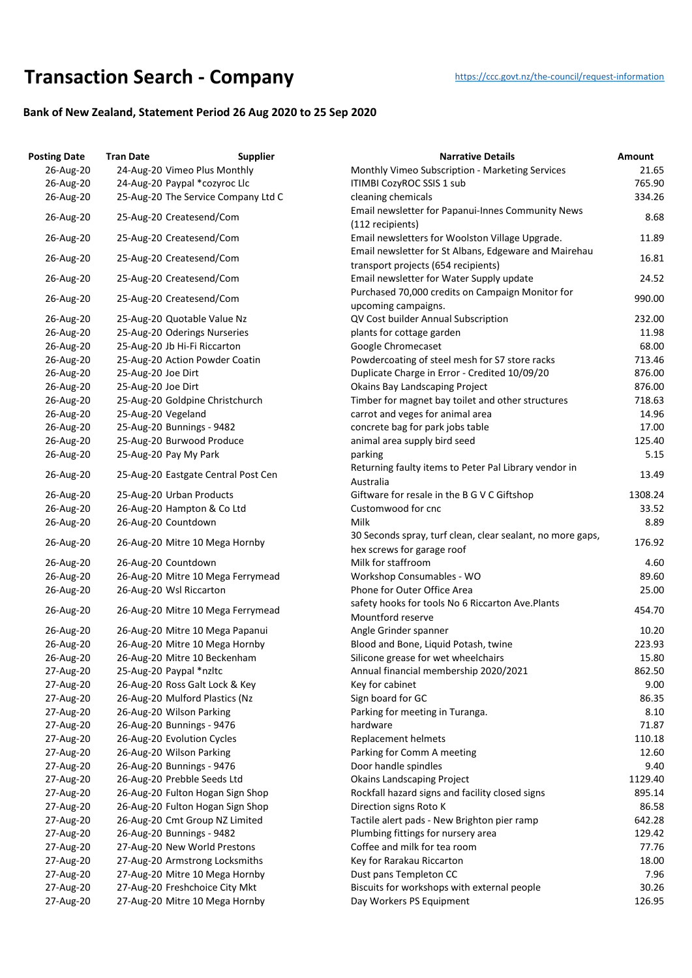## **Transaction Searc[h](https://ccc.govt.nz/the-council/request-information) - Company** https://ccc.govt.nz/the-council/request-information

## **Bank of New Zealand, Statement Period 26 Aug 2020 to 25 Sep 2020**

| <b>Posting Date</b> | <b>Tran Date</b>                    | <b>Supplier</b> | <b>Narrative Details</b>                                                                     | Amount  |
|---------------------|-------------------------------------|-----------------|----------------------------------------------------------------------------------------------|---------|
| 26-Aug-20           | 24-Aug-20 Vimeo Plus Monthly        |                 | Monthly Vimeo Subscription - Marketing Services                                              | 21.65   |
| 26-Aug-20           | 24-Aug-20 Paypal *cozyroc Llc       |                 | <b>ITIMBI CozyROC SSIS 1 sub</b>                                                             | 765.90  |
| 26-Aug-20           | 25-Aug-20 The Service Company Ltd C |                 | cleaning chemicals                                                                           | 334.26  |
| 26-Aug-20           | 25-Aug-20 Createsend/Com            |                 | Email newsletter for Papanui-Innes Community News<br>(112 recipients)                        | 8.68    |
| 26-Aug-20           | 25-Aug-20 Createsend/Com            |                 | Email newsletters for Woolston Village Upgrade.                                              | 11.89   |
| 26-Aug-20           | 25-Aug-20 Createsend/Com            |                 | Email newsletter for St Albans, Edgeware and Mairehau<br>transport projects (654 recipients) | 16.81   |
| 26-Aug-20           | 25-Aug-20 Createsend/Com            |                 | Email newsletter for Water Supply update                                                     | 24.52   |
| 26-Aug-20           | 25-Aug-20 Createsend/Com            |                 | Purchased 70,000 credits on Campaign Monitor for<br>upcoming campaigns.                      | 990.00  |
| 26-Aug-20           | 25-Aug-20 Quotable Value Nz         |                 | QV Cost builder Annual Subscription                                                          | 232.00  |
| 26-Aug-20           | 25-Aug-20 Oderings Nurseries        |                 | plants for cottage garden                                                                    | 11.98   |
| 26-Aug-20           | 25-Aug-20 Jb Hi-Fi Riccarton        |                 | Google Chromecaset                                                                           | 68.00   |
| 26-Aug-20           | 25-Aug-20 Action Powder Coatin      |                 | Powdercoating of steel mesh for S7 store racks                                               | 713.46  |
| 26-Aug-20           | 25-Aug-20 Joe Dirt                  |                 | Duplicate Charge in Error - Credited 10/09/20                                                | 876.00  |
| 26-Aug-20           | 25-Aug-20 Joe Dirt                  |                 | <b>Okains Bay Landscaping Project</b>                                                        | 876.00  |
| 26-Aug-20           | 25-Aug-20 Goldpine Christchurch     |                 | Timber for magnet bay toilet and other structures                                            | 718.63  |
| 26-Aug-20           | 25-Aug-20 Vegeland                  |                 | carrot and veges for animal area                                                             | 14.96   |
| 26-Aug-20           | 25-Aug-20 Bunnings - 9482           |                 | concrete bag for park jobs table                                                             | 17.00   |
| 26-Aug-20           | 25-Aug-20 Burwood Produce           |                 |                                                                                              | 125.40  |
|                     |                                     |                 | animal area supply bird seed                                                                 |         |
| 26-Aug-20           | 25-Aug-20 Pay My Park               |                 | parking                                                                                      | 5.15    |
| 26-Aug-20           | 25-Aug-20 Eastgate Central Post Cen |                 | Returning faulty items to Peter Pal Library vendor in<br>Australia                           | 13.49   |
| 26-Aug-20           | 25-Aug-20 Urban Products            |                 | Giftware for resale in the B G V C Giftshop                                                  | 1308.24 |
| 26-Aug-20           | 26-Aug-20 Hampton & Co Ltd          |                 | Customwood for cnc                                                                           | 33.52   |
| 26-Aug-20           | 26-Aug-20 Countdown                 |                 | Milk                                                                                         | 8.89    |
| 26-Aug-20           | 26-Aug-20 Mitre 10 Mega Hornby      |                 | 30 Seconds spray, turf clean, clear sealant, no more gaps,<br>hex screws for garage roof     | 176.92  |
| 26-Aug-20           | 26-Aug-20 Countdown                 |                 | Milk for staffroom                                                                           | 4.60    |
| 26-Aug-20           | 26-Aug-20 Mitre 10 Mega Ferrymead   |                 | Workshop Consumables - WO                                                                    | 89.60   |
| 26-Aug-20           | 26-Aug-20 Wsl Riccarton             |                 | Phone for Outer Office Area                                                                  | 25.00   |
|                     |                                     |                 | safety hooks for tools No 6 Riccarton Ave. Plants                                            |         |
| 26-Aug-20           | 26-Aug-20 Mitre 10 Mega Ferrymead   |                 | Mountford reserve                                                                            | 454.70  |
| 26-Aug-20           | 26-Aug-20 Mitre 10 Mega Papanui     |                 | Angle Grinder spanner                                                                        | 10.20   |
| 26-Aug-20           | 26-Aug-20 Mitre 10 Mega Hornby      |                 | Blood and Bone, Liquid Potash, twine                                                         | 223.93  |
| 26-Aug-20           | 26-Aug-20 Mitre 10 Beckenham        |                 | Silicone grease for wet wheelchairs                                                          | 15.80   |
| 27-Aug-20           | 25-Aug-20 Paypal *nzltc             |                 | Annual financial membership 2020/2021                                                        | 862.50  |
| 27-Aug-20           | 26-Aug-20 Ross Galt Lock & Key      |                 | Key for cabinet                                                                              | 9.00    |
| 27-Aug-20           | 26-Aug-20 Mulford Plastics (Nz      |                 | Sign board for GC                                                                            | 86.35   |
| 27-Aug-20           | 26-Aug-20 Wilson Parking            |                 | Parking for meeting in Turanga.                                                              | 8.10    |
| 27-Aug-20           | 26-Aug-20 Bunnings - 9476           |                 | hardware                                                                                     | 71.87   |
| 27-Aug-20           | 26-Aug-20 Evolution Cycles          |                 | Replacement helmets                                                                          | 110.18  |
| 27-Aug-20           | 26-Aug-20 Wilson Parking            |                 | Parking for Comm A meeting                                                                   | 12.60   |
| 27-Aug-20           | 26-Aug-20 Bunnings - 9476           |                 | Door handle spindles                                                                         | 9.40    |
| 27-Aug-20           | 26-Aug-20 Prebble Seeds Ltd         |                 | <b>Okains Landscaping Project</b>                                                            | 1129.40 |
| 27-Aug-20           | 26-Aug-20 Fulton Hogan Sign Shop    |                 | Rockfall hazard signs and facility closed signs                                              | 895.14  |
|                     |                                     |                 |                                                                                              |         |
| 27-Aug-20           | 26-Aug-20 Fulton Hogan Sign Shop    |                 | Direction signs Roto K                                                                       | 86.58   |
| 27-Aug-20           | 26-Aug-20 Cmt Group NZ Limited      |                 | Tactile alert pads - New Brighton pier ramp                                                  | 642.28  |
| 27-Aug-20           | 26-Aug-20 Bunnings - 9482           |                 | Plumbing fittings for nursery area                                                           | 129.42  |
| 27-Aug-20           | 27-Aug-20 New World Prestons        |                 | Coffee and milk for tea room                                                                 | 77.76   |
| 27-Aug-20           | 27-Aug-20 Armstrong Locksmiths      |                 | Key for Rarakau Riccarton                                                                    | 18.00   |
| 27-Aug-20           | 27-Aug-20 Mitre 10 Mega Hornby      |                 | Dust pans Templeton CC                                                                       | 7.96    |
| 27-Aug-20           | 27-Aug-20 Freshchoice City Mkt      |                 | Biscuits for workshops with external people                                                  | 30.26   |
| 27-Aug-20           | 27-Aug-20 Mitre 10 Mega Hornby      |                 | Day Workers PS Equipment                                                                     | 126.95  |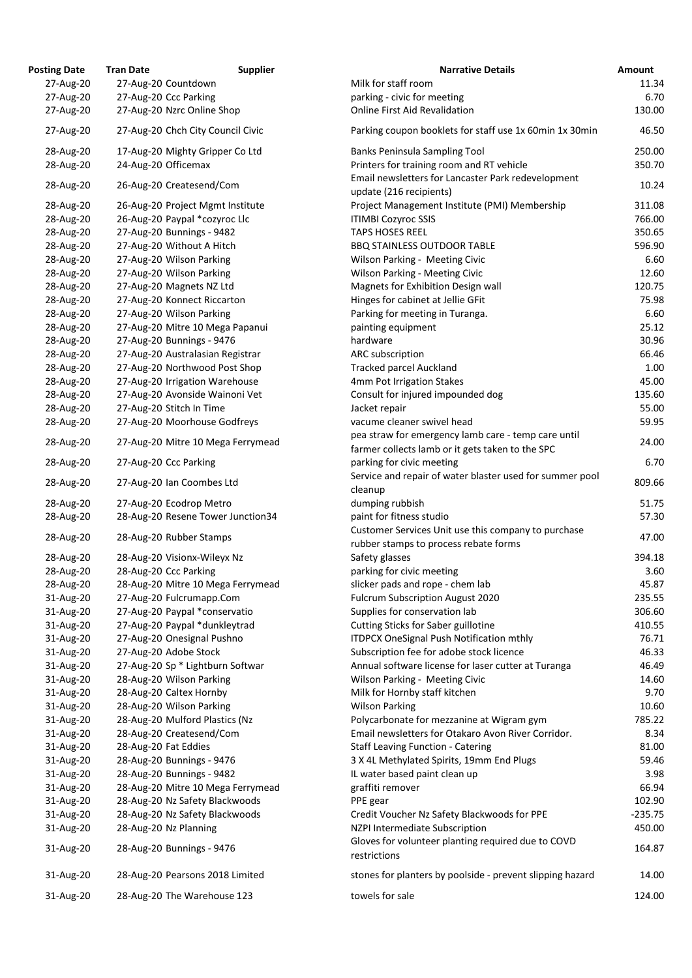| <b>Posting Date</b> | <b>Tran Date</b>                  | <b>Supplier</b> | <b>Narrative Details</b>                                                                                | Amount    |
|---------------------|-----------------------------------|-----------------|---------------------------------------------------------------------------------------------------------|-----------|
| 27-Aug-20           | 27-Aug-20 Countdown               |                 | Milk for staff room                                                                                     | 11.34     |
| 27-Aug-20           | 27-Aug-20 Ccc Parking             |                 | parking - civic for meeting                                                                             | 6.70      |
| 27-Aug-20           | 27-Aug-20 Nzrc Online Shop        |                 | <b>Online First Aid Revalidation</b>                                                                    | 130.00    |
| 27-Aug-20           | 27-Aug-20 Chch City Council Civic |                 | Parking coupon booklets for staff use 1x 60min 1x 30min                                                 | 46.50     |
| 28-Aug-20           | 17-Aug-20 Mighty Gripper Co Ltd   |                 | <b>Banks Peninsula Sampling Tool</b>                                                                    | 250.00    |
| 28-Aug-20           | 24-Aug-20 Officemax               |                 | Printers for training room and RT vehicle                                                               | 350.70    |
| 28-Aug-20           | 26-Aug-20 Createsend/Com          |                 | Email newsletters for Lancaster Park redevelopment<br>update (216 recipients)                           | 10.24     |
| 28-Aug-20           | 26-Aug-20 Project Mgmt Institute  |                 | Project Management Institute (PMI) Membership                                                           | 311.08    |
| 28-Aug-20           | 26-Aug-20 Paypal *cozyroc Llc     |                 | <b>ITIMBI Cozyroc SSIS</b>                                                                              | 766.00    |
| 28-Aug-20           | 27-Aug-20 Bunnings - 9482         |                 | <b>TAPS HOSES REEL</b>                                                                                  | 350.65    |
| 28-Aug-20           | 27-Aug-20 Without A Hitch         |                 | <b>BBQ STAINLESS OUTDOOR TABLE</b>                                                                      | 596.90    |
| 28-Aug-20           | 27-Aug-20 Wilson Parking          |                 | Wilson Parking - Meeting Civic                                                                          | 6.60      |
| 28-Aug-20           | 27-Aug-20 Wilson Parking          |                 | <b>Wilson Parking - Meeting Civic</b>                                                                   | 12.60     |
| 28-Aug-20           | 27-Aug-20 Magnets NZ Ltd          |                 | Magnets for Exhibition Design wall                                                                      | 120.75    |
| 28-Aug-20           | 27-Aug-20 Konnect Riccarton       |                 | Hinges for cabinet at Jellie GFit                                                                       | 75.98     |
| 28-Aug-20           | 27-Aug-20 Wilson Parking          |                 | Parking for meeting in Turanga.                                                                         | 6.60      |
| 28-Aug-20           | 27-Aug-20 Mitre 10 Mega Papanui   |                 | painting equipment                                                                                      | 25.12     |
| 28-Aug-20           | 27-Aug-20 Bunnings - 9476         |                 | hardware                                                                                                | 30.96     |
| 28-Aug-20           | 27-Aug-20 Australasian Registrar  |                 | ARC subscription                                                                                        | 66.46     |
| 28-Aug-20           | 27-Aug-20 Northwood Post Shop     |                 | <b>Tracked parcel Auckland</b>                                                                          | 1.00      |
| 28-Aug-20           | 27-Aug-20 Irrigation Warehouse    |                 | 4mm Pot Irrigation Stakes                                                                               | 45.00     |
| 28-Aug-20           | 27-Aug-20 Avonside Wainoni Vet    |                 | Consult for injured impounded dog                                                                       | 135.60    |
| 28-Aug-20           | 27-Aug-20 Stitch In Time          |                 | Jacket repair                                                                                           | 55.00     |
| 28-Aug-20           | 27-Aug-20 Moorhouse Godfreys      |                 | vacume cleaner swivel head                                                                              | 59.95     |
| 28-Aug-20           | 27-Aug-20 Mitre 10 Mega Ferrymead |                 | pea straw for emergency lamb care - temp care until<br>farmer collects lamb or it gets taken to the SPC | 24.00     |
| 28-Aug-20           | 27-Aug-20 Ccc Parking             |                 | parking for civic meeting<br>Service and repair of water blaster used for summer pool                   | 6.70      |
| 28-Aug-20           | 27-Aug-20 Ian Coombes Ltd         |                 | cleanup                                                                                                 | 809.66    |
| 28-Aug-20           | 27-Aug-20 Ecodrop Metro           |                 | dumping rubbish                                                                                         | 51.75     |
| 28-Aug-20           | 28-Aug-20 Resene Tower Junction34 |                 | paint for fitness studio                                                                                | 57.30     |
| 28-Aug-20           | 28-Aug-20 Rubber Stamps           |                 | Customer Services Unit use this company to purchase                                                     | 47.00     |
|                     |                                   |                 | rubber stamps to process rebate forms                                                                   |           |
| 28-Aug-20           | 28-Aug-20 Visionx-Wileyx Nz       |                 | Safety glasses                                                                                          | 394.18    |
| 28-Aug-20           | 28-Aug-20 Ccc Parking             |                 | parking for civic meeting                                                                               | 3.60      |
| 28-Aug-20           | 28-Aug-20 Mitre 10 Mega Ferrymead |                 | slicker pads and rope - chem lab                                                                        | 45.87     |
| 31-Aug-20           | 27-Aug-20 Fulcrumapp.Com          |                 | <b>Fulcrum Subscription August 2020</b>                                                                 | 235.55    |
| 31-Aug-20           | 27-Aug-20 Paypal *conservatio     |                 | Supplies for conservation lab                                                                           | 306.60    |
| 31-Aug-20           | 27-Aug-20 Paypal *dunkleytrad     |                 | <b>Cutting Sticks for Saber guillotine</b>                                                              | 410.55    |
| 31-Aug-20           | 27-Aug-20 Onesignal Pushno        |                 | <b>ITDPCX OneSignal Push Notification mthly</b>                                                         | 76.71     |
| 31-Aug-20           | 27-Aug-20 Adobe Stock             |                 | Subscription fee for adobe stock licence                                                                | 46.33     |
| 31-Aug-20           | 27-Aug-20 Sp * Lightburn Softwar  |                 | Annual software license for laser cutter at Turanga                                                     | 46.49     |
| 31-Aug-20           | 28-Aug-20 Wilson Parking          |                 | Wilson Parking - Meeting Civic                                                                          | 14.60     |
| 31-Aug-20           | 28-Aug-20 Caltex Hornby           |                 | Milk for Hornby staff kitchen                                                                           | 9.70      |
| 31-Aug-20           | 28-Aug-20 Wilson Parking          |                 | <b>Wilson Parking</b>                                                                                   | 10.60     |
| 31-Aug-20           | 28-Aug-20 Mulford Plastics (Nz    |                 | Polycarbonate for mezzanine at Wigram gym                                                               | 785.22    |
| 31-Aug-20           | 28-Aug-20 Createsend/Com          |                 | Email newsletters for Otakaro Avon River Corridor.                                                      | 8.34      |
| 31-Aug-20           | 28-Aug-20 Fat Eddies              |                 | <b>Staff Leaving Function - Catering</b>                                                                | 81.00     |
| 31-Aug-20           | 28-Aug-20 Bunnings - 9476         |                 | 3 X 4L Methylated Spirits, 19mm End Plugs                                                               | 59.46     |
| 31-Aug-20           | 28-Aug-20 Bunnings - 9482         |                 | IL water based paint clean up                                                                           | 3.98      |
| 31-Aug-20           | 28-Aug-20 Mitre 10 Mega Ferrymead |                 | graffiti remover                                                                                        | 66.94     |
| 31-Aug-20           | 28-Aug-20 Nz Safety Blackwoods    |                 | PPE gear                                                                                                | 102.90    |
| 31-Aug-20           | 28-Aug-20 Nz Safety Blackwoods    |                 | Credit Voucher Nz Safety Blackwoods for PPE                                                             | $-235.75$ |
| 31-Aug-20           | 28-Aug-20 Nz Planning             |                 | NZPI Intermediate Subscription                                                                          | 450.00    |
| 31-Aug-20           | 28-Aug-20 Bunnings - 9476         |                 | Gloves for volunteer planting required due to COVD<br>restrictions                                      | 164.87    |
| 31-Aug-20           | 28-Aug-20 Pearsons 2018 Limited   |                 | stones for planters by poolside - prevent slipping hazard                                               | 14.00     |
| 31-Aug-20           | 28-Aug-20 The Warehouse 123       |                 | towels for sale                                                                                         | 124.00    |

| ting Date | Tran Date | Supplier                          | Narrative Details                                                                            | Amount    |
|-----------|-----------|-----------------------------------|----------------------------------------------------------------------------------------------|-----------|
| 27-Aug-20 |           | 27-Aug-20 Countdown               | Milk for staff room                                                                          | 11.34     |
| 27-Aug-20 |           | 27-Aug-20 Ccc Parking             | parking - civic for meeting                                                                  | 6.70      |
| 27-Aug-20 |           | 27-Aug-20 Nzrc Online Shop        | <b>Online First Aid Revalidation</b>                                                         | 130.00    |
| 27-Aug-20 |           | 27-Aug-20 Chch City Council Civic | Parking coupon booklets for staff use 1x 60min 1x 30min                                      | 46.50     |
| 28-Aug-20 |           | 17-Aug-20 Mighty Gripper Co Ltd   | <b>Banks Peninsula Sampling Tool</b>                                                         | 250.00    |
| 28-Aug-20 |           | 24-Aug-20 Officemax               | Printers for training room and RT vehicle                                                    | 350.70    |
| 28-Aug-20 |           | 26-Aug-20 Createsend/Com          | Email newsletters for Lancaster Park redevelopment<br>update (216 recipients)                | 10.24     |
| 28-Aug-20 |           | 26-Aug-20 Project Mgmt Institute  | Project Management Institute (PMI) Membership                                                | 311.08    |
| 28-Aug-20 |           | 26-Aug-20 Paypal *cozyroc Llc     | <b>ITIMBI Cozyroc SSIS</b>                                                                   | 766.00    |
| 28-Aug-20 |           | 27-Aug-20 Bunnings - 9482         | <b>TAPS HOSES REEL</b>                                                                       | 350.65    |
| 28-Aug-20 |           | 27-Aug-20 Without A Hitch         | <b>BBQ STAINLESS OUTDOOR TABLE</b>                                                           | 596.90    |
| 28-Aug-20 |           | 27-Aug-20 Wilson Parking          | Wilson Parking - Meeting Civic                                                               | 6.60      |
| 28-Aug-20 |           | 27-Aug-20 Wilson Parking          | <b>Wilson Parking - Meeting Civic</b>                                                        | 12.60     |
| 28-Aug-20 |           | 27-Aug-20 Magnets NZ Ltd          | Magnets for Exhibition Design wall                                                           | 120.75    |
| 28-Aug-20 |           | 27-Aug-20 Konnect Riccarton       | Hinges for cabinet at Jellie GFit                                                            | 75.98     |
| 28-Aug-20 |           | 27-Aug-20 Wilson Parking          | Parking for meeting in Turanga.                                                              | 6.60      |
| 28-Aug-20 |           | 27-Aug-20 Mitre 10 Mega Papanui   | painting equipment                                                                           | 25.12     |
| 28-Aug-20 |           | 27-Aug-20 Bunnings - 9476         | hardware                                                                                     | 30.96     |
| 28-Aug-20 |           | 27-Aug-20 Australasian Registrar  | ARC subscription                                                                             | 66.46     |
| 28-Aug-20 |           | 27-Aug-20 Northwood Post Shop     | <b>Tracked parcel Auckland</b>                                                               | 1.00      |
| 28-Aug-20 |           | 27-Aug-20 Irrigation Warehouse    | 4mm Pot Irrigation Stakes                                                                    | 45.00     |
| 28-Aug-20 |           | 27-Aug-20 Avonside Wainoni Vet    | Consult for injured impounded dog                                                            | 135.60    |
| 28-Aug-20 |           | 27-Aug-20 Stitch In Time          | Jacket repair                                                                                | 55.00     |
| 28-Aug-20 |           | 27-Aug-20 Moorhouse Godfreys      | vacume cleaner swivel head                                                                   | 59.95     |
| 28-Aug-20 |           | 27-Aug-20 Mitre 10 Mega Ferrymead | pea straw for emergency lamb care - temp care until                                          | 24.00     |
| 28-Aug-20 |           | 27-Aug-20 Ccc Parking             | farmer collects lamb or it gets taken to the SPC<br>parking for civic meeting                | 6.70      |
| 28-Aug-20 |           | 27-Aug-20 Ian Coombes Ltd         | Service and repair of water blaster used for summer pool                                     | 809.66    |
|           |           |                                   | cleanup                                                                                      |           |
| 28-Aug-20 |           | 27-Aug-20 Ecodrop Metro           | dumping rubbish                                                                              | 51.75     |
| 28-Aug-20 |           | 28-Aug-20 Resene Tower Junction34 | paint for fitness studio                                                                     | 57.30     |
| 28-Aug-20 |           | 28-Aug-20 Rubber Stamps           | Customer Services Unit use this company to purchase<br>rubber stamps to process rebate forms | 47.00     |
| 28-Aug-20 |           | 28-Aug-20 Visionx-Wileyx Nz       | Safety glasses                                                                               | 394.18    |
| 28-Aug-20 |           | 28-Aug-20 Ccc Parking             | parking for civic meeting                                                                    | 3.60      |
| 28-Aug-20 |           | 28-Aug-20 Mitre 10 Mega Ferrymead | slicker pads and rope - chem lab                                                             | 45.87     |
| 31-Aug-20 |           | 27-Aug-20 Fulcrumapp.Com          | <b>Fulcrum Subscription August 2020</b>                                                      | 235.55    |
| 31-Aug-20 |           | 27-Aug-20 Paypal *conservatio     | Supplies for conservation lab                                                                | 306.60    |
| 31-Aug-20 |           | 27-Aug-20 Paypal *dunkleytrad     | <b>Cutting Sticks for Saber guillotine</b>                                                   | 410.55    |
| 31-Aug-20 |           | 27-Aug-20 Onesignal Pushno        | <b>ITDPCX OneSignal Push Notification mthly</b>                                              | 76.71     |
| 31-Aug-20 |           | 27-Aug-20 Adobe Stock             | Subscription fee for adobe stock licence                                                     | 46.33     |
| 31-Aug-20 |           | 27-Aug-20 Sp * Lightburn Softwar  | Annual software license for laser cutter at Turanga                                          | 46.49     |
| 31-Aug-20 |           | 28-Aug-20 Wilson Parking          | Wilson Parking - Meeting Civic                                                               | 14.60     |
| 31-Aug-20 |           | 28-Aug-20 Caltex Hornby           | Milk for Hornby staff kitchen                                                                | 9.70      |
| 31-Aug-20 |           | 28-Aug-20 Wilson Parking          | <b>Wilson Parking</b>                                                                        | 10.60     |
| 31-Aug-20 |           | 28-Aug-20 Mulford Plastics (Nz    | Polycarbonate for mezzanine at Wigram gym                                                    | 785.22    |
| 31-Aug-20 |           | 28-Aug-20 Createsend/Com          | Email newsletters for Otakaro Avon River Corridor.                                           | 8.34      |
| 31-Aug-20 |           | 28-Aug-20 Fat Eddies              | <b>Staff Leaving Function - Catering</b>                                                     | 81.00     |
| 31-Aug-20 |           | 28-Aug-20 Bunnings - 9476         | 3 X 4L Methylated Spirits, 19mm End Plugs                                                    | 59.46     |
| 31-Aug-20 |           | 28-Aug-20 Bunnings - 9482         | IL water based paint clean up                                                                | 3.98      |
| 31-Aug-20 |           | 28-Aug-20 Mitre 10 Mega Ferrymead | graffiti remover                                                                             | 66.94     |
| 31-Aug-20 |           | 28-Aug-20 Nz Safety Blackwoods    | PPE gear                                                                                     | 102.90    |
| 31-Aug-20 |           | 28-Aug-20 Nz Safety Blackwoods    | Credit Voucher Nz Safety Blackwoods for PPE                                                  | $-235.75$ |
| 31-Aug-20 |           | 28-Aug-20 Nz Planning             | NZPI Intermediate Subscription                                                               | 450.00    |
|           |           |                                   | Gloves for volunteer planting required due to COVD                                           |           |
| 31-Aug-20 |           | 28-Aug-20 Bunnings - 9476         | restrictions                                                                                 | 164.87    |
| 31-Aug-20 |           | 28-Aug-20 Pearsons 2018 Limited   | stones for planters by poolside - prevent slipping hazard                                    | 14.00     |
| 31-Aug-20 |           | 28-Aug-20 The Warehouse 123       | towels for sale                                                                              | 124.00    |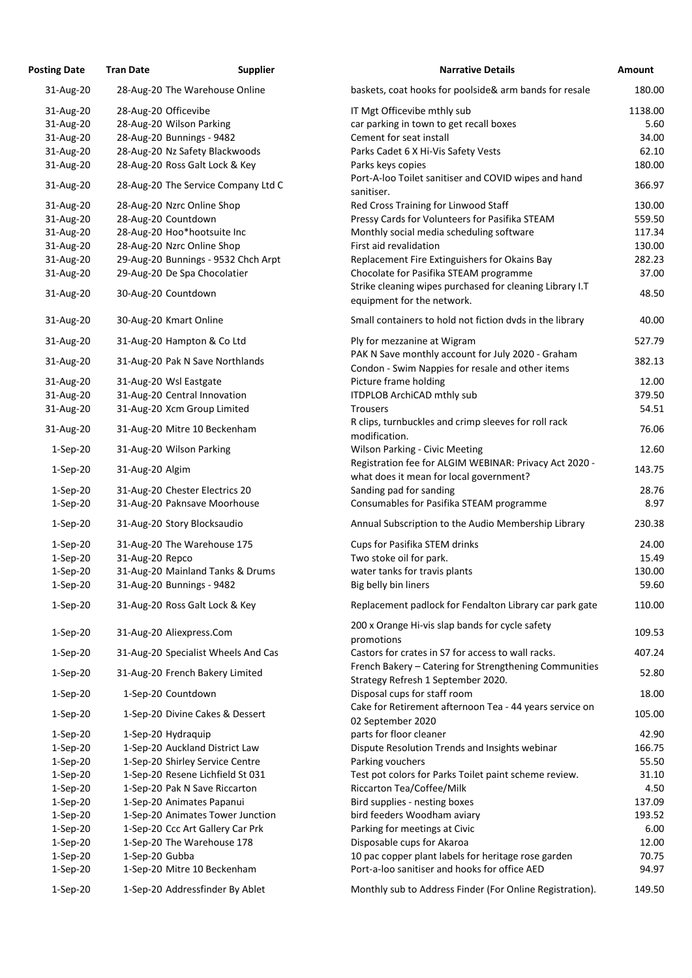| <b>Posting Date</b> | <b>Tran Date</b>                | <b>Supplier</b>                     | <b>Narrative Details</b>                                                                              | <b>Amount</b> |
|---------------------|---------------------------------|-------------------------------------|-------------------------------------------------------------------------------------------------------|---------------|
| 31-Aug-20           | 28-Aug-20 The Warehouse Online  |                                     | baskets, coat hooks for poolside& arm bands for resale                                                | 180.00        |
| 31-Aug-20           | 28-Aug-20 Officevibe            |                                     | IT Mgt Officevibe mthly sub                                                                           | 1138.00       |
| 31-Aug-20           | 28-Aug-20 Wilson Parking        |                                     | car parking in town to get recall boxes                                                               | 5.60          |
| 31-Aug-20           | 28-Aug-20 Bunnings - 9482       |                                     | Cement for seat install                                                                               | 34.00         |
| 31-Aug-20           | 28-Aug-20 Nz Safety Blackwoods  |                                     | Parks Cadet 6 X Hi-Vis Safety Vests                                                                   | 62.10         |
|                     |                                 |                                     |                                                                                                       |               |
| 31-Aug-20           | 28-Aug-20 Ross Galt Lock & Key  |                                     | Parks keys copies                                                                                     | 180.00        |
| 31-Aug-20           |                                 | 28-Aug-20 The Service Company Ltd C | Port-A-loo Toilet sanitiser and COVID wipes and hand<br>sanitiser.                                    | 366.97        |
| 31-Aug-20           | 28-Aug-20 Nzrc Online Shop      |                                     | Red Cross Training for Linwood Staff                                                                  | 130.00        |
| 31-Aug-20           | 28-Aug-20 Countdown             |                                     | Pressy Cards for Volunteers for Pasifika STEAM                                                        | 559.50        |
| 31-Aug-20           | 28-Aug-20 Hoo*hootsuite Inc     |                                     | Monthly social media scheduling software                                                              | 117.34        |
| 31-Aug-20           | 28-Aug-20 Nzrc Online Shop      |                                     | First aid revalidation                                                                                | 130.00        |
| 31-Aug-20           |                                 | 29-Aug-20 Bunnings - 9532 Chch Arpt | Replacement Fire Extinguishers for Okains Bay                                                         | 282.23        |
| 31-Aug-20           | 29-Aug-20 De Spa Chocolatier    |                                     | Chocolate for Pasifika STEAM programme                                                                | 37.00         |
|                     |                                 |                                     | Strike cleaning wipes purchased for cleaning Library I.T                                              |               |
| 31-Aug-20           | 30-Aug-20 Countdown             |                                     | equipment for the network.                                                                            | 48.50         |
| 31-Aug-20           | 30-Aug-20 Kmart Online          |                                     | Small containers to hold not fiction dvds in the library                                              | 40.00         |
| 31-Aug-20           | 31-Aug-20 Hampton & Co Ltd      |                                     | Ply for mezzanine at Wigram                                                                           | 527.79        |
| 31-Aug-20           | 31-Aug-20 Pak N Save Northlands |                                     | PAK N Save monthly account for July 2020 - Graham<br>Condon - Swim Nappies for resale and other items | 382.13        |
| 31-Aug-20           | 31-Aug-20 Wsl Eastgate          |                                     | Picture frame holding                                                                                 | 12.00         |
| 31-Aug-20           | 31-Aug-20 Central Innovation    |                                     | <b>ITDPLOB ArchiCAD mthly sub</b>                                                                     | 379.50        |
| 31-Aug-20           | 31-Aug-20 Xcm Group Limited     |                                     | <b>Trousers</b>                                                                                       | 54.51         |
| 31-Aug-20           | 31-Aug-20 Mitre 10 Beckenham    |                                     | R clips, turnbuckles and crimp sleeves for roll rack<br>modification.                                 | 76.06         |
| $1-Sep-20$          | 31-Aug-20 Wilson Parking        |                                     | <b>Wilson Parking - Civic Meeting</b>                                                                 | 12.60         |
| $1-Sep-20$          | 31-Aug-20 Algim                 |                                     | Registration fee for ALGIM WEBINAR: Privacy Act 2020 -<br>what does it mean for local government?     | 143.75        |
| $1-Sep-20$          | 31-Aug-20 Chester Electrics 20  |                                     | Sanding pad for sanding                                                                               | 28.76         |
| $1-Sep-20$          | 31-Aug-20 Paknsave Moorhouse    |                                     | Consumables for Pasifika STEAM programme                                                              | 8.97          |
| $1-Sep-20$          | 31-Aug-20 Story Blocksaudio     |                                     | Annual Subscription to the Audio Membership Library                                                   | 230.38        |
| $1-Sep-20$          | 31-Aug-20 The Warehouse 175     |                                     | <b>Cups for Pasifika STEM drinks</b>                                                                  | 24.00         |
| $1-Sep-20$          | 31-Aug-20 Repco                 |                                     | Two stoke oil for park.                                                                               | 15.49         |
| $1-Sep-20$          |                                 | 31-Aug-20 Mainland Tanks & Drums    | water tanks for travis plants                                                                         | 130.00        |
| $1-Sep-20$          | 31-Aug-20 Bunnings - 9482       |                                     | Big belly bin liners                                                                                  | 59.60         |
|                     |                                 |                                     |                                                                                                       |               |
| $1-Sep-20$          | 31-Aug-20 Ross Galt Lock & Key  |                                     | Replacement padlock for Fendalton Library car park gate                                               | 110.00        |
| $1-Sep-20$          | 31-Aug-20 Aliexpress.Com        |                                     | 200 x Orange Hi-vis slap bands for cycle safety<br>promotions                                         | 109.53        |
| $1-Sep-20$          |                                 | 31-Aug-20 Specialist Wheels And Cas | Castors for crates in S7 for access to wall racks.                                                    | 407.24        |
| $1-Sep-20$          | 31-Aug-20 French Bakery Limited |                                     | French Bakery - Catering for Strengthening Communities<br>Strategy Refresh 1 September 2020.          | 52.80         |
| $1-Sep-20$          | 1-Sep-20 Countdown              |                                     | Disposal cups for staff room                                                                          | 18.00         |
| $1-Sep-20$          |                                 | 1-Sep-20 Divine Cakes & Dessert     | Cake for Retirement afternoon Tea - 44 years service on<br>02 September 2020                          | 105.00        |
| $1-Sep-20$          | 1-Sep-20 Hydraquip              |                                     | parts for floor cleaner                                                                               | 42.90         |
| $1-Sep-20$          | 1-Sep-20 Auckland District Law  |                                     | Dispute Resolution Trends and Insights webinar                                                        | 166.75        |
| $1-Sep-20$          | 1-Sep-20 Shirley Service Centre |                                     | Parking vouchers                                                                                      | 55.50         |
| $1-Sep-20$          |                                 | 1-Sep-20 Resene Lichfield St 031    | Test pot colors for Parks Toilet paint scheme review.                                                 | 31.10         |
| $1-Sep-20$          | 1-Sep-20 Pak N Save Riccarton   |                                     | Riccarton Tea/Coffee/Milk                                                                             | 4.50          |
| $1-Sep-20$          | 1-Sep-20 Animates Papanui       |                                     | Bird supplies - nesting boxes                                                                         | 137.09        |
| $1-Sep-20$          |                                 | 1-Sep-20 Animates Tower Junction    | bird feeders Woodham aviary                                                                           | 193.52        |
| $1-Sep-20$          |                                 | 1-Sep-20 Ccc Art Gallery Car Prk    | Parking for meetings at Civic                                                                         | 6.00          |
|                     |                                 |                                     |                                                                                                       |               |
| $1-Sep-20$          | 1-Sep-20 The Warehouse 178      |                                     | Disposable cups for Akaroa                                                                            | 12.00         |
| $1-Sep-20$          | 1-Sep-20 Gubba                  |                                     | 10 pac copper plant labels for heritage rose garden                                                   | 70.75         |
| $1-Sep-20$          | 1-Sep-20 Mitre 10 Beckenham     |                                     | Port-a-loo sanitiser and hooks for office AED                                                         | 94.97         |
| $1-Sep-20$          |                                 | 1-Sep-20 Addressfinder By Ablet     | Monthly sub to Address Finder (For Online Registration).                                              | 149.50        |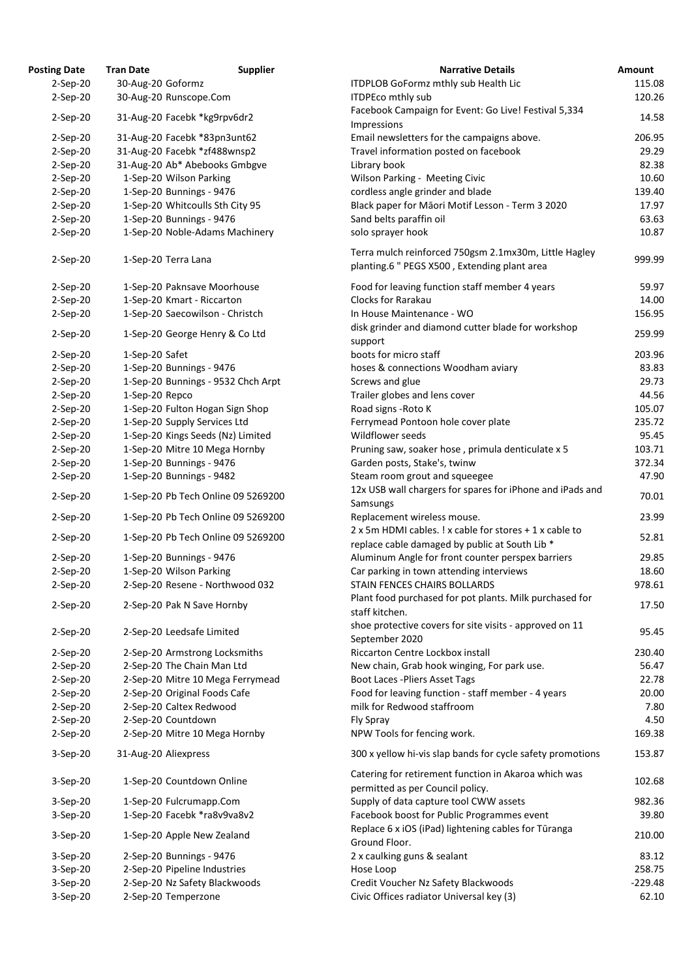| <b>osting Date</b> | <b>Tran Date</b>     | <b>Supplier</b>                    | <b>Narrative Details</b>                                                                                  |
|--------------------|----------------------|------------------------------------|-----------------------------------------------------------------------------------------------------------|
| $2-Sep-20$         | 30-Aug-20 Goformz    |                                    | <b>ITDPLOB GoFormz mthly sub Health Lic</b>                                                               |
| $2-Sep-20$         |                      | 30-Aug-20 Runscope.Com             | <b>ITDPEco mthly sub</b>                                                                                  |
| $2-Sep-20$         |                      | 31-Aug-20 Facebk *kg9rpv6dr2       | Facebook Campaign for Event: Go Live! Festival 5,334<br>Impressions                                       |
| $2-Sep-20$         |                      | 31-Aug-20 Facebk *83pn3unt62       | Email newsletters for the campaigns above.                                                                |
| $2-Sep-20$         |                      | 31-Aug-20 Facebk *zf488wnsp2       | Travel information posted on facebook                                                                     |
| $2-Sep-20$         |                      | 31-Aug-20 Ab* Abebooks Gmbgve      | Library book                                                                                              |
| $2-Sep-20$         |                      | 1-Sep-20 Wilson Parking            | Wilson Parking - Meeting Civic                                                                            |
| $2-Sep-20$         |                      | 1-Sep-20 Bunnings - 9476           | cordless angle grinder and blade                                                                          |
|                    |                      |                                    |                                                                                                           |
| $2-Sep-20$         |                      | 1-Sep-20 Whitcoulls Sth City 95    | Black paper for Māori Motif Lesson - Term 3 2020                                                          |
| $2-Sep-20$         |                      | 1-Sep-20 Bunnings - 9476           | Sand belts paraffin oil                                                                                   |
| $2-Sep-20$         |                      | 1-Sep-20 Noble-Adams Machinery     | solo sprayer hook                                                                                         |
| $2-Sep-20$         |                      | 1-Sep-20 Terra Lana                | Terra mulch reinforced 750gsm 2.1mx30m, Little Hagl<br>planting.6 " PEGS X500, Extending plant area       |
| $2-Sep-20$         |                      | 1-Sep-20 Paknsave Moorhouse        | Food for leaving function staff member 4 years                                                            |
| $2-Sep-20$         |                      | 1-Sep-20 Kmart - Riccarton         | <b>Clocks for Rarakau</b>                                                                                 |
| $2-Sep-20$         |                      | 1-Sep-20 Saecowilson - Christch    | In House Maintenance - WO                                                                                 |
|                    |                      |                                    |                                                                                                           |
| $2-Sep-20$         |                      | 1-Sep-20 George Henry & Co Ltd     | disk grinder and diamond cutter blade for workshop                                                        |
|                    |                      |                                    | support                                                                                                   |
| $2-Sep-20$         | 1-Sep-20 Safet       |                                    | boots for micro staff                                                                                     |
| $2-Sep-20$         |                      | 1-Sep-20 Bunnings - 9476           | hoses & connections Woodham aviary                                                                        |
| $2-Sep-20$         |                      | 1-Sep-20 Bunnings - 9532 Chch Arpt | Screws and glue                                                                                           |
| $2-Sep-20$         | 1-Sep-20 Repco       |                                    | Trailer globes and lens cover                                                                             |
| $2-Sep-20$         |                      | 1-Sep-20 Fulton Hogan Sign Shop    | Road signs - Roto K                                                                                       |
| $2-Sep-20$         |                      | 1-Sep-20 Supply Services Ltd       | Ferrymead Pontoon hole cover plate                                                                        |
| $2-Sep-20$         |                      | 1-Sep-20 Kings Seeds (Nz) Limited  | Wildflower seeds                                                                                          |
| $2-Sep-20$         |                      | 1-Sep-20 Mitre 10 Mega Hornby      | Pruning saw, soaker hose, primula denticulate x 5                                                         |
| $2-Sep-20$         |                      | 1-Sep-20 Bunnings - 9476           | Garden posts, Stake's, twinw                                                                              |
| $2-Sep-20$         |                      | 1-Sep-20 Bunnings - 9482           | Steam room grout and squeegee                                                                             |
|                    |                      |                                    | 12x USB wall chargers for spares for iPhone and iPads                                                     |
| $2-Sep-20$         |                      | 1-Sep-20 Pb Tech Online 09 5269200 | Samsungs                                                                                                  |
|                    |                      |                                    |                                                                                                           |
| $2-Sep-20$         |                      | 1-Sep-20 Pb Tech Online 09 5269200 | Replacement wireless mouse.                                                                               |
| $2-Sep-20$         |                      | 1-Sep-20 Pb Tech Online 09 5269200 | 2 x 5m HDMI cables. ! x cable for stores + 1 x cable to<br>replace cable damaged by public at South Lib * |
| $2-Sep-20$         |                      | 1-Sep-20 Bunnings - 9476           | Aluminum Angle for front counter perspex barriers                                                         |
| $2-Sep-20$         |                      | 1-Sep-20 Wilson Parking            | Car parking in town attending interviews                                                                  |
| $2-Sep-20$         |                      | 2-Sep-20 Resene - Northwood 032    | STAIN FENCES CHAIRS BOLLARDS                                                                              |
| $2-Sep-20$         |                      | 2-Sep-20 Pak N Save Hornby         | Plant food purchased for pot plants. Milk purchased fo<br>staff kitchen.                                  |
| $2-Sep-20$         |                      | 2-Sep-20 Leedsafe Limited          | shoe protective covers for site visits - approved on 11<br>September 2020                                 |
| $2-Sep-20$         |                      | 2-Sep-20 Armstrong Locksmiths      | Riccarton Centre Lockbox install                                                                          |
| $2-Sep-20$         |                      | 2-Sep-20 The Chain Man Ltd         | New chain, Grab hook winging, For park use.                                                               |
| $2-Sep-20$         |                      | 2-Sep-20 Mitre 10 Mega Ferrymead   | <b>Boot Laces - Pliers Asset Tags</b>                                                                     |
| $2-Sep-20$         |                      | 2-Sep-20 Original Foods Cafe       | Food for leaving function - staff member - 4 years                                                        |
| $2-Sep-20$         |                      | 2-Sep-20 Caltex Redwood            | milk for Redwood staffroom                                                                                |
| $2-Sep-20$         |                      | 2-Sep-20 Countdown                 | Fly Spray                                                                                                 |
|                    |                      |                                    |                                                                                                           |
| $2-Sep-20$         |                      | 2-Sep-20 Mitre 10 Mega Hornby      | NPW Tools for fencing work.                                                                               |
| $3-Sep-20$         | 31-Aug-20 Aliexpress |                                    | 300 x yellow hi-vis slap bands for cycle safety promoti                                                   |
| $3-Sep-20$         |                      | 1-Sep-20 Countdown Online          | Catering for retirement function in Akaroa which was<br>permitted as per Council policy.                  |
| $3-Sep-20$         |                      | 1-Sep-20 Fulcrumapp.Com            | Supply of data capture tool CWW assets                                                                    |
| $3-Sep-20$         |                      | 1-Sep-20 Facebk *ra8v9va8v2        | Facebook boost for Public Programmes event                                                                |
| $3-Sep-20$         |                      | 1-Sep-20 Apple New Zealand         | Replace 6 x iOS (iPad) lightening cables for Tūranga<br>Ground Floor.                                     |
| $3-Sep-20$         |                      | 2-Sep-20 Bunnings - 9476           | 2 x caulking guns & sealant                                                                               |
| 3-Sep-20           |                      | 2-Sep-20 Pipeline Industries       | Hose Loop                                                                                                 |
| 3-Sep-20           |                      | 2-Sep-20 Nz Safety Blackwoods      | Credit Voucher Nz Safety Blackwoods                                                                       |
| 3-Sep-20           |                      | 2-Sep-20 Temperzone                | Civic Offices radiator Universal key (3)                                                                  |
|                    |                      |                                    |                                                                                                           |

| <b>Posting Date</b> | <b>Tran Date</b>     | <b>Supplier</b>                    | <b>Narrative Details</b>                                                                                  | <b>Amount</b> |
|---------------------|----------------------|------------------------------------|-----------------------------------------------------------------------------------------------------------|---------------|
| $2-Sep-20$          | 30-Aug-20 Goformz    |                                    | ITDPLOB GoFormz mthly sub Health Lic                                                                      | 115.08        |
| $2-Sep-20$          |                      | 30-Aug-20 Runscope.Com             | <b>ITDPEco mthly sub</b>                                                                                  | 120.26        |
| $2-Sep-20$          |                      | 31-Aug-20 Facebk *kg9rpv6dr2       | Facebook Campaign for Event: Go Live! Festival 5,334<br>Impressions                                       | 14.58         |
| $2-Sep-20$          |                      | 31-Aug-20 Facebk *83pn3unt62       | Email newsletters for the campaigns above.                                                                | 206.95        |
| $2-Sep-20$          |                      | 31-Aug-20 Facebk *zf488wnsp2       | Travel information posted on facebook                                                                     | 29.29         |
| $2-Sep-20$          |                      | 31-Aug-20 Ab* Abebooks Gmbgve      | Library book                                                                                              | 82.38         |
| $2-Sep-20$          |                      | 1-Sep-20 Wilson Parking            | Wilson Parking - Meeting Civic                                                                            | 10.60         |
| $2-Sep-20$          |                      | 1-Sep-20 Bunnings - 9476           | cordless angle grinder and blade                                                                          | 139.40        |
| $2-Sep-20$          |                      | 1-Sep-20 Whitcoulls Sth City 95    | Black paper for Māori Motif Lesson - Term 3 2020                                                          | 17.97         |
| $2-Sep-20$          |                      | 1-Sep-20 Bunnings - 9476           | Sand belts paraffin oil                                                                                   | 63.63         |
| $2-Sep-20$          |                      | 1-Sep-20 Noble-Adams Machinery     | solo sprayer hook                                                                                         | 10.87         |
|                     |                      |                                    |                                                                                                           |               |
| $2-Sep-20$          |                      | 1-Sep-20 Terra Lana                | Terra mulch reinforced 750gsm 2.1mx30m, Little Hagley<br>planting.6 " PEGS X500, Extending plant area     | 999.99        |
| $2-Sep-20$          |                      | 1-Sep-20 Paknsave Moorhouse        | Food for leaving function staff member 4 years                                                            | 59.97         |
| $2-Sep-20$          |                      | 1-Sep-20 Kmart - Riccarton         | <b>Clocks for Rarakau</b>                                                                                 | 14.00         |
| $2-Sep-20$          |                      | 1-Sep-20 Saecowilson - Christch    | In House Maintenance - WO                                                                                 | 156.95        |
|                     |                      |                                    | disk grinder and diamond cutter blade for workshop                                                        |               |
| $2-Sep-20$          |                      | 1-Sep-20 George Henry & Co Ltd     | support                                                                                                   | 259.99        |
| $2-Sep-20$          | 1-Sep-20 Safet       |                                    | boots for micro staff                                                                                     | 203.96        |
| $2-Sep-20$          |                      | 1-Sep-20 Bunnings - 9476           | hoses & connections Woodham aviary                                                                        | 83.83         |
|                     |                      | 1-Sep-20 Bunnings - 9532 Chch Arpt |                                                                                                           | 29.73         |
| $2-Sep-20$          |                      |                                    | Screws and glue                                                                                           |               |
| $2-Sep-20$          | 1-Sep-20 Repco       |                                    | Trailer globes and lens cover                                                                             | 44.56         |
| $2-Sep-20$          |                      | 1-Sep-20 Fulton Hogan Sign Shop    | Road signs - Roto K                                                                                       | 105.07        |
| $2-Sep-20$          |                      | 1-Sep-20 Supply Services Ltd       | Ferrymead Pontoon hole cover plate                                                                        | 235.72        |
| $2-Sep-20$          |                      | 1-Sep-20 Kings Seeds (Nz) Limited  | Wildflower seeds                                                                                          | 95.45         |
| $2-Sep-20$          |                      | 1-Sep-20 Mitre 10 Mega Hornby      | Pruning saw, soaker hose, primula denticulate x 5                                                         | 103.71        |
| $2-Sep-20$          |                      | 1-Sep-20 Bunnings - 9476           | Garden posts, Stake's, twinw                                                                              | 372.34        |
| $2-Sep-20$          |                      | 1-Sep-20 Bunnings - 9482           | Steam room grout and squeegee                                                                             | 47.90         |
| $2-Sep-20$          |                      | 1-Sep-20 Pb Tech Online 09 5269200 | 12x USB wall chargers for spares for iPhone and iPads and                                                 | 70.01         |
|                     |                      |                                    | Samsungs                                                                                                  |               |
| 2-Sep-20            |                      | 1-Sep-20 Pb Tech Online 09 5269200 | Replacement wireless mouse.                                                                               | 23.99         |
| $2-Sep-20$          |                      | 1-Sep-20 Pb Tech Online 09 5269200 | 2 x 5m HDMI cables. ! x cable for stores + 1 x cable to<br>replace cable damaged by public at South Lib * | 52.81         |
| $2-Sep-20$          |                      | 1-Sep-20 Bunnings - 9476           | Aluminum Angle for front counter perspex barriers                                                         | 29.85         |
| $2-Sep-20$          |                      | 1-Sep-20 Wilson Parking            | Car parking in town attending interviews                                                                  | 18.60         |
| $2-Sep-20$          |                      | 2-Sep-20 Resene - Northwood 032    | STAIN FENCES CHAIRS BOLLARDS                                                                              | 978.61        |
| $2-Sep-20$          |                      | 2-Sep-20 Pak N Save Hornby         | Plant food purchased for pot plants. Milk purchased for<br>staff kitchen.                                 | 17.50         |
| $2-Sep-20$          |                      | 2-Sep-20 Leedsafe Limited          | shoe protective covers for site visits - approved on 11<br>September 2020                                 | 95.45         |
| $2-Sep-20$          |                      | 2-Sep-20 Armstrong Locksmiths      | Riccarton Centre Lockbox install                                                                          | 230.40        |
| $2-Sep-20$          |                      | 2-Sep-20 The Chain Man Ltd         | New chain, Grab hook winging, For park use.                                                               | 56.47         |
| $2-Sep-20$          |                      | 2-Sep-20 Mitre 10 Mega Ferrymead   | <b>Boot Laces - Pliers Asset Tags</b>                                                                     | 22.78         |
| $2-Sep-20$          |                      | 2-Sep-20 Original Foods Cafe       | Food for leaving function - staff member - 4 years                                                        | 20.00         |
| $2-Sep-20$          |                      | 2-Sep-20 Caltex Redwood            | milk for Redwood staffroom                                                                                | 7.80          |
| $2-Sep-20$          |                      | 2-Sep-20 Countdown                 | Fly Spray                                                                                                 | 4.50          |
| $2-Sep-20$          |                      | 2-Sep-20 Mitre 10 Mega Hornby      | NPW Tools for fencing work.                                                                               | 169.38        |
| $3-Sep-20$          | 31-Aug-20 Aliexpress |                                    | 300 x yellow hi-vis slap bands for cycle safety promotions                                                | 153.87        |
| $3-Sep-20$          |                      | 1-Sep-20 Countdown Online          | Catering for retirement function in Akaroa which was<br>permitted as per Council policy.                  | 102.68        |
| $3-Sep-20$          |                      | 1-Sep-20 Fulcrumapp.Com            | Supply of data capture tool CWW assets                                                                    | 982.36        |
| $3-Sep-20$          |                      | 1-Sep-20 Facebk *ra8v9va8v2        | Facebook boost for Public Programmes event                                                                | 39.80         |
| 3-Sep-20            |                      | 1-Sep-20 Apple New Zealand         | Replace 6 x iOS (iPad) lightening cables for Tūranga<br>Ground Floor.                                     | 210.00        |
| $3-Sep-20$          |                      | 2-Sep-20 Bunnings - 9476           | 2 x caulking guns & sealant                                                                               | 83.12         |
| 3-Sep-20            |                      | 2-Sep-20 Pipeline Industries       | Hose Loop                                                                                                 | 258.75        |
| 3-Sep-20            |                      | 2-Sep-20 Nz Safety Blackwoods      | Credit Voucher Nz Safety Blackwoods                                                                       | $-229.48$     |
| 3-Sep-20            |                      | 2-Sep-20 Temperzone                | Civic Offices radiator Universal key (3)                                                                  | 62.10         |
|                     |                      |                                    |                                                                                                           |               |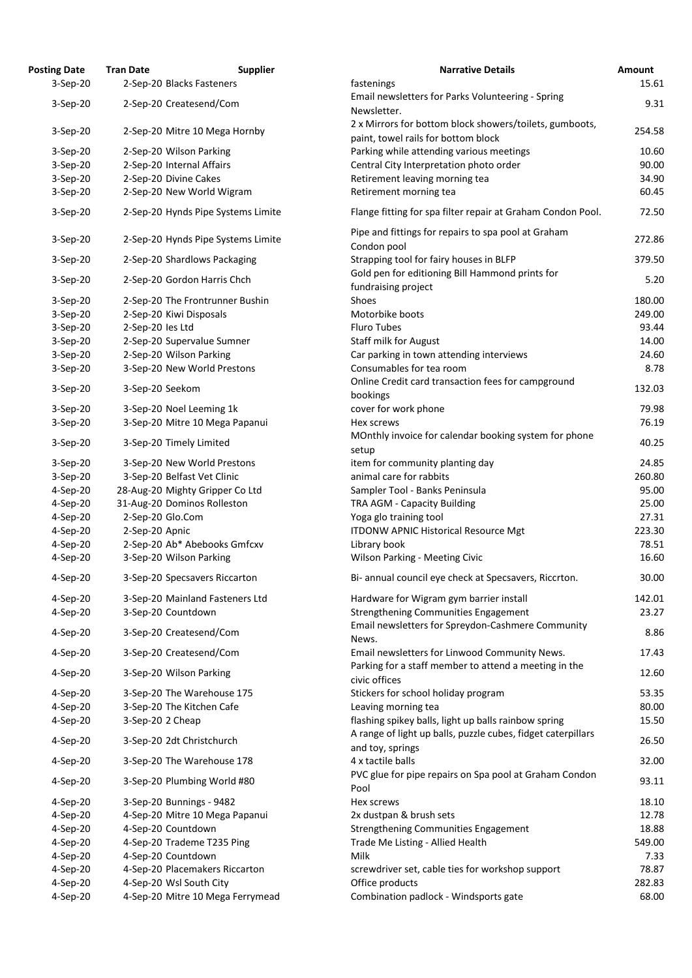| osting Date | <b>Tran Date</b>                   | <b>Supplier</b> | <b>Narrative Details</b>                                                                              |
|-------------|------------------------------------|-----------------|-------------------------------------------------------------------------------------------------------|
| $3-Sep-20$  | 2-Sep-20 Blacks Fasteners          |                 | fastenings                                                                                            |
| $3-Sep-20$  | 2-Sep-20 Createsend/Com            |                 | Email newsletters for Parks Volunteering - Spring                                                     |
|             |                                    |                 | Newsletter.                                                                                           |
| 3-Sep-20    | 2-Sep-20 Mitre 10 Mega Hornby      |                 | 2 x Mirrors for bottom block showers/toilets, gumbe<br>paint, towel rails for bottom block            |
| 3-Sep-20    | 2-Sep-20 Wilson Parking            |                 | Parking while attending various meetings                                                              |
| $3-Sep-20$  | 2-Sep-20 Internal Affairs          |                 | Central City Interpretation photo order                                                               |
| $3-Sep-20$  | 2-Sep-20 Divine Cakes              |                 | Retirement leaving morning tea                                                                        |
| $3-Sep-20$  | 2-Sep-20 New World Wigram          |                 | Retirement morning tea                                                                                |
| 3-Sep-20    | 2-Sep-20 Hynds Pipe Systems Limite |                 | Flange fitting for spa filter repair at Graham Condon                                                 |
| 3-Sep-20    | 2-Sep-20 Hynds Pipe Systems Limite |                 | Pipe and fittings for repairs to spa pool at Graham<br>Condon pool                                    |
| 3-Sep-20    | 2-Sep-20 Shardlows Packaging       |                 | Strapping tool for fairy houses in BLFP                                                               |
| 3-Sep-20    | 2-Sep-20 Gordon Harris Chch        |                 | Gold pen for editioning Bill Hammond prints for<br>fundraising project                                |
| 3-Sep-20    | 2-Sep-20 The Frontrunner Bushin    |                 | Shoes                                                                                                 |
| 3-Sep-20    | 2-Sep-20 Kiwi Disposals            |                 | Motorbike boots                                                                                       |
| $3-Sep-20$  | 2-Sep-20 les Ltd                   |                 | <b>Fluro Tubes</b>                                                                                    |
| $3-Sep-20$  | 2-Sep-20 Supervalue Sumner         |                 | <b>Staff milk for August</b>                                                                          |
| $3-Sep-20$  | 2-Sep-20 Wilson Parking            |                 | Car parking in town attending interviews                                                              |
| 3-Sep-20    | 3-Sep-20 New World Prestons        |                 | Consumables for tea room                                                                              |
| 3-Sep-20    | 3-Sep-20 Seekom                    |                 | Online Credit card transaction fees for campground                                                    |
|             |                                    |                 | bookings                                                                                              |
| 3-Sep-20    | 3-Sep-20 Noel Leeming 1k           |                 | cover for work phone                                                                                  |
| $3-Sep-20$  | 3-Sep-20 Mitre 10 Mega Papanui     |                 | Hex screws<br>MOnthly invoice for calendar booking system for ph                                      |
| 3-Sep-20    | 3-Sep-20 Timely Limited            |                 | setup                                                                                                 |
| 3-Sep-20    | 3-Sep-20 New World Prestons        |                 | item for community planting day                                                                       |
| $3-Sep-20$  | 3-Sep-20 Belfast Vet Clinic        |                 | animal care for rabbits                                                                               |
| 4-Sep-20    | 28-Aug-20 Mighty Gripper Co Ltd    |                 | Sampler Tool - Banks Peninsula                                                                        |
| 4-Sep-20    | 31-Aug-20 Dominos Rolleston        |                 | TRA AGM - Capacity Building                                                                           |
| 4-Sep-20    | 2-Sep-20 Glo.Com                   |                 | Yoga glo training tool                                                                                |
| 4-Sep-20    | 2-Sep-20 Apnic                     |                 | <b>ITDONW APNIC Historical Resource Mgt</b>                                                           |
| 4-Sep-20    | 2-Sep-20 Ab* Abebooks Gmfcxv       |                 | Library book                                                                                          |
| 4-Sep-20    | 3-Sep-20 Wilson Parking            |                 | <b>Wilson Parking - Meeting Civic</b>                                                                 |
| 4-Sep-20    | 3-Sep-20 Specsavers Riccarton      |                 | Bi- annual council eye check at Specsavers, Riccrton                                                  |
| 4-Sep-20    | 3-Sep-20 Mainland Fasteners Ltd    |                 | Hardware for Wigram gym barrier install                                                               |
| 4-Sep-20    | 3-Sep-20 Countdown                 |                 | Strengthening Communities Engagement                                                                  |
| 4-Sep-20    | 3-Sep-20 Createsend/Com            |                 | Email newsletters for Spreydon-Cashmere Commun                                                        |
|             |                                    |                 | News.                                                                                                 |
| 4-Sep-20    | 3-Sep-20 Createsend/Com            |                 | Email newsletters for Linwood Community News.<br>Parking for a staff member to attend a meeting in th |
| 4-Sep-20    | 3-Sep-20 Wilson Parking            |                 | civic offices                                                                                         |
| 4-Sep-20    | 3-Sep-20 The Warehouse 175         |                 | Stickers for school holiday program                                                                   |
| 4-Sep-20    | 3-Sep-20 The Kitchen Cafe          |                 | Leaving morning tea                                                                                   |
| 4-Sep-20    | 3-Sep-20 2 Cheap                   |                 | flashing spikey balls, light up balls rainbow spring                                                  |
| 4-Sep-20    | 3-Sep-20 2dt Christchurch          |                 | A range of light up balls, puzzle cubes, fidget caterpi<br>and toy, springs                           |
| 4-Sep-20    | 3-Sep-20 The Warehouse 178         |                 | 4 x tactile balls                                                                                     |
| 4-Sep-20    | 3-Sep-20 Plumbing World #80        |                 | PVC glue for pipe repairs on Spa pool at Graham Cor<br>Pool                                           |
| 4-Sep-20    | 3-Sep-20 Bunnings - 9482           |                 | Hex screws                                                                                            |
| 4-Sep-20    | 4-Sep-20 Mitre 10 Mega Papanui     |                 | 2x dustpan & brush sets                                                                               |
| 4-Sep-20    | 4-Sep-20 Countdown                 |                 | <b>Strengthening Communities Engagement</b>                                                           |
| 4-Sep-20    | 4-Sep-20 Trademe T235 Ping         |                 | Trade Me Listing - Allied Health                                                                      |
| 4-Sep-20    | 4-Sep-20 Countdown                 |                 | Milk                                                                                                  |
| 4-Sep-20    | 4-Sep-20 Placemakers Riccarton     |                 | screwdriver set, cable ties for workshop support                                                      |
| 4-Sep-20    | 4-Sep-20 Wsl South City            |                 | Office products                                                                                       |
| 4-Sep-20    | 4-Sep-20 Mitre 10 Mega Ferrymead   |                 | Combination padlock - Windsports gate                                                                 |

| <b>Posting Date</b>      | <b>Tran Date</b> | <b>Supplier</b>                                    | <b>Narrative Details</b>                                                         | Amount         |
|--------------------------|------------------|----------------------------------------------------|----------------------------------------------------------------------------------|----------------|
| $3-Sep-20$               |                  | 2-Sep-20 Blacks Fasteners                          | fastenings                                                                       | 15.61          |
| $3-Sep-20$               |                  | 2-Sep-20 Createsend/Com                            | Email newsletters for Parks Volunteering - Spring                                | 9.31           |
|                          |                  |                                                    | Newsletter.                                                                      |                |
| 3-Sep-20                 |                  | 2-Sep-20 Mitre 10 Mega Hornby                      | 2 x Mirrors for bottom block showers/toilets, gumboots,                          | 254.58         |
|                          |                  |                                                    | paint, towel rails for bottom block                                              |                |
| $3-Sep-20$               |                  | 2-Sep-20 Wilson Parking                            | Parking while attending various meetings                                         | 10.60          |
| $3-Sep-20$               |                  | 2-Sep-20 Internal Affairs                          | Central City Interpretation photo order                                          | 90.00          |
| $3-Sep-20$<br>$3-Sep-20$ |                  | 2-Sep-20 Divine Cakes<br>2-Sep-20 New World Wigram | Retirement leaving morning tea<br>Retirement morning tea                         | 34.90<br>60.45 |
|                          |                  |                                                    |                                                                                  |                |
| $3-Sep-20$               |                  | 2-Sep-20 Hynds Pipe Systems Limite                 | Flange fitting for spa filter repair at Graham Condon Pool.                      | 72.50          |
| $3-Sep-20$               |                  | 2-Sep-20 Hynds Pipe Systems Limite                 | Pipe and fittings for repairs to spa pool at Graham<br>Condon pool               | 272.86         |
| 3-Sep-20                 |                  | 2-Sep-20 Shardlows Packaging                       | Strapping tool for fairy houses in BLFP                                          | 379.50         |
| 3-Sep-20                 |                  | 2-Sep-20 Gordon Harris Chch                        | Gold pen for editioning Bill Hammond prints for<br>fundraising project           | 5.20           |
| $3-Sep-20$               |                  | 2-Sep-20 The Frontrunner Bushin                    | Shoes                                                                            | 180.00         |
| $3-Sep-20$               |                  | 2-Sep-20 Kiwi Disposals                            | Motorbike boots                                                                  | 249.00         |
| $3-Sep-20$               | 2-Sep-20 les Ltd |                                                    | <b>Fluro Tubes</b>                                                               | 93.44          |
| $3-Sep-20$               |                  | 2-Sep-20 Supervalue Sumner                         | <b>Staff milk for August</b>                                                     | 14.00          |
| $3-Sep-20$               |                  | 2-Sep-20 Wilson Parking                            | Car parking in town attending interviews                                         | 24.60          |
| 3-Sep-20                 |                  | 3-Sep-20 New World Prestons                        | Consumables for tea room                                                         | 8.78           |
| $3-Sep-20$               | 3-Sep-20 Seekom  |                                                    | Online Credit card transaction fees for campground                               | 132.03         |
|                          |                  |                                                    | bookings                                                                         |                |
| $3-Sep-20$               |                  | 3-Sep-20 Noel Leeming 1k                           | cover for work phone                                                             | 79.98          |
| $3-Sep-20$               |                  | 3-Sep-20 Mitre 10 Mega Papanui                     | Hex screws<br>MOnthly invoice for calendar booking system for phone              | 76.19          |
| $3-Sep-20$               |                  | 3-Sep-20 Timely Limited                            | setup                                                                            | 40.25          |
| 3-Sep-20                 |                  | 3-Sep-20 New World Prestons                        | item for community planting day                                                  | 24.85          |
| $3-Sep-20$               |                  | 3-Sep-20 Belfast Vet Clinic                        | animal care for rabbits                                                          | 260.80         |
| 4-Sep-20                 |                  | 28-Aug-20 Mighty Gripper Co Ltd                    | Sampler Tool - Banks Peninsula                                                   | 95.00          |
| 4-Sep-20                 |                  | 31-Aug-20 Dominos Rolleston                        | TRA AGM - Capacity Building                                                      | 25.00          |
| 4-Sep-20                 | 2-Sep-20 Glo.Com |                                                    | Yoga glo training tool                                                           | 27.31          |
| 4-Sep-20                 | 2-Sep-20 Apnic   |                                                    | <b>ITDONW APNIC Historical Resource Mgt</b>                                      | 223.30         |
| 4-Sep-20                 |                  | 2-Sep-20 Ab* Abebooks Gmfcxv                       | Library book                                                                     | 78.51          |
| 4-Sep-20                 |                  | 3-Sep-20 Wilson Parking                            | <b>Wilson Parking - Meeting Civic</b>                                            | 16.60          |
| 4-Sep-20                 |                  | 3-Sep-20 Specsavers Riccarton                      | Bi- annual council eye check at Specsavers, Riccrton.                            | 30.00          |
| 4-Sep-20                 |                  | 3-Sep-20 Mainland Fasteners Ltd                    | Hardware for Wigram gym barrier install                                          | 142.01         |
| 4-Sep-20                 |                  | 3-Sep-20 Countdown                                 | Strengthening Communities Engagement                                             | 23.27          |
| 4-Sep-20                 |                  | 3-Sep-20 Createsend/Com                            | Email newsletters for Spreydon-Cashmere Community<br>News.                       | 8.86           |
| 4-Sep-20                 |                  | 3-Sep-20 Createsend/Com                            | Email newsletters for Linwood Community News.                                    | 17.43          |
| 4-Sep-20                 |                  | 3-Sep-20 Wilson Parking                            | Parking for a staff member to attend a meeting in the<br>civic offices           | 12.60          |
| 4-Sep-20                 |                  | 3-Sep-20 The Warehouse 175                         | Stickers for school holiday program                                              | 53.35          |
| 4-Sep-20                 |                  | 3-Sep-20 The Kitchen Cafe                          | Leaving morning tea                                                              | 80.00          |
| 4-Sep-20                 | 3-Sep-20 2 Cheap |                                                    | flashing spikey balls, light up balls rainbow spring                             | 15.50          |
| 4-Sep-20                 |                  | 3-Sep-20 2dt Christchurch                          | A range of light up balls, puzzle cubes, fidget caterpillars<br>and toy, springs | 26.50          |
| 4-Sep-20                 |                  | 3-Sep-20 The Warehouse 178                         | 4 x tactile balls                                                                | 32.00          |
| 4-Sep-20                 |                  | 3-Sep-20 Plumbing World #80                        | PVC glue for pipe repairs on Spa pool at Graham Condon<br>Pool                   | 93.11          |
| 4-Sep-20                 |                  | 3-Sep-20 Bunnings - 9482                           | Hex screws                                                                       | 18.10          |
| 4-Sep-20                 |                  | 4-Sep-20 Mitre 10 Mega Papanui                     | 2x dustpan & brush sets                                                          | 12.78          |
| 4-Sep-20                 |                  | 4-Sep-20 Countdown                                 | <b>Strengthening Communities Engagement</b>                                      | 18.88          |
| 4-Sep-20                 |                  | 4-Sep-20 Trademe T235 Ping                         | Trade Me Listing - Allied Health                                                 | 549.00         |
| 4-Sep-20                 |                  | 4-Sep-20 Countdown                                 | Milk                                                                             | 7.33           |
| 4-Sep-20                 |                  | 4-Sep-20 Placemakers Riccarton                     | screwdriver set, cable ties for workshop support                                 | 78.87          |
| 4-Sep-20                 |                  | 4-Sep-20 Wsl South City                            | Office products                                                                  | 282.83         |
| 4-Sep-20                 |                  | 4-Sep-20 Mitre 10 Mega Ferrymead                   | Combination padlock - Windsports gate                                            | 68.00          |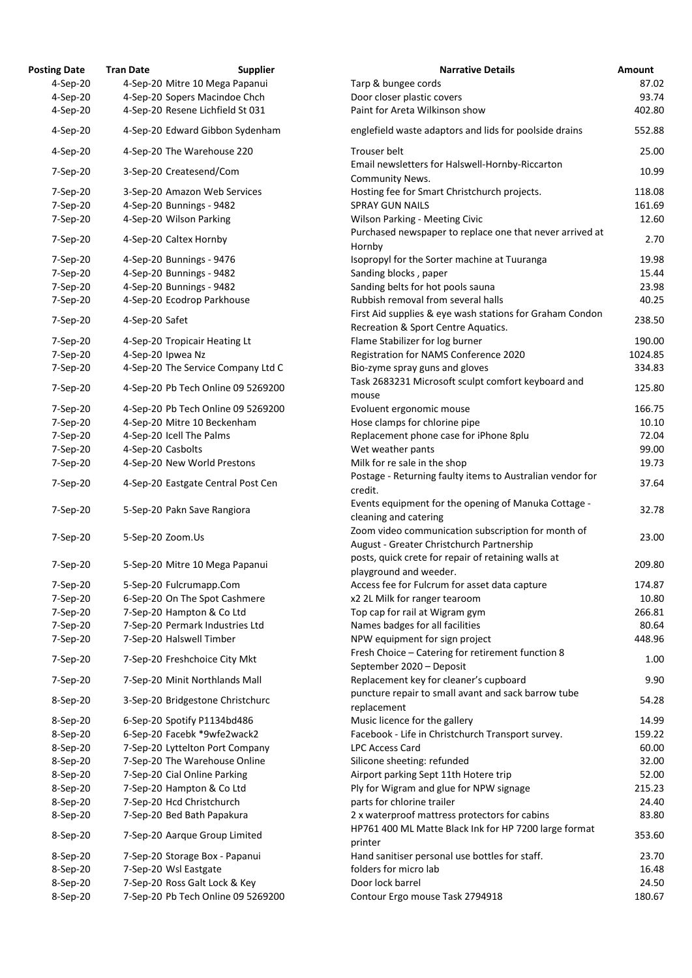| <b>osting Date</b> | <b>Tran Date</b>          | <b>Supplier</b>                    | <b>Narrative Details</b>                                                                    |
|--------------------|---------------------------|------------------------------------|---------------------------------------------------------------------------------------------|
| 4-Sep-20           |                           | 4-Sep-20 Mitre 10 Mega Papanui     | Tarp & bungee cords                                                                         |
| 4-Sep-20           |                           | 4-Sep-20 Sopers Macindoe Chch      | Door closer plastic covers                                                                  |
| 4-Sep-20           |                           | 4-Sep-20 Resene Lichfield St 031   | Paint for Areta Wilkinson show                                                              |
| 4-Sep-20           |                           | 4-Sep-20 Edward Gibbon Sydenham    | englefield waste adaptors and lids for poolside drains                                      |
| 4-Sep-20           |                           | 4-Sep-20 The Warehouse 220         | Trouser belt                                                                                |
| 7-Sep-20           | 3-Sep-20 Createsend/Com   |                                    | Email newsletters for Halswell-Hornby-Riccarton<br>Community News.                          |
| 7-Sep-20           |                           | 3-Sep-20 Amazon Web Services       | Hosting fee for Smart Christchurch projects.                                                |
| 7-Sep-20           | 4-Sep-20 Bunnings - 9482  |                                    | <b>SPRAY GUN NAILS</b>                                                                      |
| 7-Sep-20           | 4-Sep-20 Wilson Parking   |                                    | <b>Wilson Parking - Meeting Civic</b>                                                       |
| 7-Sep-20           | 4-Sep-20 Caltex Hornby    |                                    | Purchased newspaper to replace one that never arriv                                         |
|                    |                           |                                    | Hornby                                                                                      |
| 7-Sep-20           | 4-Sep-20 Bunnings - 9476  |                                    | Isopropyl for the Sorter machine at Tuuranga                                                |
| 7-Sep-20           | 4-Sep-20 Bunnings - 9482  |                                    | Sanding blocks, paper                                                                       |
| 7-Sep-20           | 4-Sep-20 Bunnings - 9482  |                                    | Sanding belts for hot pools sauna                                                           |
| 7-Sep-20           |                           | 4-Sep-20 Ecodrop Parkhouse         | Rubbish removal from several halls                                                          |
| 7-Sep-20           | 4-Sep-20 Safet            |                                    | First Aid supplies & eye wash stations for Graham Co<br>Recreation & Sport Centre Aquatics. |
| 7-Sep-20           |                           | 4-Sep-20 Tropicair Heating Lt      | Flame Stabilizer for log burner                                                             |
| 7-Sep-20           | 4-Sep-20 Ipwea Nz         |                                    | Registration for NAMS Conference 2020                                                       |
| 7-Sep-20           |                           | 4-Sep-20 The Service Company Ltd C | Bio-zyme spray guns and gloves                                                              |
| 7-Sep-20           |                           | 4-Sep-20 Pb Tech Online 09 5269200 | Task 2683231 Microsoft sculpt comfort keyboard and                                          |
|                    |                           |                                    | mouse                                                                                       |
| 7-Sep-20           |                           | 4-Sep-20 Pb Tech Online 09 5269200 | Evoluent ergonomic mouse                                                                    |
| 7-Sep-20           |                           | 4-Sep-20 Mitre 10 Beckenham        | Hose clamps for chlorine pipe                                                               |
| 7-Sep-20           | 4-Sep-20 Icell The Palms  |                                    | Replacement phone case for iPhone 8plu                                                      |
| 7-Sep-20           | 4-Sep-20 Casbolts         |                                    | Wet weather pants                                                                           |
| 7-Sep-20           |                           | 4-Sep-20 New World Prestons        | Milk for re sale in the shop<br>Postage - Returning faulty items to Australian vendor       |
| 7-Sep-20           |                           | 4-Sep-20 Eastgate Central Post Cen | credit.                                                                                     |
|                    |                           |                                    | Events equipment for the opening of Manuka Cottag                                           |
| 7-Sep-20           |                           | 5-Sep-20 Pakn Save Rangiora        | cleaning and catering                                                                       |
|                    |                           |                                    | Zoom video communication subscription for month o                                           |
| 7-Sep-20           | 5-Sep-20 Zoom.Us          |                                    | August - Greater Christchurch Partnership                                                   |
| 7-Sep-20           |                           | 5-Sep-20 Mitre 10 Mega Papanui     | posts, quick crete for repair of retaining walls at<br>playground and weeder.               |
| 7-Sep-20           | 5-Sep-20 Fulcrumapp.Com   |                                    | Access fee for Fulcrum for asset data capture                                               |
| 7-Sep-20           |                           | 6-Sep-20 On The Spot Cashmere      | x2 2L Milk for ranger tearoom                                                               |
| 7-Sep-20           |                           | 7-Sep-20 Hampton & Co Ltd          | Top cap for rail at Wigram gym                                                              |
| 7-Sep-20           |                           | 7-Sep-20 Permark Industries Ltd    | Names badges for all facilities                                                             |
| 7-Sep-20           | 7-Sep-20 Halswell Timber  |                                    | NPW equipment for sign project                                                              |
|                    |                           |                                    | Fresh Choice - Catering for retirement function 8                                           |
| 7-Sep-20           |                           | 7-Sep-20 Freshchoice City Mkt      | September 2020 - Deposit                                                                    |
| 7-Sep-20           |                           | 7-Sep-20 Minit Northlands Mall     | Replacement key for cleaner's cupboard                                                      |
|                    |                           |                                    | puncture repair to small avant and sack barrow tube                                         |
| 8-Sep-20           |                           | 3-Sep-20 Bridgestone Christchurc   | replacement                                                                                 |
| 8-Sep-20           |                           | 6-Sep-20 Spotify P1134bd486        | Music licence for the gallery                                                               |
| 8-Sep-20           |                           | 6-Sep-20 Facebk *9wfe2wack2        | Facebook - Life in Christchurch Transport survey.                                           |
| 8-Sep-20           |                           | 7-Sep-20 Lyttelton Port Company    | <b>LPC Access Card</b>                                                                      |
| 8-Sep-20           |                           | 7-Sep-20 The Warehouse Online      | Silicone sheeting: refunded                                                                 |
| 8-Sep-20           |                           | 7-Sep-20 Cial Online Parking       | Airport parking Sept 11th Hotere trip                                                       |
| 8-Sep-20           |                           | 7-Sep-20 Hampton & Co Ltd          | Ply for Wigram and glue for NPW signage                                                     |
| 8-Sep-20           | 7-Sep-20 Hcd Christchurch |                                    | parts for chlorine trailer                                                                  |
| 8-Sep-20           |                           | 7-Sep-20 Bed Bath Papakura         | 2 x waterproof mattress protectors for cabins                                               |
| 8-Sep-20           |                           | 7-Sep-20 Aarque Group Limited      | HP761 400 ML Matte Black Ink for HP 7200 large forr<br>printer                              |
| 8-Sep-20           |                           | 7-Sep-20 Storage Box - Papanui     | Hand sanitiser personal use bottles for staff.                                              |
| 8-Sep-20           | 7-Sep-20 Wsl Eastgate     |                                    | folders for micro lab                                                                       |
| 8-Sep-20           |                           | 7-Sep-20 Ross Galt Lock & Key      | Door lock barrel                                                                            |
| 8-Sep-20           |                           | 7-Sep-20 Pb Tech Online 09 5269200 | Contour Ergo mouse Task 2794918                                                             |

| <b>Posting Date</b> | <b>Tran Date</b>  | <b>Supplier</b>                    | <b>Narrative Details</b>                                                                        | <b>Amount</b> |
|---------------------|-------------------|------------------------------------|-------------------------------------------------------------------------------------------------|---------------|
| $4-Sep-20$          |                   | 4-Sep-20 Mitre 10 Mega Papanui     | Tarp & bungee cords                                                                             | 87.02         |
| 4-Sep-20            |                   | 4-Sep-20 Sopers Macindoe Chch      | Door closer plastic covers                                                                      | 93.74         |
| 4-Sep-20            |                   | 4-Sep-20 Resene Lichfield St 031   | Paint for Areta Wilkinson show                                                                  | 402.80        |
| 4-Sep-20            |                   | 4-Sep-20 Edward Gibbon Sydenham    | englefield waste adaptors and lids for poolside drains                                          | 552.88        |
| 4-Sep-20            |                   | 4-Sep-20 The Warehouse 220         | Trouser belt                                                                                    | 25.00         |
| 7-Sep-20            |                   | 3-Sep-20 Createsend/Com            | Email newsletters for Halswell-Hornby-Riccarton<br><b>Community News.</b>                       | 10.99         |
| 7-Sep-20            |                   | 3-Sep-20 Amazon Web Services       | Hosting fee for Smart Christchurch projects.                                                    | 118.08        |
| 7-Sep-20            |                   | 4-Sep-20 Bunnings - 9482           | <b>SPRAY GUN NAILS</b>                                                                          | 161.69        |
| 7-Sep-20            |                   | 4-Sep-20 Wilson Parking            | <b>Wilson Parking - Meeting Civic</b>                                                           | 12.60         |
| 7-Sep-20            |                   | 4-Sep-20 Caltex Hornby             | Purchased newspaper to replace one that never arrived at<br>Hornby                              | 2.70          |
| 7-Sep-20            |                   | 4-Sep-20 Bunnings - 9476           | Isopropyl for the Sorter machine at Tuuranga                                                    | 19.98         |
| 7-Sep-20            |                   | 4-Sep-20 Bunnings - 9482           | Sanding blocks, paper                                                                           | 15.44         |
| 7-Sep-20            |                   | 4-Sep-20 Bunnings - 9482           | Sanding belts for hot pools sauna                                                               | 23.98         |
| 7-Sep-20            |                   | 4-Sep-20 Ecodrop Parkhouse         | Rubbish removal from several halls                                                              | 40.25         |
|                     |                   |                                    | First Aid supplies & eye wash stations for Graham Condon                                        |               |
| 7-Sep-20            | 4-Sep-20 Safet    |                                    | Recreation & Sport Centre Aquatics.                                                             | 238.50        |
| 7-Sep-20            |                   | 4-Sep-20 Tropicair Heating Lt      | Flame Stabilizer for log burner                                                                 | 190.00        |
| 7-Sep-20            | 4-Sep-20 Ipwea Nz |                                    | Registration for NAMS Conference 2020                                                           | 1024.85       |
| 7-Sep-20            |                   | 4-Sep-20 The Service Company Ltd C | Bio-zyme spray guns and gloves                                                                  | 334.83        |
| 7-Sep-20            |                   | 4-Sep-20 Pb Tech Online 09 5269200 | Task 2683231 Microsoft sculpt comfort keyboard and                                              | 125.80        |
|                     |                   |                                    | mouse                                                                                           | 166.75        |
| 7-Sep-20            |                   | 4-Sep-20 Pb Tech Online 09 5269200 | Evoluent ergonomic mouse                                                                        |               |
| 7-Sep-20            |                   | 4-Sep-20 Mitre 10 Beckenham        | Hose clamps for chlorine pipe                                                                   | 10.10         |
| 7-Sep-20            |                   | 4-Sep-20 Icell The Palms           | Replacement phone case for iPhone 8plu                                                          | 72.04         |
| 7-Sep-20            | 4-Sep-20 Casbolts |                                    | Wet weather pants                                                                               | 99.00         |
| 7-Sep-20            |                   | 4-Sep-20 New World Prestons        | Milk for re sale in the shop<br>Postage - Returning faulty items to Australian vendor for       | 19.73         |
| 7-Sep-20            |                   | 4-Sep-20 Eastgate Central Post Cen | credit.                                                                                         | 37.64         |
| 7-Sep-20            |                   | 5-Sep-20 Pakn Save Rangiora        | Events equipment for the opening of Manuka Cottage -<br>cleaning and catering                   | 32.78         |
| 7-Sep-20            | 5-Sep-20 Zoom.Us  |                                    | Zoom video communication subscription for month of<br>August - Greater Christchurch Partnership | 23.00         |
| 7-Sep-20            |                   | 5-Sep-20 Mitre 10 Mega Papanui     | posts, quick crete for repair of retaining walls at<br>playground and weeder.                   | 209.80        |
| 7-Sep-20            |                   | 5-Sep-20 Fulcrumapp.Com            | Access fee for Fulcrum for asset data capture                                                   | 174.87        |
| 7-Sep-20            |                   | 6-Sep-20 On The Spot Cashmere      | x2 2L Milk for ranger tearoom                                                                   | 10.80         |
| 7-Sep-20            |                   | 7-Sep-20 Hampton & Co Ltd          | Top cap for rail at Wigram gym                                                                  | 266.81        |
| 7-Sep-20            |                   | 7-Sep-20 Permark Industries Ltd    | Names badges for all facilities                                                                 | 80.64         |
|                     |                   | 7-Sep-20 Halswell Timber           |                                                                                                 | 448.96        |
| 7-Sep-20            |                   |                                    | NPW equipment for sign project<br>Fresh Choice - Catering for retirement function 8             |               |
| 7-Sep-20            |                   | 7-Sep-20 Freshchoice City Mkt      | September 2020 - Deposit                                                                        | 1.00          |
| 7-Sep-20            |                   | 7-Sep-20 Minit Northlands Mall     | Replacement key for cleaner's cupboard<br>puncture repair to small avant and sack barrow tube   | 9.90          |
| 8-Sep-20            |                   | 3-Sep-20 Bridgestone Christchurc   | replacement                                                                                     | 54.28         |
| 8-Sep-20            |                   | 6-Sep-20 Spotify P1134bd486        | Music licence for the gallery                                                                   | 14.99         |
| 8-Sep-20            |                   | 6-Sep-20 Facebk *9wfe2wack2        | Facebook - Life in Christchurch Transport survey.                                               | 159.22        |
| 8-Sep-20            |                   | 7-Sep-20 Lyttelton Port Company    | <b>LPC Access Card</b>                                                                          | 60.00         |
| 8-Sep-20            |                   | 7-Sep-20 The Warehouse Online      | Silicone sheeting: refunded                                                                     | 32.00         |
| 8-Sep-20            |                   | 7-Sep-20 Cial Online Parking       | Airport parking Sept 11th Hotere trip                                                           | 52.00         |
| 8-Sep-20            |                   | 7-Sep-20 Hampton & Co Ltd          | Ply for Wigram and glue for NPW signage                                                         | 215.23        |
| 8-Sep-20            |                   | 7-Sep-20 Hcd Christchurch          | parts for chlorine trailer                                                                      | 24.40         |
| 8-Sep-20            |                   | 7-Sep-20 Bed Bath Papakura         | 2 x waterproof mattress protectors for cabins                                                   | 83.80         |
| 8-Sep-20            |                   | 7-Sep-20 Aarque Group Limited      | HP761 400 ML Matte Black Ink for HP 7200 large format<br>printer                                | 353.60        |
| 8-Sep-20            |                   | 7-Sep-20 Storage Box - Papanui     | Hand sanitiser personal use bottles for staff.                                                  | 23.70         |
| 8-Sep-20            |                   | 7-Sep-20 Wsl Eastgate              | folders for micro lab                                                                           | 16.48         |
|                     |                   | 7-Sep-20 Ross Galt Lock & Key      | Door lock barrel                                                                                |               |
| 8-Sep-20            |                   |                                    |                                                                                                 | 24.50         |
| 8-Sep-20            |                   | 7-Sep-20 Pb Tech Online 09 5269200 | Contour Ergo mouse Task 2794918                                                                 | 180.67        |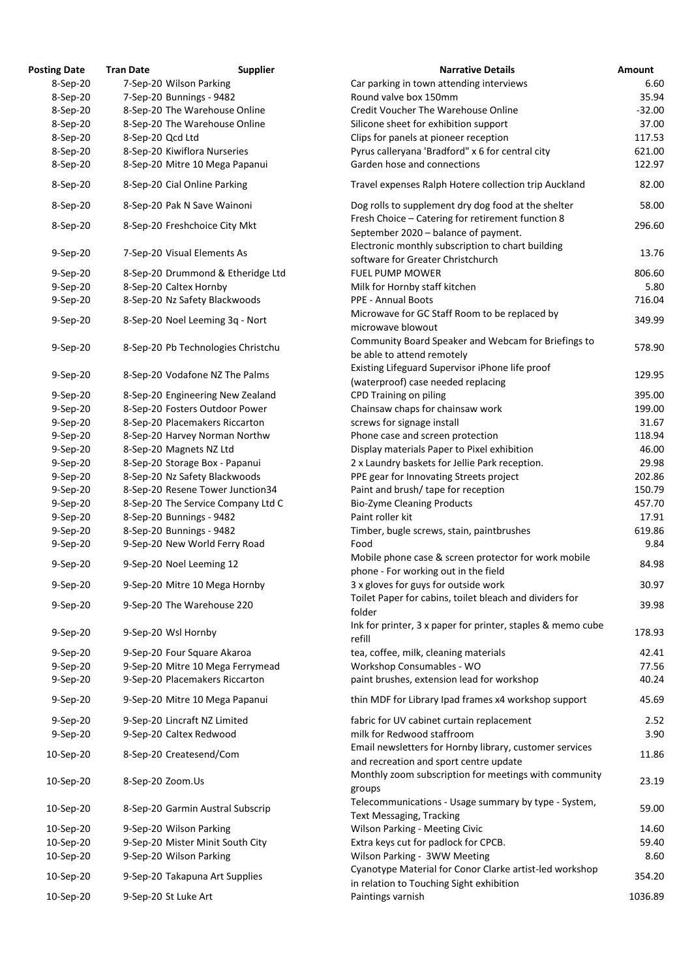| <b>Posting Date</b> | <b>Tran Date</b>                 | <b>Supplier</b>                    | <b>Narrative Details</b>                                                                            | Amount   |
|---------------------|----------------------------------|------------------------------------|-----------------------------------------------------------------------------------------------------|----------|
| 8-Sep-20            | 7-Sep-20 Wilson Parking          |                                    | Car parking in town attending interviews                                                            | 6.60     |
| 8-Sep-20            | 7-Sep-20 Bunnings - 9482         |                                    | Round valve box 150mm                                                                               | 35.94    |
| 8-Sep-20            | 8-Sep-20 The Warehouse Online    |                                    | Credit Voucher The Warehouse Online                                                                 | $-32.00$ |
| 8-Sep-20            | 8-Sep-20 The Warehouse Online    |                                    | Silicone sheet for exhibition support                                                               | 37.00    |
| 8-Sep-20            | 8-Sep-20 Qcd Ltd                 |                                    | Clips for panels at pioneer reception                                                               | 117.53   |
| 8-Sep-20            | 8-Sep-20 Kiwiflora Nurseries     |                                    | Pyrus calleryana 'Bradford" x 6 for central city                                                    | 621.00   |
| 8-Sep-20            | 8-Sep-20 Mitre 10 Mega Papanui   |                                    | Garden hose and connections                                                                         | 122.97   |
| 8-Sep-20            | 8-Sep-20 Cial Online Parking     |                                    | Travel expenses Ralph Hotere collection trip Auckland                                               | 82.00    |
| 8-Sep-20            | 8-Sep-20 Pak N Save Wainoni      |                                    | Dog rolls to supplement dry dog food at the shelter                                                 | 58.00    |
| 8-Sep-20            | 8-Sep-20 Freshchoice City Mkt    |                                    | Fresh Choice - Catering for retirement function 8                                                   | 296.60   |
|                     |                                  |                                    | September 2020 - balance of payment.<br>Electronic monthly subscription to chart building           |          |
| 9-Sep-20            | 7-Sep-20 Visual Elements As      |                                    | software for Greater Christchurch                                                                   | 13.76    |
| 9-Sep-20            |                                  | 8-Sep-20 Drummond & Etheridge Ltd  | <b>FUEL PUMP MOWER</b>                                                                              | 806.60   |
| 9-Sep-20            | 8-Sep-20 Caltex Hornby           |                                    | Milk for Hornby staff kitchen                                                                       | 5.80     |
| 9-Sep-20            | 8-Sep-20 Nz Safety Blackwoods    |                                    | <b>PPE - Annual Boots</b>                                                                           | 716.04   |
| 9-Sep-20            | 8-Sep-20 Noel Leeming 3q - Nort  |                                    | Microwave for GC Staff Room to be replaced by<br>microwave blowout                                  | 349.99   |
|                     |                                  |                                    | Community Board Speaker and Webcam for Briefings to                                                 |          |
| 9-Sep-20            |                                  | 8-Sep-20 Pb Technologies Christchu | be able to attend remotely                                                                          | 578.90   |
|                     |                                  |                                    | Existing Lifeguard Supervisor iPhone life proof                                                     |          |
| 9-Sep-20            | 8-Sep-20 Vodafone NZ The Palms   |                                    | (waterproof) case needed replacing                                                                  | 129.95   |
| 9-Sep-20            |                                  | 8-Sep-20 Engineering New Zealand   | CPD Training on piling                                                                              | 395.00   |
| 9-Sep-20            | 8-Sep-20 Fosters Outdoor Power   |                                    | Chainsaw chaps for chainsaw work                                                                    | 199.00   |
| 9-Sep-20            | 8-Sep-20 Placemakers Riccarton   |                                    | screws for signage install                                                                          | 31.67    |
| 9-Sep-20            | 8-Sep-20 Harvey Norman Northw    |                                    | Phone case and screen protection                                                                    | 118.94   |
| 9-Sep-20            | 8-Sep-20 Magnets NZ Ltd          |                                    | Display materials Paper to Pixel exhibition                                                         | 46.00    |
| 9-Sep-20            | 8-Sep-20 Storage Box - Papanui   |                                    | 2 x Laundry baskets for Jellie Park reception.                                                      | 29.98    |
|                     |                                  |                                    |                                                                                                     | 202.86   |
| 9-Sep-20            | 8-Sep-20 Nz Safety Blackwoods    |                                    | PPE gear for Innovating Streets project                                                             |          |
| 9-Sep-20            |                                  | 8-Sep-20 Resene Tower Junction34   | Paint and brush/tape for reception                                                                  | 150.79   |
| 9-Sep-20            |                                  | 8-Sep-20 The Service Company Ltd C | <b>Bio-Zyme Cleaning Products</b>                                                                   | 457.70   |
| 9-Sep-20            | 8-Sep-20 Bunnings - 9482         |                                    | Paint roller kit                                                                                    | 17.91    |
| 9-Sep-20            | 8-Sep-20 Bunnings - 9482         |                                    | Timber, bugle screws, stain, paintbrushes                                                           | 619.86   |
| 9-Sep-20            | 9-Sep-20 New World Ferry Road    |                                    | Food<br>Mobile phone case & screen protector for work mobile                                        | 9.84     |
| 9-Sep-20            | 9-Sep-20 Noel Leeming 12         |                                    | phone - For working out in the field                                                                | 84.98    |
| 9-Sep-20            | 9-Sep-20 Mitre 10 Mega Hornby    |                                    | 3 x gloves for guys for outside work<br>Toilet Paper for cabins, toilet bleach and dividers for     | 30.97    |
| 9-Sep-20            | 9-Sep-20 The Warehouse 220       |                                    | folder                                                                                              | 39.98    |
| 9-Sep-20            | 9-Sep-20 Wsl Hornby              |                                    | Ink for printer, 3 x paper for printer, staples & memo cube<br>refill                               | 178.93   |
| 9-Sep-20            | 9-Sep-20 Four Square Akaroa      |                                    | tea, coffee, milk, cleaning materials                                                               | 42.41    |
| 9-Sep-20            |                                  | 9-Sep-20 Mitre 10 Mega Ferrymead   | Workshop Consumables - WO                                                                           | 77.56    |
| 9-Sep-20            | 9-Sep-20 Placemakers Riccarton   |                                    | paint brushes, extension lead for workshop                                                          | 40.24    |
| 9-Sep-20            | 9-Sep-20 Mitre 10 Mega Papanui   |                                    | thin MDF for Library Ipad frames x4 workshop support                                                | 45.69    |
|                     |                                  |                                    |                                                                                                     |          |
| 9-Sep-20            | 9-Sep-20 Lincraft NZ Limited     |                                    | fabric for UV cabinet curtain replacement                                                           | 2.52     |
| 9-Sep-20            | 9-Sep-20 Caltex Redwood          |                                    | milk for Redwood staffroom                                                                          | 3.90     |
| 10-Sep-20           | 8-Sep-20 Createsend/Com          |                                    | Email newsletters for Hornby library, customer services<br>and recreation and sport centre update   | 11.86    |
| 10-Sep-20           | 8-Sep-20 Zoom.Us                 |                                    | Monthly zoom subscription for meetings with community<br>groups                                     | 23.19    |
| 10-Sep-20           | 8-Sep-20 Garmin Austral Subscrip |                                    | Telecommunications - Usage summary by type - System,<br><b>Text Messaging, Tracking</b>             | 59.00    |
| 10-Sep-20           | 9-Sep-20 Wilson Parking          |                                    | Wilson Parking - Meeting Civic                                                                      | 14.60    |
| 10-Sep-20           | 9-Sep-20 Mister Minit South City |                                    | Extra keys cut for padlock for CPCB.                                                                | 59.40    |
| 10-Sep-20           | 9-Sep-20 Wilson Parking          |                                    | Wilson Parking - 3WW Meeting                                                                        | 8.60     |
| 10-Sep-20           | 9-Sep-20 Takapuna Art Supplies   |                                    | Cyanotype Material for Conor Clarke artist-led workshop<br>in relation to Touching Sight exhibition | 354.20   |
| 10-Sep-20           | 9-Sep-20 St Luke Art             |                                    | Paintings varnish                                                                                   | 1036.89  |
|                     |                                  |                                    |                                                                                                     |          |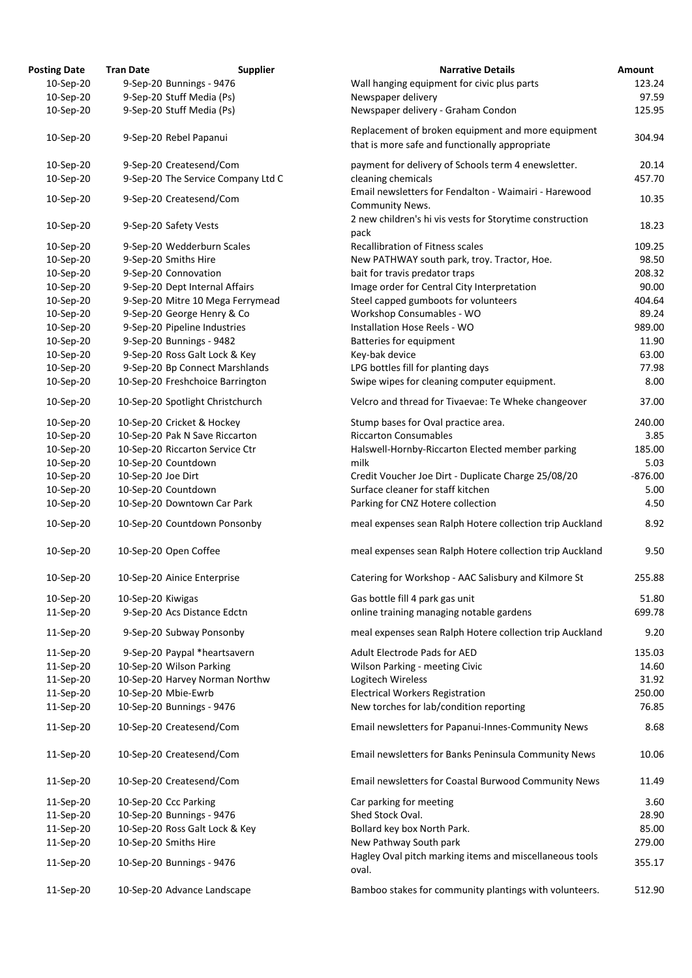| <b>Posting Date</b> | <b>Tran Date</b>                   | <b>Supplier</b> | <b>Narrative Details</b>                                                                             | Amount    |
|---------------------|------------------------------------|-----------------|------------------------------------------------------------------------------------------------------|-----------|
| 10-Sep-20           | 9-Sep-20 Bunnings - 9476           |                 | Wall hanging equipment for civic plus parts                                                          | 123.24    |
| 10-Sep-20           | 9-Sep-20 Stuff Media (Ps)          |                 | Newspaper delivery                                                                                   | 97.59     |
| 10-Sep-20           | 9-Sep-20 Stuff Media (Ps)          |                 | Newspaper delivery - Graham Condon                                                                   | 125.95    |
| 10-Sep-20           | 9-Sep-20 Rebel Papanui             |                 | Replacement of broken equipment and more equipment<br>that is more safe and functionally appropriate | 304.94    |
| 10-Sep-20           | 9-Sep-20 Createsend/Com            |                 | payment for delivery of Schools term 4 enewsletter.                                                  | 20.14     |
| 10-Sep-20           | 9-Sep-20 The Service Company Ltd C |                 | cleaning chemicals                                                                                   | 457.70    |
| 10-Sep-20           | 9-Sep-20 Createsend/Com            |                 | Email newsletters for Fendalton - Waimairi - Harewood<br>Community News.                             | 10.35     |
| 10-Sep-20           | 9-Sep-20 Safety Vests              |                 | 2 new children's hi vis vests for Storytime construction<br>pack                                     | 18.23     |
| 10-Sep-20           | 9-Sep-20 Wedderburn Scales         |                 | <b>Recallibration of Fitness scales</b>                                                              | 109.25    |
| 10-Sep-20           | 9-Sep-20 Smiths Hire               |                 | New PATHWAY south park, troy. Tractor, Hoe.                                                          | 98.50     |
| 10-Sep-20           | 9-Sep-20 Connovation               |                 | bait for travis predator traps                                                                       | 208.32    |
| 10-Sep-20           | 9-Sep-20 Dept Internal Affairs     |                 | Image order for Central City Interpretation                                                          | 90.00     |
| 10-Sep-20           | 9-Sep-20 Mitre 10 Mega Ferrymead   |                 | Steel capped gumboots for volunteers                                                                 | 404.64    |
| 10-Sep-20           | 9-Sep-20 George Henry & Co         |                 | Workshop Consumables - WO                                                                            | 89.24     |
| 10-Sep-20           | 9-Sep-20 Pipeline Industries       |                 | Installation Hose Reels - WO                                                                         | 989.00    |
| 10-Sep-20           | 9-Sep-20 Bunnings - 9482           |                 | <b>Batteries for equipment</b>                                                                       | 11.90     |
|                     |                                    |                 |                                                                                                      |           |
| 10-Sep-20           | 9-Sep-20 Ross Galt Lock & Key      |                 | Key-bak device                                                                                       | 63.00     |
| 10-Sep-20           | 9-Sep-20 Bp Connect Marshlands     |                 | LPG bottles fill for planting days                                                                   | 77.98     |
| 10-Sep-20           | 10-Sep-20 Freshchoice Barrington   |                 | Swipe wipes for cleaning computer equipment.                                                         | 8.00      |
| 10-Sep-20           | 10-Sep-20 Spotlight Christchurch   |                 | Velcro and thread for Tivaevae: Te Wheke changeover                                                  | 37.00     |
| 10-Sep-20           | 10-Sep-20 Cricket & Hockey         |                 | Stump bases for Oval practice area.                                                                  | 240.00    |
| 10-Sep-20           | 10-Sep-20 Pak N Save Riccarton     |                 | <b>Riccarton Consumables</b>                                                                         | 3.85      |
| 10-Sep-20           | 10-Sep-20 Riccarton Service Ctr    |                 | Halswell-Hornby-Riccarton Elected member parking                                                     | 185.00    |
| 10-Sep-20           | 10-Sep-20 Countdown                |                 | milk                                                                                                 | 5.03      |
| 10-Sep-20           | 10-Sep-20 Joe Dirt                 |                 | Credit Voucher Joe Dirt - Duplicate Charge 25/08/20                                                  | $-876.00$ |
| 10-Sep-20           | 10-Sep-20 Countdown                |                 | Surface cleaner for staff kitchen                                                                    | 5.00      |
| 10-Sep-20           | 10-Sep-20 Downtown Car Park        |                 | Parking for CNZ Hotere collection                                                                    | 4.50      |
| 10-Sep-20           | 10-Sep-20 Countdown Ponsonby       |                 | meal expenses sean Ralph Hotere collection trip Auckland                                             | 8.92      |
| 10-Sep-20           | 10-Sep-20 Open Coffee              |                 | meal expenses sean Ralph Hotere collection trip Auckland                                             | 9.50      |
| 10-Sep-20           | 10-Sep-20 Ainice Enterprise        |                 | Catering for Workshop - AAC Salisbury and Kilmore St                                                 | 255.88    |
| 10-Sep-20           | 10-Sep-20 Kiwigas                  |                 | Gas bottle fill 4 park gas unit                                                                      | 51.80     |
| 11-Sep-20           | 9-Sep-20 Acs Distance Edctn        |                 | online training managing notable gardens                                                             | 699.78    |
| 11-Sep-20           | 9-Sep-20 Subway Ponsonby           |                 | meal expenses sean Ralph Hotere collection trip Auckland                                             | 9.20      |
| 11-Sep-20           | 9-Sep-20 Paypal *heartsavern       |                 | Adult Electrode Pads for AED                                                                         | 135.03    |
| 11-Sep-20           | 10-Sep-20 Wilson Parking           |                 | Wilson Parking - meeting Civic                                                                       | 14.60     |
| 11-Sep-20           | 10-Sep-20 Harvey Norman Northw     |                 | Logitech Wireless                                                                                    | 31.92     |
| 11-Sep-20           | 10-Sep-20 Mbie-Ewrb                |                 | <b>Electrical Workers Registration</b>                                                               | 250.00    |
| 11-Sep-20           | 10-Sep-20 Bunnings - 9476          |                 | New torches for lab/condition reporting                                                              | 76.85     |
| 11-Sep-20           | 10-Sep-20 Createsend/Com           |                 | Email newsletters for Papanui-Innes-Community News                                                   | 8.68      |
| 11-Sep-20           | 10-Sep-20 Createsend/Com           |                 | Email newsletters for Banks Peninsula Community News                                                 | 10.06     |
| 11-Sep-20           | 10-Sep-20 Createsend/Com           |                 | Email newsletters for Coastal Burwood Community News                                                 | 11.49     |
|                     |                                    |                 |                                                                                                      |           |
| 11-Sep-20           | 10-Sep-20 Ccc Parking              |                 | Car parking for meeting                                                                              | 3.60      |
| 11-Sep-20           | 10-Sep-20 Bunnings - 9476          |                 | Shed Stock Oval.                                                                                     | 28.90     |
| 11-Sep-20           | 10-Sep-20 Ross Galt Lock & Key     |                 | Bollard key box North Park.                                                                          | 85.00     |
| 11-Sep-20           | 10-Sep-20 Smiths Hire              |                 | New Pathway South park                                                                               | 279.00    |
| 11-Sep-20           | 10-Sep-20 Bunnings - 9476          |                 | Hagley Oval pitch marking items and miscellaneous tools<br>oval.                                     | 355.17    |
| 11-Sep-20           | 10-Sep-20 Advance Landscape        |                 | Bamboo stakes for community plantings with volunteers.                                               | 512.90    |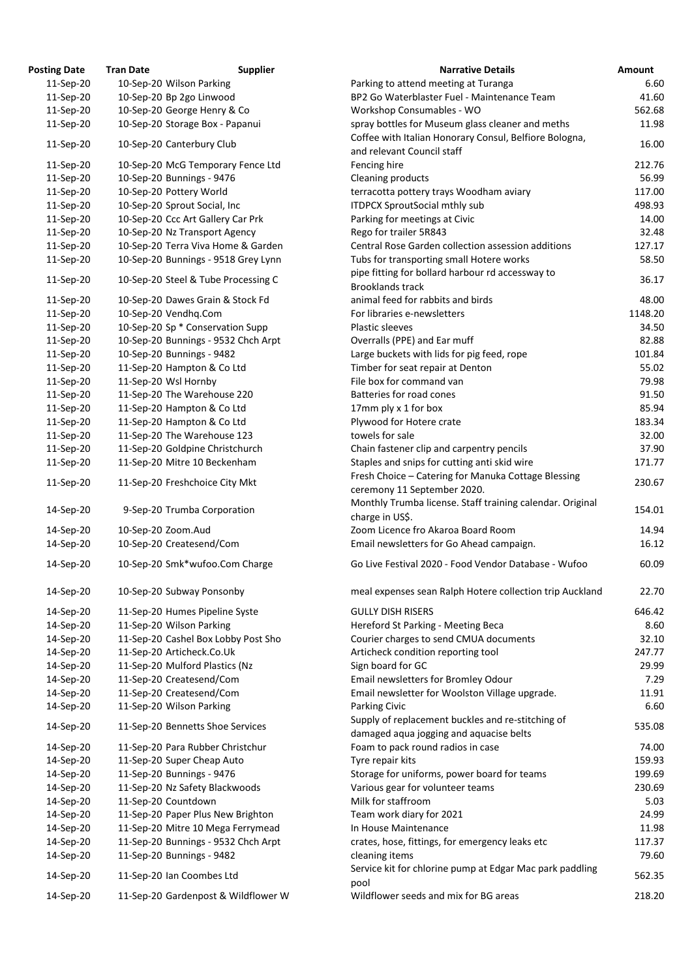| <b>Posting Date</b> | <b>Tran Date</b><br><b>Supplier</b> | <b>Narrative Details</b>                                                                     | Amount  |
|---------------------|-------------------------------------|----------------------------------------------------------------------------------------------|---------|
| 11-Sep-20           | 10-Sep-20 Wilson Parking            | Parking to attend meeting at Turanga                                                         | 6.60    |
| 11-Sep-20           | 10-Sep-20 Bp 2go Linwood            | BP2 Go Waterblaster Fuel - Maintenance Team                                                  | 41.60   |
| 11-Sep-20           | 10-Sep-20 George Henry & Co         | Workshop Consumables - WO                                                                    | 562.68  |
| 11-Sep-20           | 10-Sep-20 Storage Box - Papanui     | spray bottles for Museum glass cleaner and meths                                             | 11.98   |
| 11-Sep-20           | 10-Sep-20 Canterbury Club           | Coffee with Italian Honorary Consul, Belfiore Bologna,                                       | 16.00   |
|                     |                                     | and relevant Council staff                                                                   |         |
| 11-Sep-20           | 10-Sep-20 McG Temporary Fence Ltd   | Fencing hire                                                                                 | 212.76  |
| 11-Sep-20           | 10-Sep-20 Bunnings - 9476           | Cleaning products                                                                            | 56.99   |
| 11-Sep-20           | 10-Sep-20 Pottery World             | terracotta pottery trays Woodham aviary                                                      | 117.00  |
| 11-Sep-20           | 10-Sep-20 Sprout Social, Inc        | <b>ITDPCX SproutSocial mthly sub</b>                                                         | 498.93  |
| 11-Sep-20           | 10-Sep-20 Ccc Art Gallery Car Prk   | Parking for meetings at Civic                                                                | 14.00   |
| 11-Sep-20           | 10-Sep-20 Nz Transport Agency       | Rego for trailer 5R843                                                                       | 32.48   |
| 11-Sep-20           | 10-Sep-20 Terra Viva Home & Garden  | Central Rose Garden collection assession additions                                           | 127.17  |
| 11-Sep-20           | 10-Sep-20 Bunnings - 9518 Grey Lynn | Tubs for transporting small Hotere works                                                     | 58.50   |
| 11-Sep-20           | 10-Sep-20 Steel & Tube Processing C | pipe fitting for bollard harbour rd accessway to<br><b>Brooklands track</b>                  | 36.17   |
| 11-Sep-20           | 10-Sep-20 Dawes Grain & Stock Fd    | animal feed for rabbits and birds                                                            | 48.00   |
| 11-Sep-20           | 10-Sep-20 Vendhq.Com                | For libraries e-newsletters                                                                  | 1148.20 |
| 11-Sep-20           | 10-Sep-20 Sp * Conservation Supp    | <b>Plastic sleeves</b>                                                                       | 34.50   |
|                     |                                     |                                                                                              | 82.88   |
| 11-Sep-20           | 10-Sep-20 Bunnings - 9532 Chch Arpt | Overralls (PPE) and Ear muff                                                                 |         |
| 11-Sep-20           | 10-Sep-20 Bunnings - 9482           | Large buckets with lids for pig feed, rope                                                   | 101.84  |
| 11-Sep-20           | 11-Sep-20 Hampton & Co Ltd          | Timber for seat repair at Denton                                                             | 55.02   |
| 11-Sep-20           | 11-Sep-20 Wsl Hornby                | File box for command van                                                                     | 79.98   |
| 11-Sep-20           | 11-Sep-20 The Warehouse 220         | Batteries for road cones                                                                     | 91.50   |
| 11-Sep-20           | 11-Sep-20 Hampton & Co Ltd          | 17mm ply x 1 for box                                                                         | 85.94   |
| 11-Sep-20           | 11-Sep-20 Hampton & Co Ltd          | Plywood for Hotere crate                                                                     | 183.34  |
| 11-Sep-20           | 11-Sep-20 The Warehouse 123         | towels for sale                                                                              | 32.00   |
| 11-Sep-20           | 11-Sep-20 Goldpine Christchurch     | Chain fastener clip and carpentry pencils                                                    | 37.90   |
| 11-Sep-20           | 11-Sep-20 Mitre 10 Beckenham        | Staples and snips for cutting anti skid wire                                                 | 171.77  |
| 11-Sep-20           | 11-Sep-20 Freshchoice City Mkt      | Fresh Choice - Catering for Manuka Cottage Blessing<br>ceremony 11 September 2020.           | 230.67  |
| 14-Sep-20           | 9-Sep-20 Trumba Corporation         | Monthly Trumba license. Staff training calendar. Original                                    | 154.01  |
|                     |                                     | charge in US\$.                                                                              |         |
| 14-Sep-20           | 10-Sep-20 Zoom.Aud                  | Zoom Licence fro Akaroa Board Room                                                           | 14.94   |
| 14-Sep-20           | 10-Sep-20 Createsend/Com            | Email newsletters for Go Ahead campaign.                                                     | 16.12   |
| 14-Sep-20           | 10-Sep-20 Smk*wufoo.Com Charge      | Go Live Festival 2020 - Food Vendor Database - Wufoo                                         | 60.09   |
| 14-Sep-20           | 10-Sep-20 Subway Ponsonby           | meal expenses sean Ralph Hotere collection trip Auckland                                     | 22.70   |
| 14-Sep-20           | 11-Sep-20 Humes Pipeline Syste      | <b>GULLY DISH RISERS</b>                                                                     | 646.42  |
| 14-Sep-20           | 11-Sep-20 Wilson Parking            | Hereford St Parking - Meeting Beca                                                           | 8.60    |
| 14-Sep-20           | 11-Sep-20 Cashel Box Lobby Post Sho | Courier charges to send CMUA documents                                                       | 32.10   |
| 14-Sep-20           | 11-Sep-20 Articheck.Co.Uk           | Articheck condition reporting tool                                                           | 247.77  |
| 14-Sep-20           | 11-Sep-20 Mulford Plastics (Nz      | Sign board for GC                                                                            | 29.99   |
| 14-Sep-20           | 11-Sep-20 Createsend/Com            | Email newsletters for Bromley Odour                                                          | 7.29    |
| 14-Sep-20           | 11-Sep-20 Createsend/Com            | Email newsletter for Woolston Village upgrade.                                               | 11.91   |
| 14-Sep-20           | 11-Sep-20 Wilson Parking            | Parking Civic                                                                                | 6.60    |
| 14-Sep-20           | 11-Sep-20 Bennetts Shoe Services    | Supply of replacement buckles and re-stitching of<br>damaged aqua jogging and aquacise belts | 535.08  |
| 14-Sep-20           | 11-Sep-20 Para Rubber Christchur    | Foam to pack round radios in case                                                            | 74.00   |
| 14-Sep-20           | 11-Sep-20 Super Cheap Auto          | Tyre repair kits                                                                             | 159.93  |
| 14-Sep-20           | 11-Sep-20 Bunnings - 9476           | Storage for uniforms, power board for teams                                                  | 199.69  |
| 14-Sep-20           | 11-Sep-20 Nz Safety Blackwoods      | Various gear for volunteer teams                                                             | 230.69  |
| 14-Sep-20           | 11-Sep-20 Countdown                 | Milk for staffroom                                                                           | 5.03    |
| 14-Sep-20           | 11-Sep-20 Paper Plus New Brighton   | Team work diary for 2021                                                                     | 24.99   |
| 14-Sep-20           | 11-Sep-20 Mitre 10 Mega Ferrymead   | In House Maintenance                                                                         | 11.98   |
| 14-Sep-20           | 11-Sep-20 Bunnings - 9532 Chch Arpt | crates, hose, fittings, for emergency leaks etc                                              | 117.37  |
| 14-Sep-20           | 11-Sep-20 Bunnings - 9482           | cleaning items                                                                               | 79.60   |
| 14-Sep-20           | 11-Sep-20 Ian Coombes Ltd           | Service kit for chlorine pump at Edgar Mac park paddling                                     | 562.35  |
|                     | 11-Sep-20 Gardenpost & Wildflower W | pool<br>Wildflower seeds and mix for BG areas                                                | 218.20  |
| 14-Sep-20           |                                     |                                                                                              |         |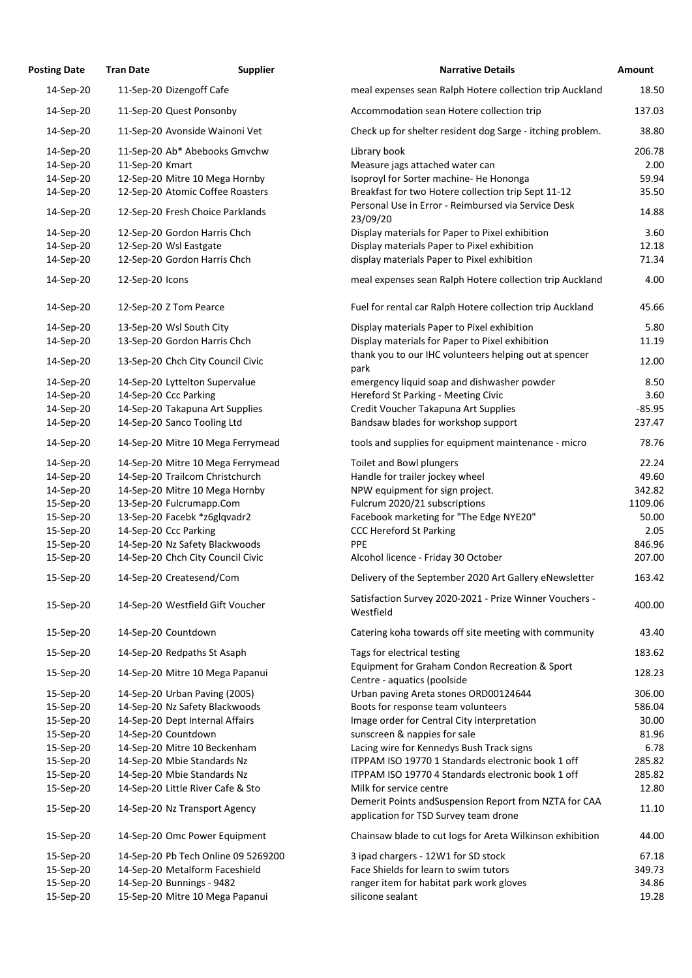| <b>Posting Date</b>    | <b>Tran Date</b>                                                 | <b>Supplier</b> | <b>Narrative Details</b>                                                                        | Amount          |
|------------------------|------------------------------------------------------------------|-----------------|-------------------------------------------------------------------------------------------------|-----------------|
| 14-Sep-20              | 11-Sep-20 Dizengoff Cafe                                         |                 | meal expenses sean Ralph Hotere collection trip Auckland                                        | 18.50           |
| 14-Sep-20              | 11-Sep-20 Quest Ponsonby                                         |                 | Accommodation sean Hotere collection trip                                                       | 137.03          |
| 14-Sep-20              | 11-Sep-20 Avonside Wainoni Vet                                   |                 | Check up for shelter resident dog Sarge - itching problem.                                      | 38.80           |
| 14-Sep-20              | 11-Sep-20 Ab* Abebooks Gmvchw                                    |                 | Library book                                                                                    | 206.78          |
| 14-Sep-20              | 11-Sep-20 Kmart                                                  |                 | Measure jags attached water can                                                                 | 2.00            |
| 14-Sep-20              | 12-Sep-20 Mitre 10 Mega Hornby                                   |                 | Isoproyl for Sorter machine- He Hononga                                                         | 59.94           |
| 14-Sep-20              | 12-Sep-20 Atomic Coffee Roasters                                 |                 | Breakfast for two Hotere collection trip Sept 11-12                                             | 35.50           |
| 14-Sep-20              | 12-Sep-20 Fresh Choice Parklands                                 |                 | Personal Use in Error - Reimbursed via Service Desk<br>23/09/20                                 | 14.88           |
| 14-Sep-20              | 12-Sep-20 Gordon Harris Chch                                     |                 | Display materials for Paper to Pixel exhibition                                                 | 3.60            |
| 14-Sep-20              | 12-Sep-20 Wsl Eastgate                                           |                 | Display materials Paper to Pixel exhibition                                                     | 12.18           |
| 14-Sep-20              | 12-Sep-20 Gordon Harris Chch                                     |                 | display materials Paper to Pixel exhibition                                                     | 71.34           |
| 14-Sep-20              | 12-Sep-20 Icons                                                  |                 | meal expenses sean Ralph Hotere collection trip Auckland                                        | 4.00            |
| 14-Sep-20              | 12-Sep-20 Z Tom Pearce                                           |                 | Fuel for rental car Ralph Hotere collection trip Auckland                                       | 45.66           |
| 14-Sep-20              | 13-Sep-20 Wsl South City                                         |                 | Display materials Paper to Pixel exhibition                                                     | 5.80            |
| 14-Sep-20              | 13-Sep-20 Gordon Harris Chch                                     |                 | Display materials for Paper to Pixel exhibition                                                 | 11.19           |
|                        |                                                                  |                 | thank you to our IHC volunteers helping out at spencer                                          |                 |
| 14-Sep-20              | 13-Sep-20 Chch City Council Civic                                |                 | park                                                                                            | 12.00           |
| 14-Sep-20              | 14-Sep-20 Lyttelton Supervalue                                   |                 | emergency liquid soap and dishwasher powder                                                     | 8.50            |
| 14-Sep-20              | 14-Sep-20 Ccc Parking                                            |                 | Hereford St Parking - Meeting Civic                                                             | 3.60            |
| 14-Sep-20              | 14-Sep-20 Takapuna Art Supplies                                  |                 | Credit Voucher Takapuna Art Supplies                                                            | $-85.95$        |
| 14-Sep-20<br>14-Sep-20 | 14-Sep-20 Sanco Tooling Ltd<br>14-Sep-20 Mitre 10 Mega Ferrymead |                 | Bandsaw blades for workshop support<br>tools and supplies for equipment maintenance - micro     | 237.47<br>78.76 |
|                        |                                                                  |                 |                                                                                                 |                 |
| 14-Sep-20              | 14-Sep-20 Mitre 10 Mega Ferrymead                                |                 | Toilet and Bowl plungers                                                                        | 22.24           |
| 14-Sep-20              | 14-Sep-20 Trailcom Christchurch                                  |                 | Handle for trailer jockey wheel                                                                 | 49.60           |
| 14-Sep-20              | 14-Sep-20 Mitre 10 Mega Hornby                                   |                 | NPW equipment for sign project.                                                                 | 342.82          |
| 15-Sep-20              | 13-Sep-20 Fulcrumapp.Com                                         |                 | Fulcrum 2020/21 subscriptions                                                                   | 1109.06         |
| 15-Sep-20              | 13-Sep-20 Facebk *z6glqvadr2                                     |                 | Facebook marketing for "The Edge NYE20"                                                         | 50.00           |
| 15-Sep-20              | 14-Sep-20 Ccc Parking                                            |                 | <b>CCC Hereford St Parking</b>                                                                  | 2.05            |
| 15-Sep-20              | 14-Sep-20 Nz Safety Blackwoods                                   |                 | <b>PPE</b>                                                                                      | 846.96          |
| 15-Sep-20              | 14-Sep-20 Chch City Council Civic                                |                 | Alcohol licence - Friday 30 October                                                             | 207.00          |
| 15-Sep-20              | 14-Sep-20 Createsend/Com                                         |                 | Delivery of the September 2020 Art Gallery eNewsletter                                          | 163.42          |
| 15-Sep-20              | 14-Sep-20 Westfield Gift Voucher                                 |                 | Satisfaction Survey 2020-2021 - Prize Winner Vouchers -<br>Westfield                            | 400.00          |
| 15-Sep-20              | 14-Sep-20 Countdown                                              |                 | Catering koha towards off site meeting with community                                           | 43.40           |
| 15-Sep-20              | 14-Sep-20 Redpaths St Asaph                                      |                 | Tags for electrical testing                                                                     | 183.62          |
| 15-Sep-20              | 14-Sep-20 Mitre 10 Mega Papanui                                  |                 | Equipment for Graham Condon Recreation & Sport<br>Centre - aquatics (poolside                   | 128.23          |
| 15-Sep-20              | 14-Sep-20 Urban Paving (2005)                                    |                 | Urban paving Areta stones ORD00124644                                                           | 306.00          |
| 15-Sep-20              | 14-Sep-20 Nz Safety Blackwoods                                   |                 | Boots for response team volunteers                                                              | 586.04          |
| 15-Sep-20              | 14-Sep-20 Dept Internal Affairs                                  |                 | Image order for Central City interpretation                                                     | 30.00           |
| 15-Sep-20              | 14-Sep-20 Countdown                                              |                 | sunscreen & nappies for sale                                                                    | 81.96           |
| 15-Sep-20              | 14-Sep-20 Mitre 10 Beckenham                                     |                 | Lacing wire for Kennedys Bush Track signs                                                       | 6.78            |
| 15-Sep-20              | 14-Sep-20 Mbie Standards Nz                                      |                 | ITPPAM ISO 19770 1 Standards electronic book 1 off                                              | 285.82          |
| 15-Sep-20              | 14-Sep-20 Mbie Standards Nz                                      |                 | ITPPAM ISO 19770 4 Standards electronic book 1 off                                              | 285.82          |
| 15-Sep-20              | 14-Sep-20 Little River Cafe & Sto                                |                 | Milk for service centre                                                                         | 12.80           |
| 15-Sep-20              | 14-Sep-20 Nz Transport Agency                                    |                 | Demerit Points and Suspension Report from NZTA for CAA<br>application for TSD Survey team drone | 11.10           |
| 15-Sep-20              | 14-Sep-20 Omc Power Equipment                                    |                 | Chainsaw blade to cut logs for Areta Wilkinson exhibition                                       | 44.00           |
| 15-Sep-20              | 14-Sep-20 Pb Tech Online 09 5269200                              |                 | 3 ipad chargers - 12W1 for SD stock                                                             | 67.18           |
| 15-Sep-20              | 14-Sep-20 Metalform Faceshield                                   |                 | Face Shields for learn to swim tutors                                                           | 349.73          |
| 15-Sep-20              | 14-Sep-20 Bunnings - 9482                                        |                 | ranger item for habitat park work gloves                                                        | 34.86           |
| 15-Sep-20              | 15-Sep-20 Mitre 10 Mega Papanui                                  |                 | silicone sealant                                                                                | 19.28           |
|                        |                                                                  |                 |                                                                                                 |                 |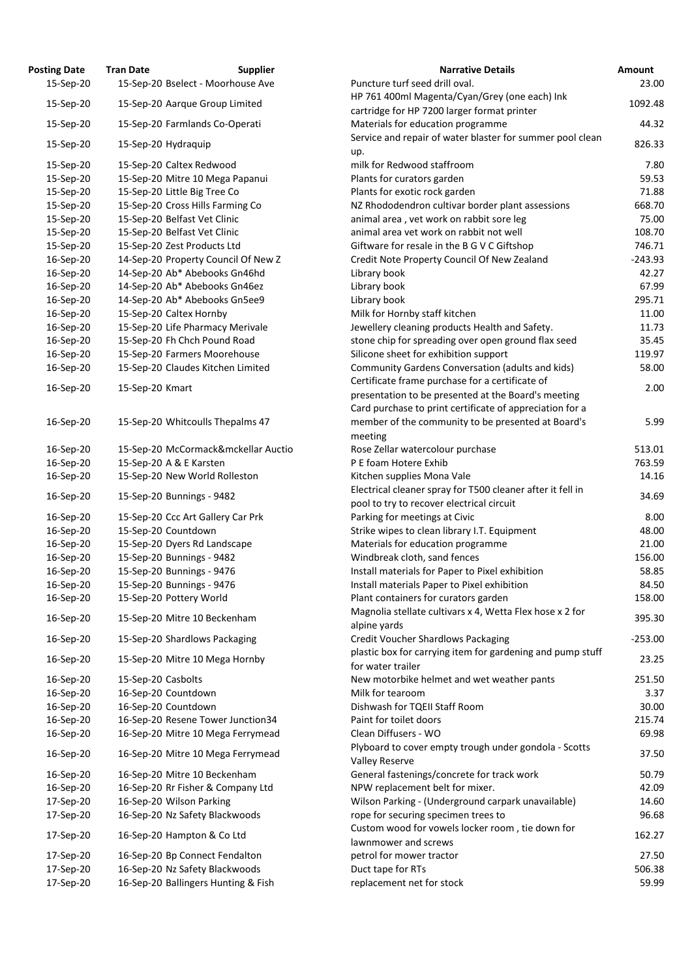| <b>Posting Date</b> | <b>Tran Date</b>             | <b>Supplier</b>                     | <b>Narrative Details</b>                                                        | <b>Amount</b> |
|---------------------|------------------------------|-------------------------------------|---------------------------------------------------------------------------------|---------------|
| 15-Sep-20           |                              | 15-Sep-20 Bselect - Moorhouse Ave   | Puncture turf seed drill oval.                                                  | 23.           |
|                     |                              |                                     | HP 761 400ml Magenta/Cyan/Grey (one each) Ink                                   |               |
| 15-Sep-20           |                              | 15-Sep-20 Aarque Group Limited      | cartridge for HP 7200 larger format printer                                     | 1092.         |
| 15-Sep-20           |                              | 15-Sep-20 Farmlands Co-Operati      | Materials for education programme                                               | 44.           |
| 15-Sep-20           | 15-Sep-20 Hydraquip          |                                     | Service and repair of water blaster for summer pool clean                       | 826.          |
|                     |                              |                                     | up.<br>milk for Redwood staffroom                                               |               |
| 15-Sep-20           | 15-Sep-20 Caltex Redwood     |                                     |                                                                                 | 7.            |
| 15-Sep-20           |                              | 15-Sep-20 Mitre 10 Mega Papanui     | Plants for curators garden                                                      | 59.           |
| 15-Sep-20           | 15-Sep-20 Little Big Tree Co |                                     | Plants for exotic rock garden                                                   | 71.           |
| 15-Sep-20           |                              | 15-Sep-20 Cross Hills Farming Co    | NZ Rhododendron cultivar border plant assessions                                | 668.          |
| 15-Sep-20           | 15-Sep-20 Belfast Vet Clinic |                                     | animal area, vet work on rabbit sore leg                                        | 75.           |
| 15-Sep-20           | 15-Sep-20 Belfast Vet Clinic |                                     | animal area vet work on rabbit not well                                         | 108.          |
| 15-Sep-20           |                              | 15-Sep-20 Zest Products Ltd         | Giftware for resale in the B G V C Giftshop                                     | 746.          |
| 16-Sep-20           |                              | 14-Sep-20 Property Council Of New Z | Credit Note Property Council Of New Zealand                                     | $-243.$       |
| 16-Sep-20           |                              | 14-Sep-20 Ab* Abebooks Gn46hd       | Library book                                                                    | 42.           |
| 16-Sep-20           |                              | 14-Sep-20 Ab* Abebooks Gn46ez       | Library book                                                                    | 67.           |
| 16-Sep-20           |                              | 14-Sep-20 Ab* Abebooks Gn5ee9       | Library book                                                                    | 295.          |
| 16-Sep-20           | 15-Sep-20 Caltex Hornby      |                                     | Milk for Hornby staff kitchen                                                   | 11.           |
| 16-Sep-20           |                              | 15-Sep-20 Life Pharmacy Merivale    | Jewellery cleaning products Health and Safety.                                  | 11.           |
| 16-Sep-20           |                              | 15-Sep-20 Fh Chch Pound Road        | stone chip for spreading over open ground flax seed                             | 35.           |
| 16-Sep-20           |                              | 15-Sep-20 Farmers Moorehouse        | Silicone sheet for exhibition support                                           | 119.          |
| 16-Sep-20           |                              | 15-Sep-20 Claudes Kitchen Limited   | Community Gardens Conversation (adults and kids)                                | 58.           |
| 16-Sep-20           | 15-Sep-20 Kmart              |                                     | Certificate frame purchase for a certificate of                                 | 2.            |
|                     |                              |                                     | presentation to be presented at the Board's meeting                             |               |
|                     |                              |                                     | Card purchase to print certificate of appreciation for a                        |               |
| 16-Sep-20           |                              | 15-Sep-20 Whitcoulls Thepalms 47    | member of the community to be presented at Board's<br>meeting                   | 5.            |
| 16-Sep-20           |                              | 15-Sep-20 McCormack&mckellar Auctio | Rose Zellar watercolour purchase                                                | 513.          |
| 16-Sep-20           | 15-Sep-20 A & E Karsten      |                                     | P E foam Hotere Exhib                                                           | 763.          |
| 16-Sep-20           |                              | 15-Sep-20 New World Rolleston       | Kitchen supplies Mona Vale                                                      | 14.           |
|                     |                              |                                     | Electrical cleaner spray for T500 cleaner after it fell in                      |               |
| 16-Sep-20           | 15-Sep-20 Bunnings - 9482    |                                     | pool to try to recover electrical circuit                                       | 34.           |
| 16-Sep-20           |                              | 15-Sep-20 Ccc Art Gallery Car Prk   | Parking for meetings at Civic                                                   | 8.            |
| 16-Sep-20           | 15-Sep-20 Countdown          |                                     | Strike wipes to clean library I.T. Equipment                                    | 48.           |
| 16-Sep-20           |                              | 15-Sep-20 Dyers Rd Landscape        | Materials for education programme                                               | 21.           |
| 16-Sep-20           | 15-Sep-20 Bunnings - 9482    |                                     | Windbreak cloth, sand fences                                                    | 156.          |
| 16-Sep-20           | 15-Sep-20 Bunnings - 9476    |                                     | Install materials for Paper to Pixel exhibition                                 | 58.           |
| 16-Sep-20           | 15-Sep-20 Bunnings - 9476    |                                     | Install materials Paper to Pixel exhibition                                     | 84.           |
| 16-Sep-20           | 15-Sep-20 Pottery World      |                                     | Plant containers for curators garden                                            | 158.          |
|                     |                              |                                     | Magnolia stellate cultivars x 4, Wetta Flex hose x 2 for                        |               |
| 16-Sep-20           |                              | 15-Sep-20 Mitre 10 Beckenham        |                                                                                 | 395.          |
|                     |                              |                                     | alpine yards                                                                    | $-253.$       |
| 16-Sep-20           |                              | 15-Sep-20 Shardlows Packaging       | <b>Credit Voucher Shardlows Packaging</b>                                       |               |
| 16-Sep-20           |                              | 15-Sep-20 Mitre 10 Mega Hornby      | plastic box for carrying item for gardening and pump stuff<br>for water trailer | 23.           |
| 16-Sep-20           | 15-Sep-20 Casbolts           |                                     | New motorbike helmet and wet weather pants                                      | 251.          |
| 16-Sep-20           | 16-Sep-20 Countdown          |                                     | Milk for tearoom                                                                | 3.            |
| 16-Sep-20           | 16-Sep-20 Countdown          |                                     | Dishwash for TQEII Staff Room                                                   | 30.           |
| 16-Sep-20           |                              | 16-Sep-20 Resene Tower Junction34   | Paint for toilet doors                                                          | 215.          |
| 16-Sep-20           |                              | 16-Sep-20 Mitre 10 Mega Ferrymead   | Clean Diffusers - WO                                                            | 69.           |
| 16-Sep-20           |                              | 16-Sep-20 Mitre 10 Mega Ferrymead   | Plyboard to cover empty trough under gondola - Scotts                           | 37.           |
|                     |                              |                                     | <b>Valley Reserve</b>                                                           |               |
| 16-Sep-20           |                              | 16-Sep-20 Mitre 10 Beckenham        | General fastenings/concrete for track work                                      | 50.           |
| 16-Sep-20           |                              | 16-Sep-20 Rr Fisher & Company Ltd   | NPW replacement belt for mixer.                                                 | 42.           |
| 17-Sep-20           | 16-Sep-20 Wilson Parking     |                                     | Wilson Parking - (Underground carpark unavailable)                              | 14.           |
| 17-Sep-20           |                              | 16-Sep-20 Nz Safety Blackwoods      | rope for securing specimen trees to                                             | 96.           |
| 17-Sep-20           |                              | 16-Sep-20 Hampton & Co Ltd          | Custom wood for vowels locker room, tie down for<br>lawnmower and screws        | 162.          |
| 17-Sep-20           |                              | 16-Sep-20 Bp Connect Fendalton      | petrol for mower tractor                                                        | 27.           |
| 17-Sep-20           |                              | 16-Sep-20 Nz Safety Blackwoods      | Duct tape for RTs                                                               | 506.          |
| 17-Sep-20           |                              | 16-Sep-20 Ballingers Hunting & Fish | replacement net for stock                                                       | 59.           |

| ,ιιικ ναιτ             | nan valc<br><b>Supplici</b>                                            | INGH ALIVE DELAIIS                                                                                      | AIIIvuin        |
|------------------------|------------------------------------------------------------------------|---------------------------------------------------------------------------------------------------------|-----------------|
| 15-Sep-20              | 15-Sep-20 Bselect - Moorhouse Ave                                      | Puncture turf seed drill oval.                                                                          | 23.00           |
| 15-Sep-20              | 15-Sep-20 Aarque Group Limited                                         | HP 761 400ml Magenta/Cyan/Grey (one each) Ink                                                           | 1092.48         |
| 15-Sep-20              | 15-Sep-20 Farmlands Co-Operati                                         | cartridge for HP 7200 larger format printer<br>Materials for education programme                        | 44.32           |
|                        |                                                                        | Service and repair of water blaster for summer pool clean                                               |                 |
| 15-Sep-20              | 15-Sep-20 Hydraquip                                                    | up.                                                                                                     | 826.33          |
| 15-Sep-20              | 15-Sep-20 Caltex Redwood                                               | milk for Redwood staffroom                                                                              | 7.80            |
| 15-Sep-20              | 15-Sep-20 Mitre 10 Mega Papanui                                        | Plants for curators garden                                                                              | 59.53           |
| 15-Sep-20              | 15-Sep-20 Little Big Tree Co                                           | Plants for exotic rock garden                                                                           | 71.88           |
| 15-Sep-20              | 15-Sep-20 Cross Hills Farming Co                                       | NZ Rhododendron cultivar border plant assessions                                                        | 668.70          |
| 15-Sep-20              | 15-Sep-20 Belfast Vet Clinic                                           | animal area, vet work on rabbit sore leg                                                                | 75.00           |
| 15-Sep-20              | 15-Sep-20 Belfast Vet Clinic                                           | animal area vet work on rabbit not well                                                                 | 108.70          |
| 15-Sep-20              | 15-Sep-20 Zest Products Ltd                                            | Giftware for resale in the B G V C Giftshop                                                             | 746.71          |
| 16-Sep-20              | 14-Sep-20 Property Council Of New Z                                    | Credit Note Property Council Of New Zealand                                                             | $-243.93$       |
| 16-Sep-20              | 14-Sep-20 Ab* Abebooks Gn46hd                                          | Library book                                                                                            | 42.27           |
| 16-Sep-20              | 14-Sep-20 Ab* Abebooks Gn46ez                                          | Library book                                                                                            | 67.99           |
| 16-Sep-20              | 14-Sep-20 Ab* Abebooks Gn5ee9                                          | Library book                                                                                            | 295.71          |
| 16-Sep-20              | 15-Sep-20 Caltex Hornby                                                | Milk for Hornby staff kitchen                                                                           | 11.00           |
| 16-Sep-20              | 15-Sep-20 Life Pharmacy Merivale                                       | Jewellery cleaning products Health and Safety.                                                          | 11.73           |
| 16-Sep-20              | 15-Sep-20 Fh Chch Pound Road                                           | stone chip for spreading over open ground flax seed                                                     | 35.45           |
| 16-Sep-20              | 15-Sep-20 Farmers Moorehouse                                           | Silicone sheet for exhibition support                                                                   | 119.97          |
| 16-Sep-20              | 15-Sep-20 Claudes Kitchen Limited                                      | Community Gardens Conversation (adults and kids)                                                        | 58.00           |
| 16-Sep-20              | 15-Sep-20 Kmart                                                        | Certificate frame purchase for a certificate of                                                         | 2.00            |
|                        |                                                                        | presentation to be presented at the Board's meeting                                                     |                 |
|                        |                                                                        | Card purchase to print certificate of appreciation for a                                                |                 |
| 16-Sep-20              | 15-Sep-20 Whitcoulls Thepalms 47                                       | member of the community to be presented at Board's                                                      | 5.99            |
|                        |                                                                        | meeting                                                                                                 |                 |
| 16-Sep-20              | 15-Sep-20 McCormack&mckellar Auctio                                    | Rose Zellar watercolour purchase                                                                        | 513.01          |
| 16-Sep-20              | 15-Sep-20 A & E Karsten                                                | P E foam Hotere Exhib                                                                                   | 763.59          |
| 16-Sep-20              | 15-Sep-20 New World Rolleston                                          | Kitchen supplies Mona Vale                                                                              | 14.16           |
| 16-Sep-20              | 15-Sep-20 Bunnings - 9482                                              | Electrical cleaner spray for T500 cleaner after it fell in<br>pool to try to recover electrical circuit | 34.69           |
| 16-Sep-20              | 15-Sep-20 Ccc Art Gallery Car Prk                                      | Parking for meetings at Civic                                                                           | 8.00            |
| 16-Sep-20              | 15-Sep-20 Countdown                                                    | Strike wipes to clean library I.T. Equipment                                                            | 48.00           |
| 16-Sep-20              | 15-Sep-20 Dyers Rd Landscape                                           | Materials for education programme                                                                       | 21.00           |
| 16-Sep-20              | 15-Sep-20 Bunnings - 9482                                              | Windbreak cloth, sand fences                                                                            | 156.00          |
| 16-Sep-20              | 15-Sep-20 Bunnings - 9476                                              | Install materials for Paper to Pixel exhibition                                                         | 58.85           |
| 16-Sep-20              | 15-Sep-20 Bunnings - 9476                                              | Install materials Paper to Pixel exhibition                                                             | 84.50           |
| 16-Sep-20              | 15-Sep-20 Pottery World                                                | Plant containers for curators garden                                                                    | 158.00          |
| 16-Sep-20              | 15-Sep-20 Mitre 10 Beckenham                                           | Magnolia stellate cultivars x 4, Wetta Flex hose x 2 for<br>alpine yards                                | 395.30          |
| 16-Sep-20              | 15-Sep-20 Shardlows Packaging                                          | <b>Credit Voucher Shardlows Packaging</b>                                                               | $-253.00$       |
| 16-Sep-20              | 15-Sep-20 Mitre 10 Mega Hornby                                         | plastic box for carrying item for gardening and pump stuff                                              | 23.25           |
|                        |                                                                        | for water trailer                                                                                       |                 |
| 16-Sep-20              | 15-Sep-20 Casbolts                                                     | New motorbike helmet and wet weather pants                                                              | 251.50          |
| 16-Sep-20              | 16-Sep-20 Countdown                                                    | Milk for tearoom                                                                                        | 3.37            |
| 16-Sep-20              | 16-Sep-20 Countdown                                                    | Dishwash for TQEII Staff Room<br>Paint for toilet doors                                                 | 30.00<br>215.74 |
| 16-Sep-20<br>16-Sep-20 | 16-Sep-20 Resene Tower Junction34<br>16-Sep-20 Mitre 10 Mega Ferrymead | Clean Diffusers - WO                                                                                    | 69.98           |
|                        |                                                                        | Plyboard to cover empty trough under gondola - Scotts                                                   | 37.50           |
| 16-Sep-20              | 16-Sep-20 Mitre 10 Mega Ferrymead                                      | <b>Valley Reserve</b>                                                                                   |                 |
| 16-Sep-20              | 16-Sep-20 Mitre 10 Beckenham                                           | General fastenings/concrete for track work                                                              | 50.79           |
| 16-Sep-20              | 16-Sep-20 Rr Fisher & Company Ltd                                      | NPW replacement belt for mixer.                                                                         | 42.09           |
| 17-Sep-20              | 16-Sep-20 Wilson Parking                                               | Wilson Parking - (Underground carpark unavailable)                                                      | 14.60           |
| 17-Sep-20              | 16-Sep-20 Nz Safety Blackwoods                                         | rope for securing specimen trees to                                                                     | 96.68           |
| 17-Sep-20              | 16-Sep-20 Hampton & Co Ltd                                             | Custom wood for vowels locker room, tie down for<br>lawnmower and screws                                | 162.27          |
| 17-Sep-20              | 16-Sep-20 Bp Connect Fendalton                                         | petrol for mower tractor                                                                                | 27.50           |
| 17-Sep-20              | 16-Sep-20 Nz Safety Blackwoods                                         | Duct tape for RTs                                                                                       | 506.38          |
| 17-Sep-20              | 16-Sep-20 Ballingers Hunting & Fish                                    | replacement net for stock                                                                               | 59.99           |
|                        |                                                                        |                                                                                                         |                 |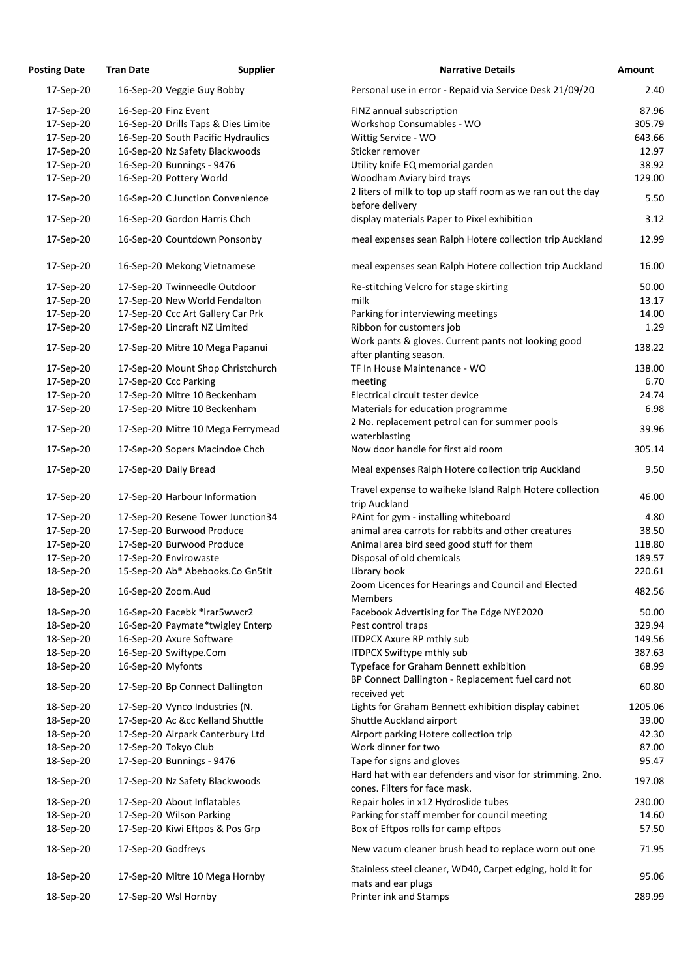| Personal use in error - Repaid via Service Desk 21/09/20<br>17-Sep-20<br>16-Sep-20 Veggie Guy Bobby<br>2.40<br>87.96<br>16-Sep-20 Finz Event<br>FINZ annual subscription<br>17-Sep-20<br>16-Sep-20 Drills Taps & Dies Limite<br>Workshop Consumables - WO<br>305.79<br>17-Sep-20<br>16-Sep-20 South Pacific Hydraulics<br>Wittig Service - WO<br>643.66<br>17-Sep-20<br>16-Sep-20 Nz Safety Blackwoods<br>Sticker remover<br>17-Sep-20<br>12.97<br>16-Sep-20 Bunnings - 9476<br>Utility knife EQ memorial garden<br>38.92<br>17-Sep-20<br>16-Sep-20 Pottery World<br>Woodham Aviary bird trays<br>17-Sep-20<br>129.00<br>2 liters of milk to top up staff room as we ran out the day<br>5.50<br>17-Sep-20<br>16-Sep-20 C Junction Convenience<br>before delivery<br>display materials Paper to Pixel exhibition<br>3.12<br>17-Sep-20<br>16-Sep-20 Gordon Harris Chch<br>16-Sep-20 Countdown Ponsonby<br>meal expenses sean Ralph Hotere collection trip Auckland<br>12.99<br>17-Sep-20<br>meal expenses sean Ralph Hotere collection trip Auckland<br>16-Sep-20 Mekong Vietnamese<br>17-Sep-20<br>16.00<br>17-Sep-20 Twinneedle Outdoor<br>Re-stitching Velcro for stage skirting<br>50.00<br>17-Sep-20<br>17-Sep-20 New World Fendalton<br>17-Sep-20<br>milk<br>13.17<br>17-Sep-20 Ccc Art Gallery Car Prk<br>Parking for interviewing meetings<br>14.00<br>17-Sep-20<br>17-Sep-20 Lincraft NZ Limited<br>Ribbon for customers job<br>17-Sep-20<br>1.29<br>Work pants & gloves. Current pants not looking good<br>138.22<br>17-Sep-20<br>17-Sep-20 Mitre 10 Mega Papanui<br>after planting season.<br>138.00<br>17-Sep-20 Mount Shop Christchurch<br>TF In House Maintenance - WO<br>17-Sep-20<br>17-Sep-20 Ccc Parking<br>17-Sep-20<br>6.70<br>meeting<br>17-Sep-20 Mitre 10 Beckenham<br>Electrical circuit tester device<br>17-Sep-20<br>24.74<br>17-Sep-20 Mitre 10 Beckenham<br>17-Sep-20<br>Materials for education programme<br>6.98<br>2 No. replacement petrol can for summer pools<br>39.96<br>17-Sep-20 Mitre 10 Mega Ferrymead<br>17-Sep-20<br>waterblasting<br>Now door handle for first aid room<br>305.14<br>17-Sep-20<br>17-Sep-20 Sopers Macindoe Chch<br>17-Sep-20<br>17-Sep-20 Daily Bread<br>Meal expenses Ralph Hotere collection trip Auckland<br>Travel expense to waiheke Island Ralph Hotere collection<br>46.00<br>17-Sep-20 Harbour Information<br>17-Sep-20<br>trip Auckland<br>PAint for gym - installing whiteboard<br>17-Sep-20 Resene Tower Junction34<br>4.80<br>17-Sep-20<br>17-Sep-20 Burwood Produce<br>animal area carrots for rabbits and other creatures<br>38.50<br>17-Sep-20<br>17-Sep-20 Burwood Produce<br>Animal area bird seed good stuff for them<br>17-Sep-20<br>118.80<br>17-Sep-20 Envirowaste<br>Disposal of old chemicals<br>189.57<br>17-Sep-20<br>15-Sep-20 Ab* Abebooks.Co Gn5tit<br>Library book<br>18-Sep-20<br>220.61<br>Zoom Licences for Hearings and Council and Elected<br>482.56<br>18-Sep-20<br>16-Sep-20 Zoom.Aud<br><b>Members</b><br>18-Sep-20<br>16-Sep-20 Facebk *Irar5wwcr2<br>Facebook Advertising for The Edge NYE2020<br>50.00<br>329.94<br>18-Sep-20<br>16-Sep-20 Paymate*twigley Enterp<br>Pest control traps<br>16-Sep-20 Axure Software<br>18-Sep-20<br><b>ITDPCX Axure RP mthly sub</b><br>149.56<br>16-Sep-20 Swiftype.Com<br><b>ITDPCX Swiftype mthly sub</b><br>387.63<br>18-Sep-20<br>16-Sep-20 Myfonts<br>Typeface for Graham Bennett exhibition<br>18-Sep-20<br>68.99<br>BP Connect Dallington - Replacement fuel card not<br>60.80<br>17-Sep-20 Bp Connect Dallington<br>18-Sep-20<br>received yet<br>1205.06<br>Lights for Graham Bennett exhibition display cabinet<br>18-Sep-20<br>17-Sep-20 Vynco Industries (N.<br>17-Sep-20 Ac &cc Kelland Shuttle<br>Shuttle Auckland airport<br>18-Sep-20<br>39.00<br>17-Sep-20 Airpark Canterbury Ltd<br>Airport parking Hotere collection trip<br>18-Sep-20<br>42.30<br>17-Sep-20 Tokyo Club<br>Work dinner for two<br>18-Sep-20<br>17-Sep-20 Bunnings - 9476<br>Tape for signs and gloves<br>95.47<br>18-Sep-20<br>Hard hat with ear defenders and visor for strimming. 2no.<br>197.08<br>17-Sep-20 Nz Safety Blackwoods<br>18-Sep-20<br>cones. Filters for face mask.<br>Repair holes in x12 Hydroslide tubes<br>230.00<br>17-Sep-20 About Inflatables<br>18-Sep-20<br>17-Sep-20 Wilson Parking<br>Parking for staff member for council meeting<br>18-Sep-20<br>14.60<br>17-Sep-20 Kiwi Eftpos & Pos Grp<br>Box of Eftpos rolls for camp eftpos<br>57.50<br>18-Sep-20<br>17-Sep-20 Godfreys<br>New vacum cleaner brush head to replace worn out one<br>71.95<br>18-Sep-20<br>Stainless steel cleaner, WD40, Carpet edging, hold it for<br>17-Sep-20 Mitre 10 Mega Hornby<br>18-Sep-20<br>mats and ear plugs<br>18-Sep-20<br>17-Sep-20 Wsl Hornby<br>Printer ink and Stamps | <b>Posting Date</b> | <b>Tran Date</b> | <b>Supplier</b> | <b>Narrative Details</b> | Amount |
|-------------------------------------------------------------------------------------------------------------------------------------------------------------------------------------------------------------------------------------------------------------------------------------------------------------------------------------------------------------------------------------------------------------------------------------------------------------------------------------------------------------------------------------------------------------------------------------------------------------------------------------------------------------------------------------------------------------------------------------------------------------------------------------------------------------------------------------------------------------------------------------------------------------------------------------------------------------------------------------------------------------------------------------------------------------------------------------------------------------------------------------------------------------------------------------------------------------------------------------------------------------------------------------------------------------------------------------------------------------------------------------------------------------------------------------------------------------------------------------------------------------------------------------------------------------------------------------------------------------------------------------------------------------------------------------------------------------------------------------------------------------------------------------------------------------------------------------------------------------------------------------------------------------------------------------------------------------------------------------------------------------------------------------------------------------------------------------------------------------------------------------------------------------------------------------------------------------------------------------------------------------------------------------------------------------------------------------------------------------------------------------------------------------------------------------------------------------------------------------------------------------------------------------------------------------------------------------------------------------------------------------------------------------------------------------------------------------------------------------------------------------------------------------------------------------------------------------------------------------------------------------------------------------------------------------------------------------------------------------------------------------------------------------------------------------------------------------------------------------------------------------------------------------------------------------------------------------------------------------------------------------------------------------------------------------------------------------------------------------------------------------------------------------------------------------------------------------------------------------------------------------------------------------------------------------------------------------------------------------------------------------------------------------------------------------------------------------------------------------------------------------------------------------------------------------------------------------------------------------------------------------------------------------------------------------------------------------------------------------------------------------------------------------------------------------------------------------------------------------------------------------------------------------------------------------------------------------------------------------------------------------------------------------------------------------------------------------------------------------------------------------------------------------------------------------------------------------------------------------------------------------------------------------------------------------------------------------------------------------------------------------------------------------------------------------------------------------------------------------------------------------------------------------------------------------|---------------------|------------------|-----------------|--------------------------|--------|
|                                                                                                                                                                                                                                                                                                                                                                                                                                                                                                                                                                                                                                                                                                                                                                                                                                                                                                                                                                                                                                                                                                                                                                                                                                                                                                                                                                                                                                                                                                                                                                                                                                                                                                                                                                                                                                                                                                                                                                                                                                                                                                                                                                                                                                                                                                                                                                                                                                                                                                                                                                                                                                                                                                                                                                                                                                                                                                                                                                                                                                                                                                                                                                                                                                                                                                                                                                                                                                                                                                                                                                                                                                                                                                                                                                                                                                                                                                                                                                                                                                                                                                                                                                                                                                                                                                                                                                                                                                                                                                                                                                                                                                                                                                                                                                                                             |                     |                  |                 |                          |        |
|                                                                                                                                                                                                                                                                                                                                                                                                                                                                                                                                                                                                                                                                                                                                                                                                                                                                                                                                                                                                                                                                                                                                                                                                                                                                                                                                                                                                                                                                                                                                                                                                                                                                                                                                                                                                                                                                                                                                                                                                                                                                                                                                                                                                                                                                                                                                                                                                                                                                                                                                                                                                                                                                                                                                                                                                                                                                                                                                                                                                                                                                                                                                                                                                                                                                                                                                                                                                                                                                                                                                                                                                                                                                                                                                                                                                                                                                                                                                                                                                                                                                                                                                                                                                                                                                                                                                                                                                                                                                                                                                                                                                                                                                                                                                                                                                             |                     |                  |                 |                          |        |
|                                                                                                                                                                                                                                                                                                                                                                                                                                                                                                                                                                                                                                                                                                                                                                                                                                                                                                                                                                                                                                                                                                                                                                                                                                                                                                                                                                                                                                                                                                                                                                                                                                                                                                                                                                                                                                                                                                                                                                                                                                                                                                                                                                                                                                                                                                                                                                                                                                                                                                                                                                                                                                                                                                                                                                                                                                                                                                                                                                                                                                                                                                                                                                                                                                                                                                                                                                                                                                                                                                                                                                                                                                                                                                                                                                                                                                                                                                                                                                                                                                                                                                                                                                                                                                                                                                                                                                                                                                                                                                                                                                                                                                                                                                                                                                                                             |                     |                  |                 |                          |        |
|                                                                                                                                                                                                                                                                                                                                                                                                                                                                                                                                                                                                                                                                                                                                                                                                                                                                                                                                                                                                                                                                                                                                                                                                                                                                                                                                                                                                                                                                                                                                                                                                                                                                                                                                                                                                                                                                                                                                                                                                                                                                                                                                                                                                                                                                                                                                                                                                                                                                                                                                                                                                                                                                                                                                                                                                                                                                                                                                                                                                                                                                                                                                                                                                                                                                                                                                                                                                                                                                                                                                                                                                                                                                                                                                                                                                                                                                                                                                                                                                                                                                                                                                                                                                                                                                                                                                                                                                                                                                                                                                                                                                                                                                                                                                                                                                             |                     |                  |                 |                          |        |
|                                                                                                                                                                                                                                                                                                                                                                                                                                                                                                                                                                                                                                                                                                                                                                                                                                                                                                                                                                                                                                                                                                                                                                                                                                                                                                                                                                                                                                                                                                                                                                                                                                                                                                                                                                                                                                                                                                                                                                                                                                                                                                                                                                                                                                                                                                                                                                                                                                                                                                                                                                                                                                                                                                                                                                                                                                                                                                                                                                                                                                                                                                                                                                                                                                                                                                                                                                                                                                                                                                                                                                                                                                                                                                                                                                                                                                                                                                                                                                                                                                                                                                                                                                                                                                                                                                                                                                                                                                                                                                                                                                                                                                                                                                                                                                                                             |                     |                  |                 |                          |        |
|                                                                                                                                                                                                                                                                                                                                                                                                                                                                                                                                                                                                                                                                                                                                                                                                                                                                                                                                                                                                                                                                                                                                                                                                                                                                                                                                                                                                                                                                                                                                                                                                                                                                                                                                                                                                                                                                                                                                                                                                                                                                                                                                                                                                                                                                                                                                                                                                                                                                                                                                                                                                                                                                                                                                                                                                                                                                                                                                                                                                                                                                                                                                                                                                                                                                                                                                                                                                                                                                                                                                                                                                                                                                                                                                                                                                                                                                                                                                                                                                                                                                                                                                                                                                                                                                                                                                                                                                                                                                                                                                                                                                                                                                                                                                                                                                             |                     |                  |                 |                          |        |
|                                                                                                                                                                                                                                                                                                                                                                                                                                                                                                                                                                                                                                                                                                                                                                                                                                                                                                                                                                                                                                                                                                                                                                                                                                                                                                                                                                                                                                                                                                                                                                                                                                                                                                                                                                                                                                                                                                                                                                                                                                                                                                                                                                                                                                                                                                                                                                                                                                                                                                                                                                                                                                                                                                                                                                                                                                                                                                                                                                                                                                                                                                                                                                                                                                                                                                                                                                                                                                                                                                                                                                                                                                                                                                                                                                                                                                                                                                                                                                                                                                                                                                                                                                                                                                                                                                                                                                                                                                                                                                                                                                                                                                                                                                                                                                                                             |                     |                  |                 |                          |        |
|                                                                                                                                                                                                                                                                                                                                                                                                                                                                                                                                                                                                                                                                                                                                                                                                                                                                                                                                                                                                                                                                                                                                                                                                                                                                                                                                                                                                                                                                                                                                                                                                                                                                                                                                                                                                                                                                                                                                                                                                                                                                                                                                                                                                                                                                                                                                                                                                                                                                                                                                                                                                                                                                                                                                                                                                                                                                                                                                                                                                                                                                                                                                                                                                                                                                                                                                                                                                                                                                                                                                                                                                                                                                                                                                                                                                                                                                                                                                                                                                                                                                                                                                                                                                                                                                                                                                                                                                                                                                                                                                                                                                                                                                                                                                                                                                             |                     |                  |                 |                          |        |
|                                                                                                                                                                                                                                                                                                                                                                                                                                                                                                                                                                                                                                                                                                                                                                                                                                                                                                                                                                                                                                                                                                                                                                                                                                                                                                                                                                                                                                                                                                                                                                                                                                                                                                                                                                                                                                                                                                                                                                                                                                                                                                                                                                                                                                                                                                                                                                                                                                                                                                                                                                                                                                                                                                                                                                                                                                                                                                                                                                                                                                                                                                                                                                                                                                                                                                                                                                                                                                                                                                                                                                                                                                                                                                                                                                                                                                                                                                                                                                                                                                                                                                                                                                                                                                                                                                                                                                                                                                                                                                                                                                                                                                                                                                                                                                                                             |                     |                  |                 |                          |        |
|                                                                                                                                                                                                                                                                                                                                                                                                                                                                                                                                                                                                                                                                                                                                                                                                                                                                                                                                                                                                                                                                                                                                                                                                                                                                                                                                                                                                                                                                                                                                                                                                                                                                                                                                                                                                                                                                                                                                                                                                                                                                                                                                                                                                                                                                                                                                                                                                                                                                                                                                                                                                                                                                                                                                                                                                                                                                                                                                                                                                                                                                                                                                                                                                                                                                                                                                                                                                                                                                                                                                                                                                                                                                                                                                                                                                                                                                                                                                                                                                                                                                                                                                                                                                                                                                                                                                                                                                                                                                                                                                                                                                                                                                                                                                                                                                             |                     |                  |                 |                          |        |
|                                                                                                                                                                                                                                                                                                                                                                                                                                                                                                                                                                                                                                                                                                                                                                                                                                                                                                                                                                                                                                                                                                                                                                                                                                                                                                                                                                                                                                                                                                                                                                                                                                                                                                                                                                                                                                                                                                                                                                                                                                                                                                                                                                                                                                                                                                                                                                                                                                                                                                                                                                                                                                                                                                                                                                                                                                                                                                                                                                                                                                                                                                                                                                                                                                                                                                                                                                                                                                                                                                                                                                                                                                                                                                                                                                                                                                                                                                                                                                                                                                                                                                                                                                                                                                                                                                                                                                                                                                                                                                                                                                                                                                                                                                                                                                                                             |                     |                  |                 |                          |        |
|                                                                                                                                                                                                                                                                                                                                                                                                                                                                                                                                                                                                                                                                                                                                                                                                                                                                                                                                                                                                                                                                                                                                                                                                                                                                                                                                                                                                                                                                                                                                                                                                                                                                                                                                                                                                                                                                                                                                                                                                                                                                                                                                                                                                                                                                                                                                                                                                                                                                                                                                                                                                                                                                                                                                                                                                                                                                                                                                                                                                                                                                                                                                                                                                                                                                                                                                                                                                                                                                                                                                                                                                                                                                                                                                                                                                                                                                                                                                                                                                                                                                                                                                                                                                                                                                                                                                                                                                                                                                                                                                                                                                                                                                                                                                                                                                             |                     |                  |                 |                          |        |
|                                                                                                                                                                                                                                                                                                                                                                                                                                                                                                                                                                                                                                                                                                                                                                                                                                                                                                                                                                                                                                                                                                                                                                                                                                                                                                                                                                                                                                                                                                                                                                                                                                                                                                                                                                                                                                                                                                                                                                                                                                                                                                                                                                                                                                                                                                                                                                                                                                                                                                                                                                                                                                                                                                                                                                                                                                                                                                                                                                                                                                                                                                                                                                                                                                                                                                                                                                                                                                                                                                                                                                                                                                                                                                                                                                                                                                                                                                                                                                                                                                                                                                                                                                                                                                                                                                                                                                                                                                                                                                                                                                                                                                                                                                                                                                                                             |                     |                  |                 |                          |        |
|                                                                                                                                                                                                                                                                                                                                                                                                                                                                                                                                                                                                                                                                                                                                                                                                                                                                                                                                                                                                                                                                                                                                                                                                                                                                                                                                                                                                                                                                                                                                                                                                                                                                                                                                                                                                                                                                                                                                                                                                                                                                                                                                                                                                                                                                                                                                                                                                                                                                                                                                                                                                                                                                                                                                                                                                                                                                                                                                                                                                                                                                                                                                                                                                                                                                                                                                                                                                                                                                                                                                                                                                                                                                                                                                                                                                                                                                                                                                                                                                                                                                                                                                                                                                                                                                                                                                                                                                                                                                                                                                                                                                                                                                                                                                                                                                             |                     |                  |                 |                          |        |
|                                                                                                                                                                                                                                                                                                                                                                                                                                                                                                                                                                                                                                                                                                                                                                                                                                                                                                                                                                                                                                                                                                                                                                                                                                                                                                                                                                                                                                                                                                                                                                                                                                                                                                                                                                                                                                                                                                                                                                                                                                                                                                                                                                                                                                                                                                                                                                                                                                                                                                                                                                                                                                                                                                                                                                                                                                                                                                                                                                                                                                                                                                                                                                                                                                                                                                                                                                                                                                                                                                                                                                                                                                                                                                                                                                                                                                                                                                                                                                                                                                                                                                                                                                                                                                                                                                                                                                                                                                                                                                                                                                                                                                                                                                                                                                                                             |                     |                  |                 |                          |        |
|                                                                                                                                                                                                                                                                                                                                                                                                                                                                                                                                                                                                                                                                                                                                                                                                                                                                                                                                                                                                                                                                                                                                                                                                                                                                                                                                                                                                                                                                                                                                                                                                                                                                                                                                                                                                                                                                                                                                                                                                                                                                                                                                                                                                                                                                                                                                                                                                                                                                                                                                                                                                                                                                                                                                                                                                                                                                                                                                                                                                                                                                                                                                                                                                                                                                                                                                                                                                                                                                                                                                                                                                                                                                                                                                                                                                                                                                                                                                                                                                                                                                                                                                                                                                                                                                                                                                                                                                                                                                                                                                                                                                                                                                                                                                                                                                             |                     |                  |                 |                          |        |
|                                                                                                                                                                                                                                                                                                                                                                                                                                                                                                                                                                                                                                                                                                                                                                                                                                                                                                                                                                                                                                                                                                                                                                                                                                                                                                                                                                                                                                                                                                                                                                                                                                                                                                                                                                                                                                                                                                                                                                                                                                                                                                                                                                                                                                                                                                                                                                                                                                                                                                                                                                                                                                                                                                                                                                                                                                                                                                                                                                                                                                                                                                                                                                                                                                                                                                                                                                                                                                                                                                                                                                                                                                                                                                                                                                                                                                                                                                                                                                                                                                                                                                                                                                                                                                                                                                                                                                                                                                                                                                                                                                                                                                                                                                                                                                                                             |                     |                  |                 |                          |        |
|                                                                                                                                                                                                                                                                                                                                                                                                                                                                                                                                                                                                                                                                                                                                                                                                                                                                                                                                                                                                                                                                                                                                                                                                                                                                                                                                                                                                                                                                                                                                                                                                                                                                                                                                                                                                                                                                                                                                                                                                                                                                                                                                                                                                                                                                                                                                                                                                                                                                                                                                                                                                                                                                                                                                                                                                                                                                                                                                                                                                                                                                                                                                                                                                                                                                                                                                                                                                                                                                                                                                                                                                                                                                                                                                                                                                                                                                                                                                                                                                                                                                                                                                                                                                                                                                                                                                                                                                                                                                                                                                                                                                                                                                                                                                                                                                             |                     |                  |                 |                          |        |
|                                                                                                                                                                                                                                                                                                                                                                                                                                                                                                                                                                                                                                                                                                                                                                                                                                                                                                                                                                                                                                                                                                                                                                                                                                                                                                                                                                                                                                                                                                                                                                                                                                                                                                                                                                                                                                                                                                                                                                                                                                                                                                                                                                                                                                                                                                                                                                                                                                                                                                                                                                                                                                                                                                                                                                                                                                                                                                                                                                                                                                                                                                                                                                                                                                                                                                                                                                                                                                                                                                                                                                                                                                                                                                                                                                                                                                                                                                                                                                                                                                                                                                                                                                                                                                                                                                                                                                                                                                                                                                                                                                                                                                                                                                                                                                                                             |                     |                  |                 |                          |        |
|                                                                                                                                                                                                                                                                                                                                                                                                                                                                                                                                                                                                                                                                                                                                                                                                                                                                                                                                                                                                                                                                                                                                                                                                                                                                                                                                                                                                                                                                                                                                                                                                                                                                                                                                                                                                                                                                                                                                                                                                                                                                                                                                                                                                                                                                                                                                                                                                                                                                                                                                                                                                                                                                                                                                                                                                                                                                                                                                                                                                                                                                                                                                                                                                                                                                                                                                                                                                                                                                                                                                                                                                                                                                                                                                                                                                                                                                                                                                                                                                                                                                                                                                                                                                                                                                                                                                                                                                                                                                                                                                                                                                                                                                                                                                                                                                             |                     |                  |                 |                          |        |
|                                                                                                                                                                                                                                                                                                                                                                                                                                                                                                                                                                                                                                                                                                                                                                                                                                                                                                                                                                                                                                                                                                                                                                                                                                                                                                                                                                                                                                                                                                                                                                                                                                                                                                                                                                                                                                                                                                                                                                                                                                                                                                                                                                                                                                                                                                                                                                                                                                                                                                                                                                                                                                                                                                                                                                                                                                                                                                                                                                                                                                                                                                                                                                                                                                                                                                                                                                                                                                                                                                                                                                                                                                                                                                                                                                                                                                                                                                                                                                                                                                                                                                                                                                                                                                                                                                                                                                                                                                                                                                                                                                                                                                                                                                                                                                                                             |                     |                  |                 |                          |        |
|                                                                                                                                                                                                                                                                                                                                                                                                                                                                                                                                                                                                                                                                                                                                                                                                                                                                                                                                                                                                                                                                                                                                                                                                                                                                                                                                                                                                                                                                                                                                                                                                                                                                                                                                                                                                                                                                                                                                                                                                                                                                                                                                                                                                                                                                                                                                                                                                                                                                                                                                                                                                                                                                                                                                                                                                                                                                                                                                                                                                                                                                                                                                                                                                                                                                                                                                                                                                                                                                                                                                                                                                                                                                                                                                                                                                                                                                                                                                                                                                                                                                                                                                                                                                                                                                                                                                                                                                                                                                                                                                                                                                                                                                                                                                                                                                             |                     |                  |                 |                          |        |
|                                                                                                                                                                                                                                                                                                                                                                                                                                                                                                                                                                                                                                                                                                                                                                                                                                                                                                                                                                                                                                                                                                                                                                                                                                                                                                                                                                                                                                                                                                                                                                                                                                                                                                                                                                                                                                                                                                                                                                                                                                                                                                                                                                                                                                                                                                                                                                                                                                                                                                                                                                                                                                                                                                                                                                                                                                                                                                                                                                                                                                                                                                                                                                                                                                                                                                                                                                                                                                                                                                                                                                                                                                                                                                                                                                                                                                                                                                                                                                                                                                                                                                                                                                                                                                                                                                                                                                                                                                                                                                                                                                                                                                                                                                                                                                                                             |                     |                  |                 |                          |        |
|                                                                                                                                                                                                                                                                                                                                                                                                                                                                                                                                                                                                                                                                                                                                                                                                                                                                                                                                                                                                                                                                                                                                                                                                                                                                                                                                                                                                                                                                                                                                                                                                                                                                                                                                                                                                                                                                                                                                                                                                                                                                                                                                                                                                                                                                                                                                                                                                                                                                                                                                                                                                                                                                                                                                                                                                                                                                                                                                                                                                                                                                                                                                                                                                                                                                                                                                                                                                                                                                                                                                                                                                                                                                                                                                                                                                                                                                                                                                                                                                                                                                                                                                                                                                                                                                                                                                                                                                                                                                                                                                                                                                                                                                                                                                                                                                             |                     |                  |                 |                          | 9.50   |
|                                                                                                                                                                                                                                                                                                                                                                                                                                                                                                                                                                                                                                                                                                                                                                                                                                                                                                                                                                                                                                                                                                                                                                                                                                                                                                                                                                                                                                                                                                                                                                                                                                                                                                                                                                                                                                                                                                                                                                                                                                                                                                                                                                                                                                                                                                                                                                                                                                                                                                                                                                                                                                                                                                                                                                                                                                                                                                                                                                                                                                                                                                                                                                                                                                                                                                                                                                                                                                                                                                                                                                                                                                                                                                                                                                                                                                                                                                                                                                                                                                                                                                                                                                                                                                                                                                                                                                                                                                                                                                                                                                                                                                                                                                                                                                                                             |                     |                  |                 |                          |        |
|                                                                                                                                                                                                                                                                                                                                                                                                                                                                                                                                                                                                                                                                                                                                                                                                                                                                                                                                                                                                                                                                                                                                                                                                                                                                                                                                                                                                                                                                                                                                                                                                                                                                                                                                                                                                                                                                                                                                                                                                                                                                                                                                                                                                                                                                                                                                                                                                                                                                                                                                                                                                                                                                                                                                                                                                                                                                                                                                                                                                                                                                                                                                                                                                                                                                                                                                                                                                                                                                                                                                                                                                                                                                                                                                                                                                                                                                                                                                                                                                                                                                                                                                                                                                                                                                                                                                                                                                                                                                                                                                                                                                                                                                                                                                                                                                             |                     |                  |                 |                          |        |
|                                                                                                                                                                                                                                                                                                                                                                                                                                                                                                                                                                                                                                                                                                                                                                                                                                                                                                                                                                                                                                                                                                                                                                                                                                                                                                                                                                                                                                                                                                                                                                                                                                                                                                                                                                                                                                                                                                                                                                                                                                                                                                                                                                                                                                                                                                                                                                                                                                                                                                                                                                                                                                                                                                                                                                                                                                                                                                                                                                                                                                                                                                                                                                                                                                                                                                                                                                                                                                                                                                                                                                                                                                                                                                                                                                                                                                                                                                                                                                                                                                                                                                                                                                                                                                                                                                                                                                                                                                                                                                                                                                                                                                                                                                                                                                                                             |                     |                  |                 |                          |        |
|                                                                                                                                                                                                                                                                                                                                                                                                                                                                                                                                                                                                                                                                                                                                                                                                                                                                                                                                                                                                                                                                                                                                                                                                                                                                                                                                                                                                                                                                                                                                                                                                                                                                                                                                                                                                                                                                                                                                                                                                                                                                                                                                                                                                                                                                                                                                                                                                                                                                                                                                                                                                                                                                                                                                                                                                                                                                                                                                                                                                                                                                                                                                                                                                                                                                                                                                                                                                                                                                                                                                                                                                                                                                                                                                                                                                                                                                                                                                                                                                                                                                                                                                                                                                                                                                                                                                                                                                                                                                                                                                                                                                                                                                                                                                                                                                             |                     |                  |                 |                          |        |
|                                                                                                                                                                                                                                                                                                                                                                                                                                                                                                                                                                                                                                                                                                                                                                                                                                                                                                                                                                                                                                                                                                                                                                                                                                                                                                                                                                                                                                                                                                                                                                                                                                                                                                                                                                                                                                                                                                                                                                                                                                                                                                                                                                                                                                                                                                                                                                                                                                                                                                                                                                                                                                                                                                                                                                                                                                                                                                                                                                                                                                                                                                                                                                                                                                                                                                                                                                                                                                                                                                                                                                                                                                                                                                                                                                                                                                                                                                                                                                                                                                                                                                                                                                                                                                                                                                                                                                                                                                                                                                                                                                                                                                                                                                                                                                                                             |                     |                  |                 |                          |        |
|                                                                                                                                                                                                                                                                                                                                                                                                                                                                                                                                                                                                                                                                                                                                                                                                                                                                                                                                                                                                                                                                                                                                                                                                                                                                                                                                                                                                                                                                                                                                                                                                                                                                                                                                                                                                                                                                                                                                                                                                                                                                                                                                                                                                                                                                                                                                                                                                                                                                                                                                                                                                                                                                                                                                                                                                                                                                                                                                                                                                                                                                                                                                                                                                                                                                                                                                                                                                                                                                                                                                                                                                                                                                                                                                                                                                                                                                                                                                                                                                                                                                                                                                                                                                                                                                                                                                                                                                                                                                                                                                                                                                                                                                                                                                                                                                             |                     |                  |                 |                          |        |
|                                                                                                                                                                                                                                                                                                                                                                                                                                                                                                                                                                                                                                                                                                                                                                                                                                                                                                                                                                                                                                                                                                                                                                                                                                                                                                                                                                                                                                                                                                                                                                                                                                                                                                                                                                                                                                                                                                                                                                                                                                                                                                                                                                                                                                                                                                                                                                                                                                                                                                                                                                                                                                                                                                                                                                                                                                                                                                                                                                                                                                                                                                                                                                                                                                                                                                                                                                                                                                                                                                                                                                                                                                                                                                                                                                                                                                                                                                                                                                                                                                                                                                                                                                                                                                                                                                                                                                                                                                                                                                                                                                                                                                                                                                                                                                                                             |                     |                  |                 |                          |        |
|                                                                                                                                                                                                                                                                                                                                                                                                                                                                                                                                                                                                                                                                                                                                                                                                                                                                                                                                                                                                                                                                                                                                                                                                                                                                                                                                                                                                                                                                                                                                                                                                                                                                                                                                                                                                                                                                                                                                                                                                                                                                                                                                                                                                                                                                                                                                                                                                                                                                                                                                                                                                                                                                                                                                                                                                                                                                                                                                                                                                                                                                                                                                                                                                                                                                                                                                                                                                                                                                                                                                                                                                                                                                                                                                                                                                                                                                                                                                                                                                                                                                                                                                                                                                                                                                                                                                                                                                                                                                                                                                                                                                                                                                                                                                                                                                             |                     |                  |                 |                          |        |
|                                                                                                                                                                                                                                                                                                                                                                                                                                                                                                                                                                                                                                                                                                                                                                                                                                                                                                                                                                                                                                                                                                                                                                                                                                                                                                                                                                                                                                                                                                                                                                                                                                                                                                                                                                                                                                                                                                                                                                                                                                                                                                                                                                                                                                                                                                                                                                                                                                                                                                                                                                                                                                                                                                                                                                                                                                                                                                                                                                                                                                                                                                                                                                                                                                                                                                                                                                                                                                                                                                                                                                                                                                                                                                                                                                                                                                                                                                                                                                                                                                                                                                                                                                                                                                                                                                                                                                                                                                                                                                                                                                                                                                                                                                                                                                                                             |                     |                  |                 |                          |        |
|                                                                                                                                                                                                                                                                                                                                                                                                                                                                                                                                                                                                                                                                                                                                                                                                                                                                                                                                                                                                                                                                                                                                                                                                                                                                                                                                                                                                                                                                                                                                                                                                                                                                                                                                                                                                                                                                                                                                                                                                                                                                                                                                                                                                                                                                                                                                                                                                                                                                                                                                                                                                                                                                                                                                                                                                                                                                                                                                                                                                                                                                                                                                                                                                                                                                                                                                                                                                                                                                                                                                                                                                                                                                                                                                                                                                                                                                                                                                                                                                                                                                                                                                                                                                                                                                                                                                                                                                                                                                                                                                                                                                                                                                                                                                                                                                             |                     |                  |                 |                          |        |
|                                                                                                                                                                                                                                                                                                                                                                                                                                                                                                                                                                                                                                                                                                                                                                                                                                                                                                                                                                                                                                                                                                                                                                                                                                                                                                                                                                                                                                                                                                                                                                                                                                                                                                                                                                                                                                                                                                                                                                                                                                                                                                                                                                                                                                                                                                                                                                                                                                                                                                                                                                                                                                                                                                                                                                                                                                                                                                                                                                                                                                                                                                                                                                                                                                                                                                                                                                                                                                                                                                                                                                                                                                                                                                                                                                                                                                                                                                                                                                                                                                                                                                                                                                                                                                                                                                                                                                                                                                                                                                                                                                                                                                                                                                                                                                                                             |                     |                  |                 |                          |        |
|                                                                                                                                                                                                                                                                                                                                                                                                                                                                                                                                                                                                                                                                                                                                                                                                                                                                                                                                                                                                                                                                                                                                                                                                                                                                                                                                                                                                                                                                                                                                                                                                                                                                                                                                                                                                                                                                                                                                                                                                                                                                                                                                                                                                                                                                                                                                                                                                                                                                                                                                                                                                                                                                                                                                                                                                                                                                                                                                                                                                                                                                                                                                                                                                                                                                                                                                                                                                                                                                                                                                                                                                                                                                                                                                                                                                                                                                                                                                                                                                                                                                                                                                                                                                                                                                                                                                                                                                                                                                                                                                                                                                                                                                                                                                                                                                             |                     |                  |                 |                          |        |
|                                                                                                                                                                                                                                                                                                                                                                                                                                                                                                                                                                                                                                                                                                                                                                                                                                                                                                                                                                                                                                                                                                                                                                                                                                                                                                                                                                                                                                                                                                                                                                                                                                                                                                                                                                                                                                                                                                                                                                                                                                                                                                                                                                                                                                                                                                                                                                                                                                                                                                                                                                                                                                                                                                                                                                                                                                                                                                                                                                                                                                                                                                                                                                                                                                                                                                                                                                                                                                                                                                                                                                                                                                                                                                                                                                                                                                                                                                                                                                                                                                                                                                                                                                                                                                                                                                                                                                                                                                                                                                                                                                                                                                                                                                                                                                                                             |                     |                  |                 |                          |        |
|                                                                                                                                                                                                                                                                                                                                                                                                                                                                                                                                                                                                                                                                                                                                                                                                                                                                                                                                                                                                                                                                                                                                                                                                                                                                                                                                                                                                                                                                                                                                                                                                                                                                                                                                                                                                                                                                                                                                                                                                                                                                                                                                                                                                                                                                                                                                                                                                                                                                                                                                                                                                                                                                                                                                                                                                                                                                                                                                                                                                                                                                                                                                                                                                                                                                                                                                                                                                                                                                                                                                                                                                                                                                                                                                                                                                                                                                                                                                                                                                                                                                                                                                                                                                                                                                                                                                                                                                                                                                                                                                                                                                                                                                                                                                                                                                             |                     |                  |                 |                          |        |
|                                                                                                                                                                                                                                                                                                                                                                                                                                                                                                                                                                                                                                                                                                                                                                                                                                                                                                                                                                                                                                                                                                                                                                                                                                                                                                                                                                                                                                                                                                                                                                                                                                                                                                                                                                                                                                                                                                                                                                                                                                                                                                                                                                                                                                                                                                                                                                                                                                                                                                                                                                                                                                                                                                                                                                                                                                                                                                                                                                                                                                                                                                                                                                                                                                                                                                                                                                                                                                                                                                                                                                                                                                                                                                                                                                                                                                                                                                                                                                                                                                                                                                                                                                                                                                                                                                                                                                                                                                                                                                                                                                                                                                                                                                                                                                                                             |                     |                  |                 |                          |        |
|                                                                                                                                                                                                                                                                                                                                                                                                                                                                                                                                                                                                                                                                                                                                                                                                                                                                                                                                                                                                                                                                                                                                                                                                                                                                                                                                                                                                                                                                                                                                                                                                                                                                                                                                                                                                                                                                                                                                                                                                                                                                                                                                                                                                                                                                                                                                                                                                                                                                                                                                                                                                                                                                                                                                                                                                                                                                                                                                                                                                                                                                                                                                                                                                                                                                                                                                                                                                                                                                                                                                                                                                                                                                                                                                                                                                                                                                                                                                                                                                                                                                                                                                                                                                                                                                                                                                                                                                                                                                                                                                                                                                                                                                                                                                                                                                             |                     |                  |                 |                          |        |
|                                                                                                                                                                                                                                                                                                                                                                                                                                                                                                                                                                                                                                                                                                                                                                                                                                                                                                                                                                                                                                                                                                                                                                                                                                                                                                                                                                                                                                                                                                                                                                                                                                                                                                                                                                                                                                                                                                                                                                                                                                                                                                                                                                                                                                                                                                                                                                                                                                                                                                                                                                                                                                                                                                                                                                                                                                                                                                                                                                                                                                                                                                                                                                                                                                                                                                                                                                                                                                                                                                                                                                                                                                                                                                                                                                                                                                                                                                                                                                                                                                                                                                                                                                                                                                                                                                                                                                                                                                                                                                                                                                                                                                                                                                                                                                                                             |                     |                  |                 |                          |        |
|                                                                                                                                                                                                                                                                                                                                                                                                                                                                                                                                                                                                                                                                                                                                                                                                                                                                                                                                                                                                                                                                                                                                                                                                                                                                                                                                                                                                                                                                                                                                                                                                                                                                                                                                                                                                                                                                                                                                                                                                                                                                                                                                                                                                                                                                                                                                                                                                                                                                                                                                                                                                                                                                                                                                                                                                                                                                                                                                                                                                                                                                                                                                                                                                                                                                                                                                                                                                                                                                                                                                                                                                                                                                                                                                                                                                                                                                                                                                                                                                                                                                                                                                                                                                                                                                                                                                                                                                                                                                                                                                                                                                                                                                                                                                                                                                             |                     |                  |                 |                          | 87.00  |
|                                                                                                                                                                                                                                                                                                                                                                                                                                                                                                                                                                                                                                                                                                                                                                                                                                                                                                                                                                                                                                                                                                                                                                                                                                                                                                                                                                                                                                                                                                                                                                                                                                                                                                                                                                                                                                                                                                                                                                                                                                                                                                                                                                                                                                                                                                                                                                                                                                                                                                                                                                                                                                                                                                                                                                                                                                                                                                                                                                                                                                                                                                                                                                                                                                                                                                                                                                                                                                                                                                                                                                                                                                                                                                                                                                                                                                                                                                                                                                                                                                                                                                                                                                                                                                                                                                                                                                                                                                                                                                                                                                                                                                                                                                                                                                                                             |                     |                  |                 |                          |        |
|                                                                                                                                                                                                                                                                                                                                                                                                                                                                                                                                                                                                                                                                                                                                                                                                                                                                                                                                                                                                                                                                                                                                                                                                                                                                                                                                                                                                                                                                                                                                                                                                                                                                                                                                                                                                                                                                                                                                                                                                                                                                                                                                                                                                                                                                                                                                                                                                                                                                                                                                                                                                                                                                                                                                                                                                                                                                                                                                                                                                                                                                                                                                                                                                                                                                                                                                                                                                                                                                                                                                                                                                                                                                                                                                                                                                                                                                                                                                                                                                                                                                                                                                                                                                                                                                                                                                                                                                                                                                                                                                                                                                                                                                                                                                                                                                             |                     |                  |                 |                          |        |
|                                                                                                                                                                                                                                                                                                                                                                                                                                                                                                                                                                                                                                                                                                                                                                                                                                                                                                                                                                                                                                                                                                                                                                                                                                                                                                                                                                                                                                                                                                                                                                                                                                                                                                                                                                                                                                                                                                                                                                                                                                                                                                                                                                                                                                                                                                                                                                                                                                                                                                                                                                                                                                                                                                                                                                                                                                                                                                                                                                                                                                                                                                                                                                                                                                                                                                                                                                                                                                                                                                                                                                                                                                                                                                                                                                                                                                                                                                                                                                                                                                                                                                                                                                                                                                                                                                                                                                                                                                                                                                                                                                                                                                                                                                                                                                                                             |                     |                  |                 |                          |        |
|                                                                                                                                                                                                                                                                                                                                                                                                                                                                                                                                                                                                                                                                                                                                                                                                                                                                                                                                                                                                                                                                                                                                                                                                                                                                                                                                                                                                                                                                                                                                                                                                                                                                                                                                                                                                                                                                                                                                                                                                                                                                                                                                                                                                                                                                                                                                                                                                                                                                                                                                                                                                                                                                                                                                                                                                                                                                                                                                                                                                                                                                                                                                                                                                                                                                                                                                                                                                                                                                                                                                                                                                                                                                                                                                                                                                                                                                                                                                                                                                                                                                                                                                                                                                                                                                                                                                                                                                                                                                                                                                                                                                                                                                                                                                                                                                             |                     |                  |                 |                          |        |
|                                                                                                                                                                                                                                                                                                                                                                                                                                                                                                                                                                                                                                                                                                                                                                                                                                                                                                                                                                                                                                                                                                                                                                                                                                                                                                                                                                                                                                                                                                                                                                                                                                                                                                                                                                                                                                                                                                                                                                                                                                                                                                                                                                                                                                                                                                                                                                                                                                                                                                                                                                                                                                                                                                                                                                                                                                                                                                                                                                                                                                                                                                                                                                                                                                                                                                                                                                                                                                                                                                                                                                                                                                                                                                                                                                                                                                                                                                                                                                                                                                                                                                                                                                                                                                                                                                                                                                                                                                                                                                                                                                                                                                                                                                                                                                                                             |                     |                  |                 |                          |        |
|                                                                                                                                                                                                                                                                                                                                                                                                                                                                                                                                                                                                                                                                                                                                                                                                                                                                                                                                                                                                                                                                                                                                                                                                                                                                                                                                                                                                                                                                                                                                                                                                                                                                                                                                                                                                                                                                                                                                                                                                                                                                                                                                                                                                                                                                                                                                                                                                                                                                                                                                                                                                                                                                                                                                                                                                                                                                                                                                                                                                                                                                                                                                                                                                                                                                                                                                                                                                                                                                                                                                                                                                                                                                                                                                                                                                                                                                                                                                                                                                                                                                                                                                                                                                                                                                                                                                                                                                                                                                                                                                                                                                                                                                                                                                                                                                             |                     |                  |                 |                          |        |
|                                                                                                                                                                                                                                                                                                                                                                                                                                                                                                                                                                                                                                                                                                                                                                                                                                                                                                                                                                                                                                                                                                                                                                                                                                                                                                                                                                                                                                                                                                                                                                                                                                                                                                                                                                                                                                                                                                                                                                                                                                                                                                                                                                                                                                                                                                                                                                                                                                                                                                                                                                                                                                                                                                                                                                                                                                                                                                                                                                                                                                                                                                                                                                                                                                                                                                                                                                                                                                                                                                                                                                                                                                                                                                                                                                                                                                                                                                                                                                                                                                                                                                                                                                                                                                                                                                                                                                                                                                                                                                                                                                                                                                                                                                                                                                                                             |                     |                  |                 |                          | 95.06  |
|                                                                                                                                                                                                                                                                                                                                                                                                                                                                                                                                                                                                                                                                                                                                                                                                                                                                                                                                                                                                                                                                                                                                                                                                                                                                                                                                                                                                                                                                                                                                                                                                                                                                                                                                                                                                                                                                                                                                                                                                                                                                                                                                                                                                                                                                                                                                                                                                                                                                                                                                                                                                                                                                                                                                                                                                                                                                                                                                                                                                                                                                                                                                                                                                                                                                                                                                                                                                                                                                                                                                                                                                                                                                                                                                                                                                                                                                                                                                                                                                                                                                                                                                                                                                                                                                                                                                                                                                                                                                                                                                                                                                                                                                                                                                                                                                             |                     |                  |                 |                          | 289.99 |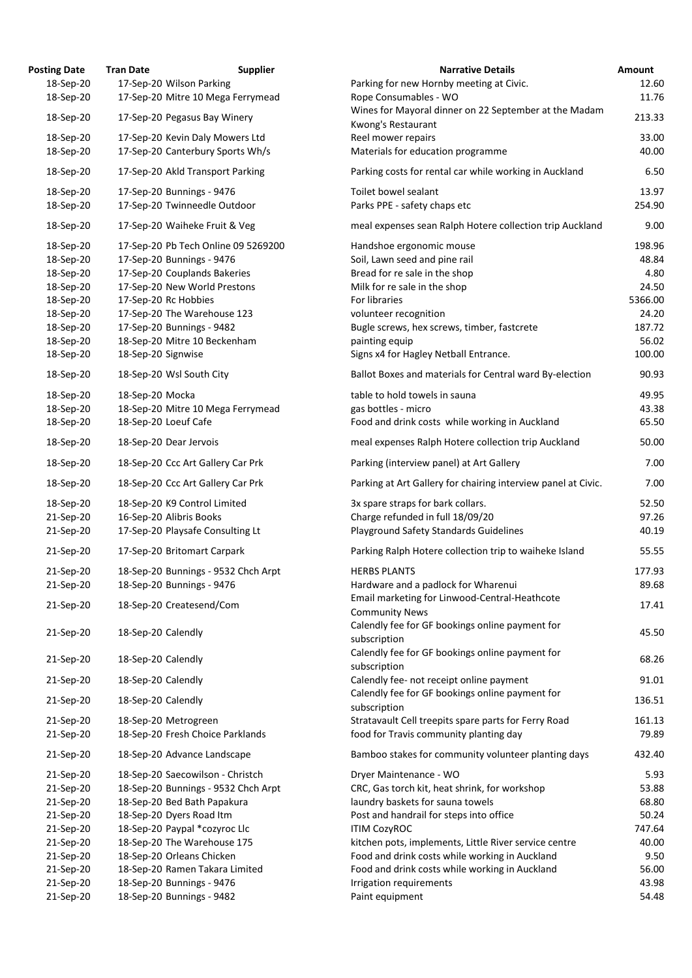| <b>osting Date</b> | <b>Tran Date</b>   | <b>Supplier</b>                     | <b>Narrative Details</b>                                                |
|--------------------|--------------------|-------------------------------------|-------------------------------------------------------------------------|
| 18-Sep-20          |                    | 17-Sep-20 Wilson Parking            | Parking for new Hornby meeting at Civic.                                |
| 18-Sep-20          |                    | 17-Sep-20 Mitre 10 Mega Ferrymead   | Rope Consumables - WO<br>Wines for Mayoral dinner on 22 September at th |
| 18-Sep-20          |                    | 17-Sep-20 Pegasus Bay Winery        | Kwong's Restaurant                                                      |
| 18-Sep-20          |                    | 17-Sep-20 Kevin Daly Mowers Ltd     | Reel mower repairs                                                      |
| 18-Sep-20          |                    | 17-Sep-20 Canterbury Sports Wh/s    | Materials for education programme                                       |
| 18-Sep-20          |                    | 17-Sep-20 Akld Transport Parking    | Parking costs for rental car while working in Aucl                      |
| 18-Sep-20          |                    | 17-Sep-20 Bunnings - 9476           | Toilet bowel sealant                                                    |
| 18-Sep-20          |                    | 17-Sep-20 Twinneedle Outdoor        | Parks PPE - safety chaps etc                                            |
| 18-Sep-20          |                    | 17-Sep-20 Waiheke Fruit & Veg       | meal expenses sean Ralph Hotere collection trip                         |
| 18-Sep-20          |                    | 17-Sep-20 Pb Tech Online 09 5269200 | Handshoe ergonomic mouse                                                |
| 18-Sep-20          |                    | 17-Sep-20 Bunnings - 9476           | Soil, Lawn seed and pine rail                                           |
| 18-Sep-20          |                    | 17-Sep-20 Couplands Bakeries        | Bread for re sale in the shop                                           |
| 18-Sep-20          |                    | 17-Sep-20 New World Prestons        | Milk for re sale in the shop                                            |
| 18-Sep-20          |                    | 17-Sep-20 Rc Hobbies                | For libraries                                                           |
| 18-Sep-20          |                    | 17-Sep-20 The Warehouse 123         | volunteer recognition                                                   |
| 18-Sep-20          |                    | 17-Sep-20 Bunnings - 9482           | Bugle screws, hex screws, timber, fastcrete                             |
| 18-Sep-20          |                    | 18-Sep-20 Mitre 10 Beckenham        | painting equip                                                          |
| 18-Sep-20          | 18-Sep-20 Signwise |                                     | Signs x4 for Hagley Netball Entrance.                                   |
| 18-Sep-20          |                    | 18-Sep-20 Wsl South City            | Ballot Boxes and materials for Central ward By-e                        |
| 18-Sep-20          | 18-Sep-20 Mocka    |                                     | table to hold towels in sauna                                           |
| 18-Sep-20          |                    | 18-Sep-20 Mitre 10 Mega Ferrymead   | gas bottles - micro                                                     |
| 18-Sep-20          |                    | 18-Sep-20 Loeuf Cafe                | Food and drink costs while working in Auckland                          |
| 18-Sep-20          |                    | 18-Sep-20 Dear Jervois              | meal expenses Ralph Hotere collection trip Auckl                        |
| 18-Sep-20          |                    | 18-Sep-20 Ccc Art Gallery Car Prk   | Parking (interview panel) at Art Gallery                                |
| 18-Sep-20          |                    | 18-Sep-20 Ccc Art Gallery Car Prk   | Parking at Art Gallery for chairing interview pane                      |
| 18-Sep-20          |                    | 18-Sep-20 K9 Control Limited        | 3x spare straps for bark collars.                                       |
| 21-Sep-20          |                    | 16-Sep-20 Alibris Books             | Charge refunded in full 18/09/20                                        |
| 21-Sep-20          |                    | 17-Sep-20 Playsafe Consulting Lt    | <b>Playground Safety Standards Guidelines</b>                           |
| 21-Sep-20          |                    | 17-Sep-20 Britomart Carpark         | Parking Ralph Hotere collection trip to waiheke I:                      |
| 21-Sep-20          |                    | 18-Sep-20 Bunnings - 9532 Chch Arpt | <b>HERBS PLANTS</b>                                                     |
| 21-Sep-20          |                    | 18-Sep-20 Bunnings - 9476           | Hardware and a padlock for Wharenui                                     |
| 21-Sep-20          |                    | 18-Sep-20 Createsend/Com            | Email marketing for Linwood-Central-Heathcote<br><b>Community News</b>  |
| 21-Sep-20          | 18-Sep-20 Calendly |                                     | Calendly fee for GF bookings online payment for                         |
|                    |                    |                                     | subscription<br>Calendly fee for GF bookings online payment for         |
| 21-Sep-20          | 18-Sep-20 Calendly |                                     | subscription                                                            |
| 21-Sep-20          | 18-Sep-20 Calendly |                                     | Calendly fee- not receipt online payment                                |
| 21-Sep-20          | 18-Sep-20 Calendly |                                     | Calendly fee for GF bookings online payment for<br>subscription         |
| 21-Sep-20          |                    | 18-Sep-20 Metrogreen                | Stratavault Cell treepits spare parts for Ferry Roa                     |
| 21-Sep-20          |                    | 18-Sep-20 Fresh Choice Parklands    | food for Travis community planting day                                  |
| 21-Sep-20          |                    | 18-Sep-20 Advance Landscape         | Bamboo stakes for community volunteer plantin                           |
| 21-Sep-20          |                    | 18-Sep-20 Saecowilson - Christch    | Dryer Maintenance - WO                                                  |
| 21-Sep-20          |                    | 18-Sep-20 Bunnings - 9532 Chch Arpt | CRC, Gas torch kit, heat shrink, for workshop                           |
| 21-Sep-20          |                    | 18-Sep-20 Bed Bath Papakura         | laundry baskets for sauna towels                                        |
| 21-Sep-20          |                    | 18-Sep-20 Dyers Road Itm            | Post and handrail for steps into office                                 |
| 21-Sep-20          |                    | 18-Sep-20 Paypal *cozyroc Llc       | <b>ITIM CozyROC</b>                                                     |
| 21-Sep-20          |                    | 18-Sep-20 The Warehouse 175         | kitchen pots, implements, Little River service cen                      |
| 21-Sep-20          |                    | 18-Sep-20 Orleans Chicken           | Food and drink costs while working in Auckland                          |
| 21-Sep-20          |                    | 18-Sep-20 Ramen Takara Limited      | Food and drink costs while working in Auckland                          |
| 21-Sep-20          |                    | 18-Sep-20 Bunnings - 9476           | Irrigation requirements                                                 |
| 21-Sep-20          |                    | 18-Sep-20 Bunnings - 9482           | Paint equipment                                                         |

| <b>Posting Date</b> | <b>Tran Date</b>          | <b>Supplier</b>                     | <b>Narrative Details</b>                                                    | <b>Amount</b> |
|---------------------|---------------------------|-------------------------------------|-----------------------------------------------------------------------------|---------------|
| 18-Sep-20           | 17-Sep-20 Wilson Parking  |                                     | Parking for new Hornby meeting at Civic.                                    | 12.60         |
| 18-Sep-20           |                           | 17-Sep-20 Mitre 10 Mega Ferrymead   | Rope Consumables - WO                                                       | 11.76         |
| 18-Sep-20           |                           | 17-Sep-20 Pegasus Bay Winery        | Wines for Mayoral dinner on 22 September at the Madam<br>Kwong's Restaurant | 213.33        |
| 18-Sep-20           |                           | 17-Sep-20 Kevin Daly Mowers Ltd     | Reel mower repairs                                                          | 33.00         |
| 18-Sep-20           |                           | 17-Sep-20 Canterbury Sports Wh/s    | Materials for education programme                                           | 40.00         |
| 18-Sep-20           |                           | 17-Sep-20 Akld Transport Parking    | Parking costs for rental car while working in Auckland                      | 6.50          |
| 18-Sep-20           | 17-Sep-20 Bunnings - 9476 |                                     | Toilet bowel sealant                                                        | 13.97         |
| 18-Sep-20           |                           | 17-Sep-20 Twinneedle Outdoor        | Parks PPE - safety chaps etc                                                | 254.90        |
| 18-Sep-20           |                           | 17-Sep-20 Waiheke Fruit & Veg       | meal expenses sean Ralph Hotere collection trip Auckland                    | 9.00          |
| 18-Sep-20           |                           | 17-Sep-20 Pb Tech Online 09 5269200 | Handshoe ergonomic mouse                                                    | 198.96        |
| 18-Sep-20           | 17-Sep-20 Bunnings - 9476 |                                     | Soil, Lawn seed and pine rail                                               | 48.84         |
| 18-Sep-20           |                           | 17-Sep-20 Couplands Bakeries        | Bread for re sale in the shop                                               | 4.80          |
| 18-Sep-20           |                           | 17-Sep-20 New World Prestons        | Milk for re sale in the shop                                                | 24.50         |
| 18-Sep-20           | 17-Sep-20 Rc Hobbies      |                                     | For libraries                                                               | 5366.00       |
| 18-Sep-20           |                           | 17-Sep-20 The Warehouse 123         | volunteer recognition                                                       | 24.20         |
| 18-Sep-20           | 17-Sep-20 Bunnings - 9482 |                                     | Bugle screws, hex screws, timber, fastcrete                                 | 187.72        |
| 18-Sep-20           |                           | 18-Sep-20 Mitre 10 Beckenham        | painting equip                                                              | 56.02         |
| 18-Sep-20           | 18-Sep-20 Signwise        |                                     | Signs x4 for Hagley Netball Entrance.                                       | 100.00        |
| 18-Sep-20           | 18-Sep-20 Wsl South City  |                                     | Ballot Boxes and materials for Central ward By-election                     | 90.93         |
| 18-Sep-20           | 18-Sep-20 Mocka           |                                     | table to hold towels in sauna                                               | 49.95         |
| 18-Sep-20           |                           | 18-Sep-20 Mitre 10 Mega Ferrymead   | gas bottles - micro                                                         | 43.38         |
| 18-Sep-20           | 18-Sep-20 Loeuf Cafe      |                                     | Food and drink costs while working in Auckland                              | 65.50         |
| 18-Sep-20           | 18-Sep-20 Dear Jervois    |                                     | meal expenses Ralph Hotere collection trip Auckland                         | 50.00         |
| 18-Sep-20           |                           | 18-Sep-20 Ccc Art Gallery Car Prk   | Parking (interview panel) at Art Gallery                                    | 7.00          |
| 18-Sep-20           |                           | 18-Sep-20 Ccc Art Gallery Car Prk   | Parking at Art Gallery for chairing interview panel at Civic.               | 7.00          |
| 18-Sep-20           |                           | 18-Sep-20 K9 Control Limited        | 3x spare straps for bark collars.                                           | 52.50         |
| 21-Sep-20           | 16-Sep-20 Alibris Books   |                                     | Charge refunded in full 18/09/20                                            | 97.26         |
| 21-Sep-20           |                           | 17-Sep-20 Playsafe Consulting Lt    | <b>Playground Safety Standards Guidelines</b>                               | 40.19         |
| 21-Sep-20           |                           | 17-Sep-20 Britomart Carpark         | Parking Ralph Hotere collection trip to waiheke Island                      | 55.55         |
| 21-Sep-20           |                           | 18-Sep-20 Bunnings - 9532 Chch Arpt | <b>HERBS PLANTS</b>                                                         | 177.93        |
| 21-Sep-20           | 18-Sep-20 Bunnings - 9476 |                                     | Hardware and a padlock for Wharenui                                         | 89.68         |
| 21-Sep-20           |                           | 18-Sep-20 Createsend/Com            | Email marketing for Linwood-Central-Heathcote<br><b>Community News</b>      | 17.41         |
|                     |                           |                                     | Calendly fee for GF bookings online payment for                             |               |
| 21-Sep-20           | 18-Sep-20 Calendly        |                                     | subscription                                                                | 45.50         |
| 21-Sep-20           | 18-Sep-20 Calendly        |                                     | Calendly fee for GF bookings online payment for<br>subscription             | 68.26         |
| 21-Sep-20           | 18-Sep-20 Calendly        |                                     | Calendly fee- not receipt online payment                                    | 91.01         |
| 21-Sep-20           | 18-Sep-20 Calendly        |                                     | Calendly fee for GF bookings online payment for<br>subscription             | 136.51        |
| 21-Sep-20           | 18-Sep-20 Metrogreen      |                                     | Stratavault Cell treepits spare parts for Ferry Road                        | 161.13        |
| 21-Sep-20           |                           | 18-Sep-20 Fresh Choice Parklands    | food for Travis community planting day                                      | 79.89         |
| 21-Sep-20           |                           | 18-Sep-20 Advance Landscape         | Bamboo stakes for community volunteer planting days                         | 432.40        |
| 21-Sep-20           |                           | 18-Sep-20 Saecowilson - Christch    | Dryer Maintenance - WO                                                      | 5.93          |
| 21-Sep-20           |                           | 18-Sep-20 Bunnings - 9532 Chch Arpt | CRC, Gas torch kit, heat shrink, for workshop                               | 53.88         |
| 21-Sep-20           |                           | 18-Sep-20 Bed Bath Papakura         | laundry baskets for sauna towels                                            | 68.80         |
| 21-Sep-20           | 18-Sep-20 Dyers Road Itm  |                                     | Post and handrail for steps into office                                     | 50.24         |
| 21-Sep-20           |                           | 18-Sep-20 Paypal *cozyroc Llc       | <b>ITIM CozyROC</b>                                                         | 747.64        |
| 21-Sep-20           |                           | 18-Sep-20 The Warehouse 175         | kitchen pots, implements, Little River service centre                       | 40.00         |
| 21-Sep-20           |                           | 18-Sep-20 Orleans Chicken           | Food and drink costs while working in Auckland                              | 9.50          |
| 21-Sep-20           |                           | 18-Sep-20 Ramen Takara Limited      | Food and drink costs while working in Auckland                              | 56.00         |
| 21-Sep-20           | 18-Sep-20 Bunnings - 9476 |                                     | Irrigation requirements                                                     | 43.98         |
| 21-Sep-20           | 18-Sep-20 Bunnings - 9482 |                                     | Paint equipment                                                             | 54.48         |
|                     |                           |                                     |                                                                             |               |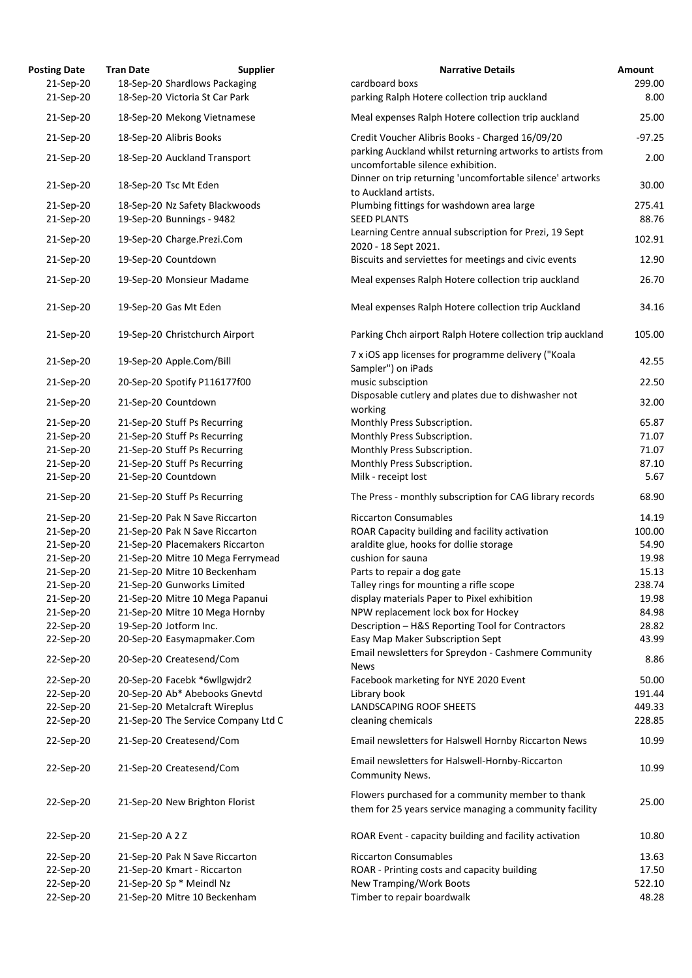| <b>Posting Date</b> | <b>Tran Date</b><br><b>Supplier</b> | <b>Narrative Details</b>                                                                                     | Amount   |
|---------------------|-------------------------------------|--------------------------------------------------------------------------------------------------------------|----------|
| 21-Sep-20           | 18-Sep-20 Shardlows Packaging       | cardboard boxs                                                                                               | 299.00   |
| 21-Sep-20           | 18-Sep-20 Victoria St Car Park      | parking Ralph Hotere collection trip auckland                                                                | 8.00     |
| 21-Sep-20           | 18-Sep-20 Mekong Vietnamese         | Meal expenses Ralph Hotere collection trip auckland                                                          | 25.00    |
| 21-Sep-20           | 18-Sep-20 Alibris Books             | Credit Voucher Alibris Books - Charged 16/09/20                                                              | $-97.25$ |
| 21-Sep-20           | 18-Sep-20 Auckland Transport        | parking Auckland whilst returning artworks to artists from<br>uncomfortable silence exhibition.              | 2.00     |
| 21-Sep-20           | 18-Sep-20 Tsc Mt Eden               | Dinner on trip returning 'uncomfortable silence' artworks<br>to Auckland artists.                            | 30.00    |
| 21-Sep-20           | 18-Sep-20 Nz Safety Blackwoods      | Plumbing fittings for washdown area large                                                                    | 275.41   |
| 21-Sep-20           | 19-Sep-20 Bunnings - 9482           | <b>SEED PLANTS</b>                                                                                           | 88.76    |
| 21-Sep-20           | 19-Sep-20 Charge.Prezi.Com          | Learning Centre annual subscription for Prezi, 19 Sept                                                       | 102.91   |
| 21-Sep-20           | 19-Sep-20 Countdown                 | 2020 - 18 Sept 2021.<br>Biscuits and serviettes for meetings and civic events                                | 12.90    |
| 21-Sep-20           | 19-Sep-20 Monsieur Madame           | Meal expenses Ralph Hotere collection trip auckland                                                          | 26.70    |
|                     |                                     |                                                                                                              |          |
| 21-Sep-20           | 19-Sep-20 Gas Mt Eden               | Meal expenses Ralph Hotere collection trip Auckland                                                          | 34.16    |
| 21-Sep-20           | 19-Sep-20 Christchurch Airport      | Parking Chch airport Ralph Hotere collection trip auckland                                                   | 105.00   |
| 21-Sep-20           | 19-Sep-20 Apple.Com/Bill            | 7 x iOS app licenses for programme delivery ("Koala<br>Sampler") on iPads                                    | 42.55    |
| 21-Sep-20           | 20-Sep-20 Spotify P116177f00        | music subsciption                                                                                            | 22.50    |
| 21-Sep-20           | 21-Sep-20 Countdown                 | Disposable cutlery and plates due to dishwasher not<br>working                                               | 32.00    |
| 21-Sep-20           | 21-Sep-20 Stuff Ps Recurring        | Monthly Press Subscription.                                                                                  | 65.87    |
| 21-Sep-20           | 21-Sep-20 Stuff Ps Recurring        | Monthly Press Subscription.                                                                                  | 71.07    |
| 21-Sep-20           | 21-Sep-20 Stuff Ps Recurring        | Monthly Press Subscription.                                                                                  | 71.07    |
| 21-Sep-20           | 21-Sep-20 Stuff Ps Recurring        | Monthly Press Subscription.                                                                                  | 87.10    |
| 21-Sep-20           | 21-Sep-20 Countdown                 | Milk - receipt lost                                                                                          | 5.67     |
| 21-Sep-20           | 21-Sep-20 Stuff Ps Recurring        | The Press - monthly subscription for CAG library records                                                     | 68.90    |
| 21-Sep-20           | 21-Sep-20 Pak N Save Riccarton      | <b>Riccarton Consumables</b>                                                                                 | 14.19    |
| 21-Sep-20           | 21-Sep-20 Pak N Save Riccarton      | ROAR Capacity building and facility activation                                                               | 100.00   |
| 21-Sep-20           | 21-Sep-20 Placemakers Riccarton     | araldite glue, hooks for dollie storage                                                                      | 54.90    |
| 21-Sep-20           | 21-Sep-20 Mitre 10 Mega Ferrymead   | cushion for sauna                                                                                            | 19.98    |
| 21-Sep-20           | 21-Sep-20 Mitre 10 Beckenham        | Parts to repair a dog gate                                                                                   | 15.13    |
| 21-Sep-20           | 21-Sep-20 Gunworks Limited          | Talley rings for mounting a rifle scope                                                                      | 238.74   |
| 21-Sep-20           | 21-Sep-20 Mitre 10 Mega Papanui     | display materials Paper to Pixel exhibition                                                                  | 19.98    |
| 21-Sep-20           | 21-Sep-20 Mitre 10 Mega Hornby      | NPW replacement lock box for Hockey                                                                          | 84.98    |
| 22-Sep-20           | 19-Sep-20 Jotform Inc.              | Description - H&S Reporting Tool for Contractors                                                             | 28.82    |
| 22-Sep-20           | 20-Sep-20 Easymapmaker.Com          | Easy Map Maker Subscription Sept                                                                             | 43.99    |
| 22-Sep-20           | 20-Sep-20 Createsend/Com            | Email newsletters for Spreydon - Cashmere Community<br><b>News</b>                                           | 8.86     |
| 22-Sep-20           | 20-Sep-20 Facebk *6wllgwjdr2        | Facebook marketing for NYE 2020 Event                                                                        | 50.00    |
| 22-Sep-20           | 20-Sep-20 Ab* Abebooks Gnevtd       | Library book                                                                                                 | 191.44   |
| 22-Sep-20           | 21-Sep-20 Metalcraft Wireplus       | <b>LANDSCAPING ROOF SHEETS</b>                                                                               | 449.33   |
| 22-Sep-20           | 21-Sep-20 The Service Company Ltd C | cleaning chemicals                                                                                           | 228.85   |
| 22-Sep-20           | 21-Sep-20 Createsend/Com            | Email newsletters for Halswell Hornby Riccarton News                                                         | 10.99    |
| 22-Sep-20           | 21-Sep-20 Createsend/Com            | Email newsletters for Halswell-Hornby-Riccarton<br>Community News.                                           | 10.99    |
| 22-Sep-20           | 21-Sep-20 New Brighton Florist      | Flowers purchased for a community member to thank<br>them for 25 years service managing a community facility | 25.00    |
| 22-Sep-20           | 21-Sep-20 A 2 Z                     | ROAR Event - capacity building and facility activation                                                       | 10.80    |
| 22-Sep-20           | 21-Sep-20 Pak N Save Riccarton      | <b>Riccarton Consumables</b>                                                                                 | 13.63    |
| 22-Sep-20           | 21-Sep-20 Kmart - Riccarton         | ROAR - Printing costs and capacity building                                                                  | 17.50    |
| 22-Sep-20           | 21-Sep-20 Sp * Meindl Nz            | <b>New Tramping/Work Boots</b>                                                                               | 522.10   |
| 22-Sep-20           | 21-Sep-20 Mitre 10 Beckenham        | Timber to repair boardwalk                                                                                   | 48.28    |
|                     |                                     |                                                                                                              |          |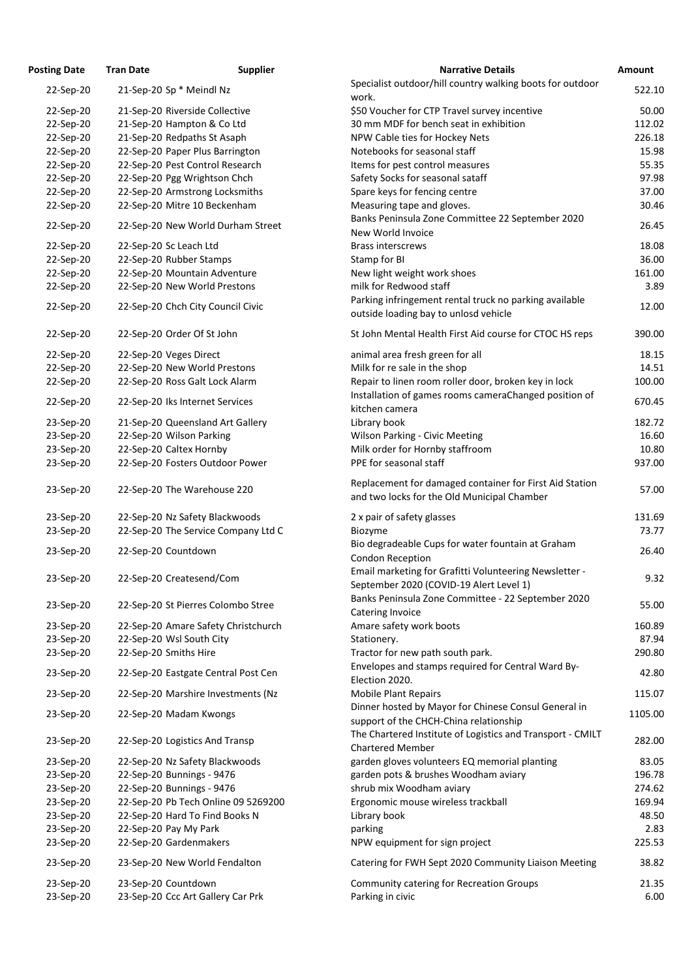| <b>Posting Date</b> | <b>Tran Date</b>           | <b>Supplier</b>                     | <b>Narrative Details</b>                                                                               | <b>Amount</b> |
|---------------------|----------------------------|-------------------------------------|--------------------------------------------------------------------------------------------------------|---------------|
| 22-Sep-20           | 21-Sep-20 Sp * Meindl Nz   |                                     | Specialist outdoor/hill country walking boots for outdoor                                              | 522.10        |
| 22-Sep-20           |                            | 21-Sep-20 Riverside Collective      | work.<br>\$50 Voucher for CTP Travel survey incentive                                                  | 50.00         |
| 22-Sep-20           |                            | 21-Sep-20 Hampton & Co Ltd          | 30 mm MDF for bench seat in exhibition                                                                 | 112.02        |
| 22-Sep-20           |                            | 21-Sep-20 Redpaths St Asaph         | NPW Cable ties for Hockey Nets                                                                         | 226.18        |
|                     |                            |                                     | Notebooks for seasonal staff                                                                           | 15.98         |
| 22-Sep-20           |                            | 22-Sep-20 Paper Plus Barrington     |                                                                                                        |               |
| 22-Sep-20           |                            | 22-Sep-20 Pest Control Research     | Items for pest control measures                                                                        | 55.35         |
| 22-Sep-20           |                            | 22-Sep-20 Pgg Wrightson Chch        | Safety Socks for seasonal sataff                                                                       | 97.98         |
| 22-Sep-20           |                            | 22-Sep-20 Armstrong Locksmiths      | Spare keys for fencing centre                                                                          | 37.00         |
| 22-Sep-20           |                            | 22-Sep-20 Mitre 10 Beckenham        | Measuring tape and gloves.<br>Banks Peninsula Zone Committee 22 September 2020                         | 30.46         |
| 22-Sep-20           |                            | 22-Sep-20 New World Durham Street   | New World Invoice                                                                                      | 26.45         |
| 22-Sep-20           | 22-Sep-20 Sc Leach Ltd     |                                     | <b>Brass interscrews</b>                                                                               | 18.08         |
| 22-Sep-20           | 22-Sep-20 Rubber Stamps    |                                     | Stamp for BI                                                                                           | 36.00         |
| 22-Sep-20           |                            | 22-Sep-20 Mountain Adventure        | New light weight work shoes                                                                            | 161.00        |
| 22-Sep-20           |                            | 22-Sep-20 New World Prestons        | milk for Redwood staff                                                                                 | 3.89          |
| 22-Sep-20           |                            | 22-Sep-20 Chch City Council Civic   | Parking infringement rental truck no parking available<br>outside loading bay to unlosd vehicle        | 12.00         |
| 22-Sep-20           | 22-Sep-20 Order Of St John |                                     | St John Mental Health First Aid course for CTOC HS reps                                                | 390.00        |
| 22-Sep-20           | 22-Sep-20 Veges Direct     |                                     | animal area fresh green for all                                                                        | 18.15         |
| 22-Sep-20           |                            | 22-Sep-20 New World Prestons        | Milk for re sale in the shop                                                                           | 14.51         |
| 22-Sep-20           |                            | 22-Sep-20 Ross Galt Lock Alarm      | Repair to linen room roller door, broken key in lock                                                   | 100.00        |
| 22-Sep-20           |                            | 22-Sep-20 Iks Internet Services     | Installation of games rooms cameraChanged position of<br>kitchen camera                                | 670.45        |
| 23-Sep-20           |                            | 21-Sep-20 Queensland Art Gallery    | Library book                                                                                           | 182.72        |
| 23-Sep-20           | 22-Sep-20 Wilson Parking   |                                     | <b>Wilson Parking - Civic Meeting</b>                                                                  | 16.60         |
| 23-Sep-20           | 22-Sep-20 Caltex Hornby    |                                     | Milk order for Hornby staffroom                                                                        | 10.80         |
| 23-Sep-20           |                            | 22-Sep-20 Fosters Outdoor Power     | PPE for seasonal staff                                                                                 | 937.00        |
| 23-Sep-20           |                            | 22-Sep-20 The Warehouse 220         | Replacement for damaged container for First Aid Station<br>and two locks for the Old Municipal Chamber | 57.00         |
| 23-Sep-20           |                            | 22-Sep-20 Nz Safety Blackwoods      | 2 x pair of safety glasses                                                                             | 131.69        |
| 23-Sep-20           |                            | 22-Sep-20 The Service Company Ltd C | Biozyme                                                                                                | 73.77         |
|                     |                            |                                     | Bio degradeable Cups for water fountain at Graham                                                      |               |
| 23-Sep-20           | 22-Sep-20 Countdown        |                                     | <b>Condon Reception</b>                                                                                | 26.40         |
| 23-Sep-20           |                            | 22-Sep-20 Createsend/Com            | Email marketing for Grafitti Volunteering Newsletter -<br>September 2020 (COVID-19 Alert Level 1)      | 9.32          |
| 23-Sep-20           |                            | 22-Sep-20 St Pierres Colombo Stree  | Banks Peninsula Zone Committee - 22 September 2020<br>Catering Invoice                                 | 55.00         |
| 23-Sep-20           |                            | 22-Sep-20 Amare Safety Christchurch | Amare safety work boots                                                                                | 160.89        |
| 23-Sep-20           | 22-Sep-20 Wsl South City   |                                     | Stationery.                                                                                            | 87.94         |
| 23-Sep-20           | 22-Sep-20 Smiths Hire      |                                     | Tractor for new path south park.                                                                       | 290.80        |
| 23-Sep-20           |                            | 22-Sep-20 Eastgate Central Post Cen | Envelopes and stamps required for Central Ward By-                                                     | 42.80         |
| 23-Sep-20           |                            | 22-Sep-20 Marshire Investments (Nz  | Election 2020.<br><b>Mobile Plant Repairs</b>                                                          | 115.07        |
| 23-Sep-20           | 22-Sep-20 Madam Kwongs     |                                     | Dinner hosted by Mayor for Chinese Consul General in<br>support of the CHCH-China relationship         | 1105.00       |
| 23-Sep-20           |                            | 22-Sep-20 Logistics And Transp      | The Chartered Institute of Logistics and Transport - CMILT<br><b>Chartered Member</b>                  | 282.00        |
| 23-Sep-20           |                            | 22-Sep-20 Nz Safety Blackwoods      | garden gloves volunteers EQ memorial planting                                                          | 83.05         |
| 23-Sep-20           | 22-Sep-20 Bunnings - 9476  |                                     | garden pots & brushes Woodham aviary                                                                   | 196.78        |
| 23-Sep-20           | 22-Sep-20 Bunnings - 9476  |                                     | shrub mix Woodham aviary                                                                               | 274.62        |
| 23-Sep-20           |                            | 22-Sep-20 Pb Tech Online 09 5269200 | Ergonomic mouse wireless trackball                                                                     | 169.94        |
| 23-Sep-20           |                            | 22-Sep-20 Hard To Find Books N      | Library book                                                                                           | 48.50         |
| 23-Sep-20           | 22-Sep-20 Pay My Park      |                                     | parking                                                                                                | 2.83          |
| 23-Sep-20           | 22-Sep-20 Gardenmakers     |                                     | NPW equipment for sign project                                                                         | 225.53        |
| 23-Sep-20           |                            | 23-Sep-20 New World Fendalton       | Catering for FWH Sept 2020 Community Liaison Meeting                                                   | 38.82         |
| 23-Sep-20           | 23-Sep-20 Countdown        |                                     | <b>Community catering for Recreation Groups</b>                                                        | 21.35         |
| 23-Sep-20           |                            | 23-Sep-20 Ccc Art Gallery Car Prk   | Parking in civic                                                                                       | 6.00          |

| <b>Posting Date</b> | <b>Tran Date</b>         | <b>Supplier</b>                     | <b>Narrative Details</b>                                                                               | Amount  |
|---------------------|--------------------------|-------------------------------------|--------------------------------------------------------------------------------------------------------|---------|
| 22-Sep-20           | 21-Sep-20 Sp * Meindl Nz |                                     | Specialist outdoor/hill country walking boots for outdoor                                              | 522.10  |
|                     |                          |                                     | work.                                                                                                  |         |
| 22-Sep-20           |                          | 21-Sep-20 Riverside Collective      | \$50 Voucher for CTP Travel survey incentive                                                           | 50.00   |
| 22-Sep-20           |                          | 21-Sep-20 Hampton & Co Ltd          | 30 mm MDF for bench seat in exhibition                                                                 | 112.02  |
| 22-Sep-20           |                          | 21-Sep-20 Redpaths St Asaph         | NPW Cable ties for Hockey Nets                                                                         | 226.18  |
| 22-Sep-20           |                          | 22-Sep-20 Paper Plus Barrington     | Notebooks for seasonal staff                                                                           | 15.98   |
| 22-Sep-20           |                          | 22-Sep-20 Pest Control Research     | Items for pest control measures                                                                        | 55.35   |
| 22-Sep-20           |                          | 22-Sep-20 Pgg Wrightson Chch        | Safety Socks for seasonal sataff                                                                       | 97.98   |
| 22-Sep-20           |                          | 22-Sep-20 Armstrong Locksmiths      | Spare keys for fencing centre                                                                          | 37.00   |
| 22-Sep-20           |                          | 22-Sep-20 Mitre 10 Beckenham        | Measuring tape and gloves.                                                                             | 30.46   |
| 22-Sep-20           |                          | 22-Sep-20 New World Durham Street   | Banks Peninsula Zone Committee 22 September 2020<br>New World Invoice                                  | 26.45   |
| 22-Sep-20           | 22-Sep-20 Sc Leach Ltd   |                                     | <b>Brass interscrews</b>                                                                               | 18.08   |
| 22-Sep-20           | 22-Sep-20 Rubber Stamps  |                                     | Stamp for BI                                                                                           | 36.00   |
| 22-Sep-20           |                          | 22-Sep-20 Mountain Adventure        | New light weight work shoes                                                                            | 161.00  |
| 22-Sep-20           |                          | 22-Sep-20 New World Prestons        | milk for Redwood staff                                                                                 | 3.89    |
| 22-Sep-20           |                          | 22-Sep-20 Chch City Council Civic   | Parking infringement rental truck no parking available<br>outside loading bay to unlosd vehicle        | 12.00   |
| 22-Sep-20           |                          | 22-Sep-20 Order Of St John          | St John Mental Health First Aid course for CTOC HS reps                                                | 390.00  |
| 22-Sep-20           | 22-Sep-20 Veges Direct   |                                     | animal area fresh green for all                                                                        | 18.15   |
| 22-Sep-20           |                          | 22-Sep-20 New World Prestons        | Milk for re sale in the shop                                                                           | 14.51   |
| 22-Sep-20           |                          | 22-Sep-20 Ross Galt Lock Alarm      | Repair to linen room roller door, broken key in lock                                                   | 100.00  |
|                     |                          |                                     | Installation of games rooms cameraChanged position of                                                  |         |
| 22-Sep-20           |                          | 22-Sep-20 Iks Internet Services     | kitchen camera                                                                                         | 670.45  |
| 23-Sep-20           |                          | 21-Sep-20 Queensland Art Gallery    | Library book                                                                                           | 182.72  |
| 23-Sep-20           | 22-Sep-20 Wilson Parking |                                     | <b>Wilson Parking - Civic Meeting</b>                                                                  | 16.60   |
| 23-Sep-20           | 22-Sep-20 Caltex Hornby  |                                     | Milk order for Hornby staffroom                                                                        | 10.80   |
| 23-Sep-20           |                          | 22-Sep-20 Fosters Outdoor Power     | PPE for seasonal staff                                                                                 | 937.00  |
| 23-Sep-20           |                          | 22-Sep-20 The Warehouse 220         | Replacement for damaged container for First Aid Station<br>and two locks for the Old Municipal Chamber | 57.00   |
| 23-Sep-20           |                          | 22-Sep-20 Nz Safety Blackwoods      | 2 x pair of safety glasses                                                                             | 131.69  |
| 23-Sep-20           |                          | 22-Sep-20 The Service Company Ltd C | Biozyme                                                                                                | 73.77   |
|                     |                          |                                     | Bio degradeable Cups for water fountain at Graham                                                      |         |
| 23-Sep-20           | 22-Sep-20 Countdown      |                                     | <b>Condon Reception</b>                                                                                | 26.40   |
| 23-Sep-20           |                          | 22-Sep-20 Createsend/Com            | Email marketing for Grafitti Volunteering Newsletter -<br>September 2020 (COVID-19 Alert Level 1)      | 9.32    |
| 23-Sep-20           |                          | 22-Sep-20 St Pierres Colombo Stree  | Banks Peninsula Zone Committee - 22 September 2020<br>Catering Invoice                                 | 55.00   |
| 23-Sep-20           |                          | 22-Sep-20 Amare Safety Christchurch | Amare safety work boots                                                                                | 160.89  |
| 23-Sep-20           | 22-Sep-20 Wsl South City |                                     | Stationery.                                                                                            | 87.94   |
| 23-Sep-20           | 22-Sep-20 Smiths Hire    |                                     | Tractor for new path south park.                                                                       | 290.80  |
| 23-Sep-20           |                          | 22-Sep-20 Eastgate Central Post Cen | Envelopes and stamps required for Central Ward By-                                                     | 42.80   |
| 23-Sep-20           |                          | 22-Sep-20 Marshire Investments (Nz  | Election 2020.<br><b>Mobile Plant Repairs</b>                                                          | 115.07  |
| 23-Sep-20           |                          | 22-Sep-20 Madam Kwongs              | Dinner hosted by Mayor for Chinese Consul General in                                                   | 1105.00 |
|                     |                          |                                     | support of the CHCH-China relationship<br>The Chartered Institute of Logistics and Transport - CMILT   |         |
| 23-Sep-20           |                          | 22-Sep-20 Logistics And Transp      | <b>Chartered Member</b>                                                                                | 282.00  |
| 23-Sep-20           |                          | 22-Sep-20 Nz Safety Blackwoods      | garden gloves volunteers EQ memorial planting                                                          | 83.05   |
| 23-Sep-20           |                          | 22-Sep-20 Bunnings - 9476           | garden pots & brushes Woodham aviary                                                                   | 196.78  |
| 23-Sep-20           |                          | 22-Sep-20 Bunnings - 9476           | shrub mix Woodham aviary                                                                               | 274.62  |
| 23-Sep-20           |                          | 22-Sep-20 Pb Tech Online 09 5269200 | Ergonomic mouse wireless trackball                                                                     | 169.94  |
| 23-Sep-20           |                          | 22-Sep-20 Hard To Find Books N      | Library book                                                                                           | 48.50   |
| 23-Sep-20           | 22-Sep-20 Pay My Park    |                                     | parking                                                                                                | 2.83    |
| 23-Sep-20           | 22-Sep-20 Gardenmakers   |                                     | NPW equipment for sign project                                                                         | 225.53  |
| 23-Sep-20           |                          | 23-Sep-20 New World Fendalton       | Catering for FWH Sept 2020 Community Liaison Meeting                                                   | 38.82   |
| 23-Sep-20           | 23-Sep-20 Countdown      |                                     | <b>Community catering for Recreation Groups</b>                                                        | 21.35   |
| 23-Sep-20           |                          | 23-Sep-20 Ccc Art Gallery Car Prk   | Parking in civic                                                                                       | 6.00    |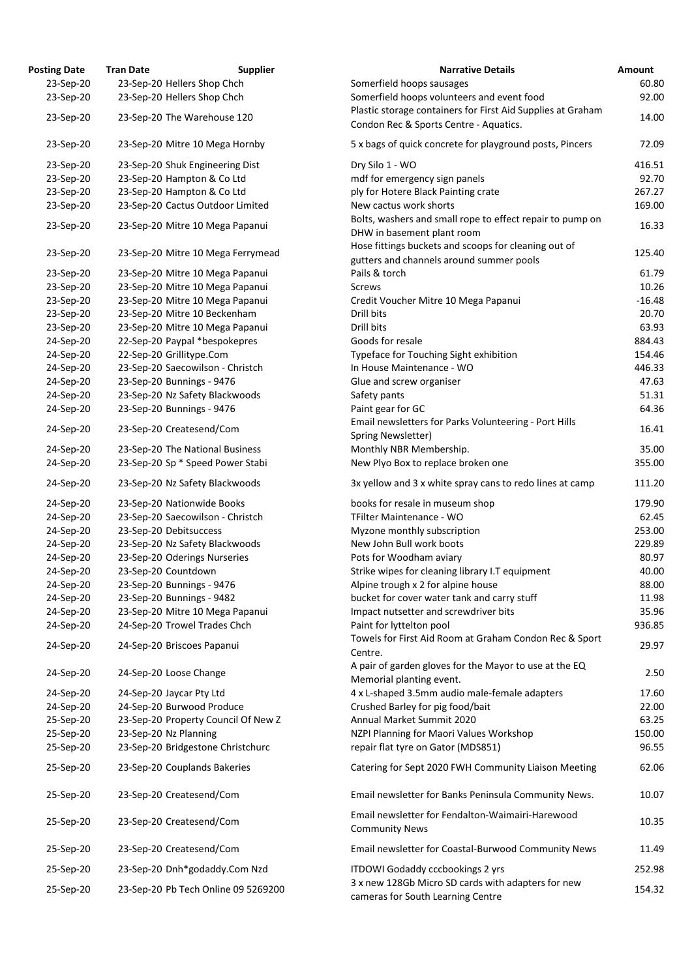| <b>Posting Date</b>    | <b>Tran Date</b>                    | <b>Supplier</b> | <b>Narrative Details</b>                                                                              | Amount   |
|------------------------|-------------------------------------|-----------------|-------------------------------------------------------------------------------------------------------|----------|
| 23-Sep-20              | 23-Sep-20 Hellers Shop Chch         |                 | Somerfield hoops sausages                                                                             | 60.80    |
| 23-Sep-20              | 23-Sep-20 Hellers Shop Chch         |                 | Somerfield hoops volunteers and event food                                                            | 92.00    |
| 23-Sep-20              | 23-Sep-20 The Warehouse 120         |                 | Plastic storage containers for First Aid Supplies at Graham<br>Condon Rec & Sports Centre - Aquatics. | 14.00    |
| 23-Sep-20              | 23-Sep-20 Mitre 10 Mega Hornby      |                 | 5 x bags of quick concrete for playground posts, Pincers                                              | 72.09    |
| 23-Sep-20              | 23-Sep-20 Shuk Engineering Dist     |                 | Dry Silo 1 - WO                                                                                       | 416.51   |
| 23-Sep-20              | 23-Sep-20 Hampton & Co Ltd          |                 | mdf for emergency sign panels                                                                         | 92.70    |
| 23-Sep-20              | 23-Sep-20 Hampton & Co Ltd          |                 | ply for Hotere Black Painting crate                                                                   | 267.27   |
| 23-Sep-20              | 23-Sep-20 Cactus Outdoor Limited    |                 | New cactus work shorts                                                                                | 169.00   |
|                        |                                     |                 | Bolts, washers and small rope to effect repair to pump on                                             |          |
| 23-Sep-20              | 23-Sep-20 Mitre 10 Mega Papanui     |                 | DHW in basement plant room                                                                            | 16.33    |
| 23-Sep-20              | 23-Sep-20 Mitre 10 Mega Ferrymead   |                 | Hose fittings buckets and scoops for cleaning out of<br>gutters and channels around summer pools      | 125.40   |
| 23-Sep-20              | 23-Sep-20 Mitre 10 Mega Papanui     |                 | Pails & torch                                                                                         | 61.79    |
| 23-Sep-20              | 23-Sep-20 Mitre 10 Mega Papanui     |                 | <b>Screws</b>                                                                                         | 10.26    |
| 23-Sep-20              | 23-Sep-20 Mitre 10 Mega Papanui     |                 | Credit Voucher Mitre 10 Mega Papanui                                                                  | $-16.48$ |
| 23-Sep-20              | 23-Sep-20 Mitre 10 Beckenham        |                 | Drill bits                                                                                            | 20.70    |
| 23-Sep-20              | 23-Sep-20 Mitre 10 Mega Papanui     |                 | Drill bits                                                                                            | 63.93    |
| 24-Sep-20              | 22-Sep-20 Paypal *bespokepres       |                 | Goods for resale                                                                                      | 884.43   |
| 24-Sep-20              | 22-Sep-20 Grillitype.Com            |                 | Typeface for Touching Sight exhibition                                                                | 154.46   |
| 24-Sep-20              | 23-Sep-20 Saecowilson - Christch    |                 | In House Maintenance - WO                                                                             | 446.33   |
| 24-Sep-20              | 23-Sep-20 Bunnings - 9476           |                 | Glue and screw organiser                                                                              | 47.63    |
| 24-Sep-20              | 23-Sep-20 Nz Safety Blackwoods      |                 | Safety pants                                                                                          | 51.31    |
| 24-Sep-20              | 23-Sep-20 Bunnings - 9476           |                 | Paint gear for GC                                                                                     | 64.36    |
| 24-Sep-20              | 23-Sep-20 Createsend/Com            |                 | Email newsletters for Parks Volunteering - Port Hills<br>Spring Newsletter)                           | 16.41    |
| 24-Sep-20              | 23-Sep-20 The National Business     |                 | Monthly NBR Membership.                                                                               | 35.00    |
| 24-Sep-20              | 23-Sep-20 Sp * Speed Power Stabi    |                 | New Plyo Box to replace broken one                                                                    | 355.00   |
| 24-Sep-20              | 23-Sep-20 Nz Safety Blackwoods      |                 | 3x yellow and 3 x white spray cans to redo lines at camp                                              | 111.20   |
| 24-Sep-20              | 23-Sep-20 Nationwide Books          |                 | books for resale in museum shop                                                                       | 179.90   |
| 24-Sep-20              | 23-Sep-20 Saecowilson - Christch    |                 | TFilter Maintenance - WO                                                                              | 62.45    |
| 24-Sep-20              | 23-Sep-20 Debitsuccess              |                 | Myzone monthly subscription                                                                           | 253.00   |
| 24-Sep-20              | 23-Sep-20 Nz Safety Blackwoods      |                 | New John Bull work boots                                                                              | 229.89   |
| 24-Sep-20              | 23-Sep-20 Oderings Nurseries        |                 | Pots for Woodham aviary                                                                               | 80.97    |
| 24-Sep-20              | 23-Sep-20 Countdown                 |                 | Strike wipes for cleaning library I.T equipment                                                       | 40.00    |
| 24-Sep-20              | 23-Sep-20 Bunnings - 9476           |                 | Alpine trough x 2 for alpine house                                                                    | 88.00    |
| 24-Sep-20              | 23-Sep-20 Bunnings - 9482           |                 | bucket for cover water tank and carry stuff                                                           | 11.98    |
| 24-Sep-20              | 23-Sep-20 Mitre 10 Mega Papanui     |                 | Impact nutsetter and screwdriver bits                                                                 | 35.96    |
| 24-Sep-20              | 24-Sep-20 Trowel Trades Chch        |                 | Paint for lyttelton pool                                                                              | 936.85   |
| 24-Sep-20              | 24-Sep-20 Briscoes Papanui          |                 | Towels for First Aid Room at Graham Condon Rec & Sport<br>Centre.                                     | 29.97    |
| 24-Sep-20              | 24-Sep-20 Loose Change              |                 | A pair of garden gloves for the Mayor to use at the EQ                                                | 2.50     |
| 24-Sep-20              | 24-Sep-20 Jaycar Pty Ltd            |                 | Memorial planting event.<br>4 x L-shaped 3.5mm audio male-female adapters                             | 17.60    |
| 24-Sep-20              | 24-Sep-20 Burwood Produce           |                 | Crushed Barley for pig food/bait                                                                      | 22.00    |
|                        | 23-Sep-20 Property Council Of New Z |                 | Annual Market Summit 2020                                                                             | 63.25    |
| 25-Sep-20              | 23-Sep-20 Nz Planning               |                 | NZPI Planning for Maori Values Workshop                                                               | 150.00   |
| 25-Sep-20<br>25-Sep-20 | 23-Sep-20 Bridgestone Christchurc   |                 | repair flat tyre on Gator (MDS851)                                                                    | 96.55    |
|                        |                                     |                 |                                                                                                       |          |
| 25-Sep-20              | 23-Sep-20 Couplands Bakeries        |                 | Catering for Sept 2020 FWH Community Liaison Meeting                                                  | 62.06    |
| 25-Sep-20              | 23-Sep-20 Createsend/Com            |                 | Email newsletter for Banks Peninsula Community News.                                                  | 10.07    |
| 25-Sep-20              | 23-Sep-20 Createsend/Com            |                 | Email newsletter for Fendalton-Waimairi-Harewood<br><b>Community News</b>                             | 10.35    |
| 25-Sep-20              | 23-Sep-20 Createsend/Com            |                 | Email newsletter for Coastal-Burwood Community News                                                   | 11.49    |
| 25-Sep-20              | 23-Sep-20 Dnh*godaddy.Com Nzd       |                 | <b>ITDOWI Godaddy cccbookings 2 yrs</b>                                                               | 252.98   |
| 25-Sep-20              | 23-Sep-20 Pb Tech Online 09 5269200 |                 | 3 x new 128Gb Micro SD cards with adapters for new<br>cameras for South Learning Centre               | 154.32   |

29.97

10.35